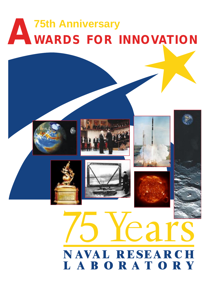# **AWARDS FOR INNOVATION 75th Anniversary**



# NAVAL RESEARCH LABORATORY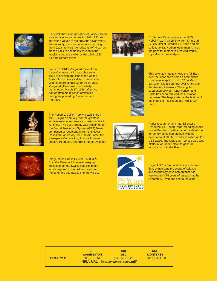

This plot shows the deviation of Pacific Ocean sea surface temperatures in 1992-1993 from the mean values of the previous seven years. Remarkably, the warm anomaly extending from Japan to North America at 40° N can be traced back to anomalies caused in the tropics a decade earlier by the 1982-1983 El Niño climate event.



Dr. Jerome Karle receives the 1985 Nobel Prize in Chemistry from King Carl Gustav XVI of Sweden. Dr. Karle and his colleague, Dr. Herbert Hauptman, shared the prize for their path-breaking work in crystal structure analysis.



Launch of NRL's Vanguard rocket from Cape Canaveral. NRL was chosen in 1955 to develop and launch the United States' first space satellite, in conjunction with the International Geophysical Year. Vanguard (TV-4) was successfully launched on March 17, 1958, after two earlier attempts to reach orbit failed during the preceding December and February.



The Robert J. Collier Trophy, established in 1912, is given annually, "for the greatest achievement in aeronautics or astronautics in America." The 1992 Trophy was presented to the Global Positioning System (GPS) Team, composed of researchers from the Naval Research Laboratory, the U.S. Air Force, the Aerospace Corporation, Rockwell International Corporation, and IBM Federal Systems.



This colorized image shows the full Earth over the lunar north pole as Clementine completes mapping orbit 102 on March 13, 1994. It is a clear day over Africa and the Arabian Peninsula. The angular separation between lunar horizon and Earth has been reduced for illustration purposes. The large crater at the bottom of the image is Plaskett at 180° west, 82° north.

Radar researcher and later Director of Research, Dr. Robert Page, standing on the roof of Building 1 with an antenna developed for performance comparison with the experimental 200 MHz radar installed on the USS Leary. The USS Leary served as a test platform for radar before its general introduction into the Fleet.



Image of the Sun in Helium II at 304 Å from the Extreme Ultraviolet Imaging Telescope on the SOHO satellite; bright active regions on the disk and a prominence off the southwest limb are visible.



Logo of NRL's Diamond Jubilee celebration, symbolizing the scope of science and technology development that has resulted from 75 years of research at the Laboratory—from the sea to the stars

**NRL NRL NRL- NRL NRL- NRL**- NRL- NRL NRL- NRL NRL- NRL NRL- NRL NRL- NRL NRL- NRL NRL NRL NRL NRL N **WASHINGTON SSC MONTEREY**<br>(202) 767-2541 (601) 688-5328 (408) 656-4708 Public Affairs (202) 767-2541 **NRL's URL: http://www.nrl.navy.mil/**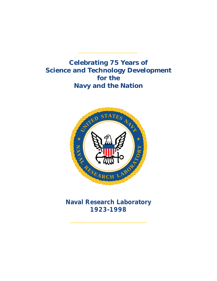# *Celebrating 75 Years of Science and Technology Development for the Navy and the Nation*



**Naval Research Laboratory 1923-1998**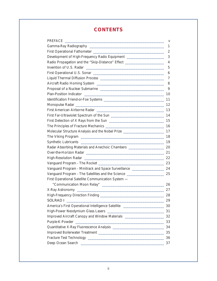## **CONTENTS**

| PREFACE                                                                              | V              |
|--------------------------------------------------------------------------------------|----------------|
|                                                                                      | 1              |
|                                                                                      | 2              |
| Development of High-Frequency Radio Equipment __________________________________     | 3              |
| Radio Propagation and the "Skip-Distance" Effect _______________________________     | $\overline{4}$ |
|                                                                                      | 5              |
|                                                                                      | 6              |
|                                                                                      | 7              |
|                                                                                      | 8              |
|                                                                                      | 9              |
|                                                                                      | 10             |
|                                                                                      | 11             |
|                                                                                      | 12             |
|                                                                                      |                |
| First Far-Ultraviolet Spectrum of the Sun                                            | 14             |
|                                                                                      |                |
|                                                                                      | 16             |
|                                                                                      |                |
|                                                                                      | 18             |
|                                                                                      |                |
| Radar Absorbing Materials and Anechoic Chambers ________________________________     | 20             |
|                                                                                      |                |
|                                                                                      |                |
|                                                                                      |                |
| Vanguard Program - Minitrack and Space Surveillance ____________________________ 24  |                |
| Vanguard Program - The Satellites and the Science ______________________________     | 25             |
| First Operational Satellite Communication System -                                   |                |
|                                                                                      | 26             |
|                                                                                      | 27             |
|                                                                                      | 28             |
| SOLRAD I                                                                             | 29             |
| America's First Operational Intelligence Satellite _____________________________     | 30             |
|                                                                                      | 31             |
| Improved Aircraft Canopy and Window Materials ___________________________________ 32 |                |
|                                                                                      | 33             |
|                                                                                      | 34             |
|                                                                                      | 35             |
|                                                                                      |                |
|                                                                                      | 37             |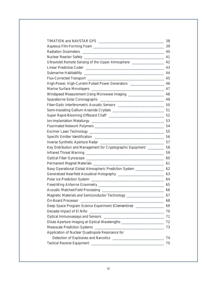|                                                                                  | 38 |
|----------------------------------------------------------------------------------|----|
|                                                                                  | 39 |
|                                                                                  | 40 |
|                                                                                  |    |
| Ultraviolet Remote Sensing of the Upper Atmosphere _____________________________ | 42 |
|                                                                                  |    |
|                                                                                  | 44 |
|                                                                                  |    |
| High-Power, High-Current Pulsed Power Generators _______________________________ | 46 |
|                                                                                  |    |
| Windspeed Measurement Using Microwave Imaging __________________________________ | 48 |
|                                                                                  |    |
|                                                                                  |    |
|                                                                                  |    |
|                                                                                  | 52 |
|                                                                                  |    |
|                                                                                  | 54 |
|                                                                                  |    |
|                                                                                  | 56 |
|                                                                                  |    |
| Key Distribution and Management for Cryptographic Equipment ___________ 58       |    |
|                                                                                  |    |
|                                                                                  | 60 |
|                                                                                  |    |
| Navy Operational Global Atmospheric Prediction System ________________           | 62 |
|                                                                                  |    |
|                                                                                  | 64 |
|                                                                                  |    |
|                                                                                  | 66 |
| Magnetic Materials and Semiconductor Technology ________________________________ | 67 |
|                                                                                  | 68 |
| Deep Space Program Science Experiment (Clementine) ______________                | 69 |
|                                                                                  | 70 |
|                                                                                  | 71 |
| Dilute Aperture Imaging at Optical Wavelengths _________________________________ | 72 |
|                                                                                  | 73 |
| Application of Nuclear Quadrupole Resonance for                                  |    |
|                                                                                  | 74 |
|                                                                                  | 75 |
|                                                                                  |    |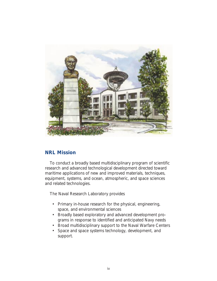

## **NRL Mission**

To conduct a broadly based multidisciplinary program of scientific research and advanced technological development directed toward maritime applications of new and improved materials, techniques, equipment, systems, and ocean, atmospheric, and space sciences and related technologies.

The Naval Research Laboratory provides

- Primary in-house research for the physical, engineering, space, and environmental sciences
- Broadly based exploratory and advanced development programs in response to identified and anticipated Navy needs
- Broad multidisciplinary support to the Naval Warfare Centers
- Space and space systems technology, development, and support.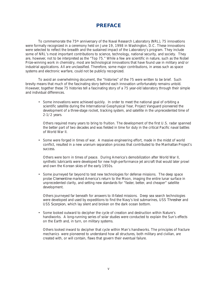#### *PREFACE*

<span id="page-6-0"></span>To commemorate the 75th anniversary of the Naval Research Laboratory (NRL), 75 innovations were formally recognized in a ceremony held on June 19, 1998 in Washington, D.C. These innovations were selected to reflect the breadth and the sustained impact of the Laboratory's program. They include some of NRL's most important contributions to science, technology, national security, and society. They are, however, not to be interpreted as the "Top 75." While a few are scientific in nature, such as the Nobel Prize-winning work in chemistry, most are technological innovations that have found use in military and/or industrial applications. All are unclassified. Therefore, some major contributions, in areas such as space systems and electronic warfare, could not be publicly recognized.

To avoid an overwhelming document, the "histories" of the 75 were written to be brief. Such brevity means that much of the fascinating story behind each innovation unfortunately remains untold. However, together these 75 histories tell a fascinating story of a 75 year-old laboratory through their simple and individual differences.

• Some innovations were achieved quickly. In order to meet the national goal of orbiting a scientific satellite during the International Geophysical Year, Project Vanguard pioneered the development of a three-stage rocket, tracking system, and satellite in the unprecedented time of 2-1/2 years.

Others required many years to bring to fruition. The development of the first U.S. radar spanned the better part of two decades and was fielded in time for duty in the critical Pacific naval battles of World War II.

• Some were forged in times of war. A massive engineering effort, made in the midst of world conflict, resulted in a new uranium separation process that contributed to the Manhattan Project's success.

Others were born in times of peace. During America's demobilization after World War II, synthetic lubricants were developed for new high-performance jet aircraft that would later prowl and own the Korean skies of the early 1950s.

• Some journeyed far beyond to test new technologies for defense missions. The deep space probe *Clementine* marked America's return to the Moon, imaging the entire lunar surface in unprecedented clarity, and setting new standards for "faster, better, and cheaper" satellite development.

Others journeyed far beneath for answers to ill-fated missions. Deep sea search technologies were developed and used by expeditions to find the Navy's lost submarines, USS *Thresher* and USS *Scorpion*, which lay silent and broken on the dark ocean bottom.

• Some looked outward to decipher the cycle of creation and destruction within Nature's handiworks. A long-running series of solar studies were conducted to explain the Sun's effects on the Earth and, in turn, on military systems.

Others looked inward to decipher that cycle within Man's handiworks. The principles of fracture mechanics were pioneered to understand how all structures, both military and civilian, are created with, or will contain, flaws that govern their eventual failure.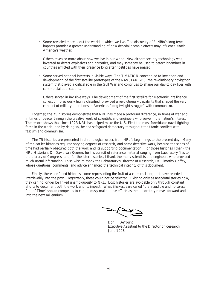• Some revealed more about the world in which we live. The discovery of El Niño's long-term impacts promise a greater understanding of how decadal oceanic effects may influence North America's weather.

Others revealed more about how we live in our world. New airport security technology was invented to detect explosives and narcotics, and may someday be used to detect landmines in countries afflicted with their presence long after hostilities have passed.

• Some served national interests in visible ways. The TIMATION concept led to invention and development of the first satellite prototypes of the NAVSTAR GPS, the revolutionary navigation system that played a critical role in the Gulf War and continues to shape our day-to-day lives with commercial applications.

Others served in invisible ways. The development of the first satellite for electronic intelligence collection, previously highly classified, provided a revolutionary capability that shaped the very conduct of military operations in America's "long twilight struggle" with communism.

Together, the 75 histories demonstrate that NRL has made a profound difference, in times of war and in times of peace, through the creative work of scientists and engineers who serve in the nation's interest. The record shows that since 1923 NRL has helped make the U.S. Fleet the most formidable naval fighting force in the world, and by doing so, helped safeguard democracy throughout the titanic conflicts with fascism and communism.

The 75 histories are presented in chronological order, from NRL's beginnings to the present day. Many of the earlier histories required varying degrees of research, and some detective work, because the sands of time had partially obscured both the work and its supporting documentation. For those histories I thank the NRL Historian, Dr. David van Keuren, for his pursuit of reference material ranging from Laboratory files to the Library of Congress, and, for the later histories, I thank the many scientists and engineers who provided much useful information. I also wish to thank the Laboratory's Director of Research, Dr. Timothy Coffey, whose questions, comments, and advice enhanced the technical integrity of this document.

Finally, there are faded histories, some representing the fruit of a career's labor, that have receded irretrievably into the past. Regrettably, these could not be selected. Existing only as anecdotal stories now, they can no longer be linked unambiguously to NRL. Lost histories are avoidable only through constant efforts to document both the work and its impact. What Shakespeare called "the inaudible and noiseless foot of Time" should compel us to continuously make those efforts as the Laboratory moves forward and into the next millennium.

 $= -\sum_{i=1}^{n}$ 

Don J. DeYoung Executive Assistant to the Director of Research June 1998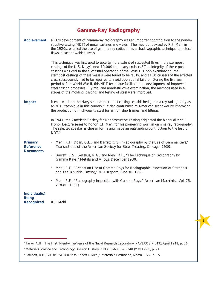<span id="page-8-0"></span>

|                                                           | <b>Gamma-Ray Radiography</b>                                                                                                                                                                                                                                                                                                                                                                                                                                                                                                                                                                                                                                                                                                                           |  |
|-----------------------------------------------------------|--------------------------------------------------------------------------------------------------------------------------------------------------------------------------------------------------------------------------------------------------------------------------------------------------------------------------------------------------------------------------------------------------------------------------------------------------------------------------------------------------------------------------------------------------------------------------------------------------------------------------------------------------------------------------------------------------------------------------------------------------------|--|
| <b>Achievement</b>                                        | NRL's development of gamma-ray radiography was an important contribution to the nonde-<br>structive testing (NDT) of metal castings and welds. The method, devised by R.F. Mehl in<br>the 1920s, entailed the use of gamma-ray radiation as a shadowgraphic technique to detect<br>flaws in cast or welded steels.                                                                                                                                                                                                                                                                                                                                                                                                                                     |  |
|                                                           | This technique was first used to ascertain the extent of suspected flaws in the sternpost<br>castings of the U.S. Navy's new 10,000-ton heavy cruisers. <sup>1</sup> The integrity of these post<br>castings was vital to the successful operation of the vessels. Upon examination, the<br>sternpost castings of these vessels were found to be faulty, and all 10 cruisers of the affected<br>class subsequently had to be repaired to avoid operational failure. During the five-year<br>period before World War II, this NDT technique facilitated the development of improved<br>steel casting processes. By trial and nondestructive examination, the methods used in all<br>stages of the molding, casting, and testing of steel were improved. |  |
| <b>Impact</b>                                             | Mehl's work on the Navy's cruiser sternpost castings established gamma-ray radiography as<br>an NDT technique in this country. <sup>2</sup> It also contributed to American seapower by improving<br>the production of high-quality steel for armor, ship frames, and fittings.                                                                                                                                                                                                                                                                                                                                                                                                                                                                        |  |
|                                                           | In 1941, the American Society for Nondestructive Testing originated the biannual Mehl<br>Honor Lecture series to honor R.F. Mehl for his pioneering work in gamma-ray radiography.<br>The selected speaker is chosen for having made an outstanding contribution to the field of<br>NDT <sup>3</sup>                                                                                                                                                                                                                                                                                                                                                                                                                                                   |  |
| <b>Primary</b><br><b>Reference</b><br><b>Documents</b>    | • Mehl, R.F., Doan, G.E., and Barrett, C.S., "Radiography by the Use of Gamma Rays,"<br>Transactions of the American Society for Steel Treating, Chicago, 1930.                                                                                                                                                                                                                                                                                                                                                                                                                                                                                                                                                                                        |  |
|                                                           | Barrett, C.S., Gezelius, R.A., and Mehl, R.F., "The Technique of Radiography by<br>$\bullet$<br>Gamma Rays," Metals and Alloys, December 1930.                                                                                                                                                                                                                                                                                                                                                                                                                                                                                                                                                                                                         |  |
|                                                           | Mehl, R.F., "Report on Use of Gamma Rays for Radiographic Inspection of Sternpost<br>$\bullet$<br>and Keel Knuckle Casting," NRL Report, June 30, 1931.                                                                                                                                                                                                                                                                                                                                                                                                                                                                                                                                                                                                |  |
|                                                           | • Mehl, R.F., "Radiography Inspection with Gamma Rays," American Machinist, Vol. 75,<br>278-80 (1931).                                                                                                                                                                                                                                                                                                                                                                                                                                                                                                                                                                                                                                                 |  |
| <b>Individual(s)</b><br><b>Being</b><br><b>Recognized</b> | R.F. Mehl                                                                                                                                                                                                                                                                                                                                                                                                                                                                                                                                                                                                                                                                                                                                              |  |
|                                                           |                                                                                                                                                                                                                                                                                                                                                                                                                                                                                                                                                                                                                                                                                                                                                        |  |

<sup>1</sup> Taylor, A.H., *The First Twenty-Five Years of the Naval Research Laboratory* (NAVEXOS P-549), April 1948, p. 26.

<sup>2</sup> *Materials Science and Technology Division History,* NRL/PU-6300-93-240 (May 1993), p. 91.

<sup>3</sup> Lambert, R.H., VADM, "A Tribute to Robert F. Mehl," *Materials Evaluation*, March 1972, p. 15.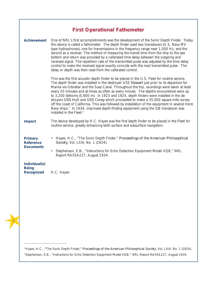## **First Operational Fathometer**

<span id="page-9-0"></span>

| <b>Achievement</b>                                        | One of NRL's first accomplishments was the development of the Sonic Depth Finder. Today<br>this device is called a fathometer. The depth finder used two transducers (U.S. Navy MV<br>type hydrophones), one for transmissions in the frequency range near 1,000 Hz, and the<br>second as a receiver. The method of measuring the transit time from the ship to the sea<br>bottom and return was provided by a calibrated time delay between the outgoing and<br>received signal. The repetition rate of the transmitted pulse was adjusted by the time delay<br>control to make the received signal exactly coincide with the next transmitted pulse. The<br>delay or depth was then read from the calibrated control.                                                                                           |
|-----------------------------------------------------------|-------------------------------------------------------------------------------------------------------------------------------------------------------------------------------------------------------------------------------------------------------------------------------------------------------------------------------------------------------------------------------------------------------------------------------------------------------------------------------------------------------------------------------------------------------------------------------------------------------------------------------------------------------------------------------------------------------------------------------------------------------------------------------------------------------------------|
|                                                           | This was the first acoustic depth finder to be placed in the U.S. Fleet for routine service.<br>The depth finder was installed in the destroyer USS Stewart just prior to its departure for<br>Manila via Gibraltar and the Suez Canal. Throughout the trip, soundings were taken at least<br>every 20 minutes and at times as often as every minute. The depths encountered were up<br>to 3,200 fathoms (5,900 m). In 1923 and 1924, depth finders were installed in the de-<br>stroyers USS Hull and USS Corey which proceeded to make a 35,000 square mile survey<br>off the coast of California. This was followed by installation of the equipment in several more<br>Navy ships. <sup>1</sup> In 1934, improved depth-finding equipment using the QB transducer was<br>installed in the Fleet. <sup>2</sup> |
| <b>Impact</b>                                             | The device developed by H.C. Hayes was the first depth finder to be placed in the Fleet for<br>routine service, greatly enhancing both surface and subsurface navigation.                                                                                                                                                                                                                                                                                                                                                                                                                                                                                                                                                                                                                                         |
| <b>Primary</b><br><b>Reference</b><br><b>Documents</b>    | Hayes, H.C., "The Sonic Depth Finder," Proceedings of the American Philosophical<br>Society, Vol. LXIII, No. 1 (1924).<br>Stephenson, E.B., "Instructions for Echo Detection Equipment Model XQB," NRL<br>٠<br>Report RA55A227, August 1934.                                                                                                                                                                                                                                                                                                                                                                                                                                                                                                                                                                      |
| <b>Individual(s)</b><br><b>Being</b><br><b>Recognized</b> | H.C. Hayes                                                                                                                                                                                                                                                                                                                                                                                                                                                                                                                                                                                                                                                                                                                                                                                                        |

<sup>1</sup> Hayes, H.C., "The Sonic Depth Finder," *Proceedings of the American Philosophical Society*, Vol. LXIII, No. 1 (1924). <sup>2</sup> Stephenson, E.B., "Instructions for Echo Detection Equipment Model XQB," NRL Report RA55A227, August 1934.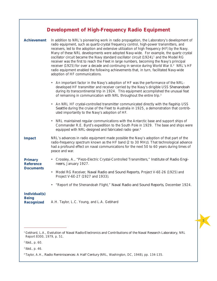## **Development of High-Frequency Radio Equipment**

<span id="page-10-0"></span>

| <b>Achievement</b>                                        | In addition to NRL's pioneering work in radio propagation, the Laboratory's development of<br>radio equipment, such as quartz-crystal frequency control, high-power transmitters, and<br>receivers, led to the adoption and extensive utilization of high frequency (HF) by the Navy.<br>Many of these NRL developments were adopted Navy-wide. For example, the quartz crystal<br>oscillator circuit became the Navy standard oscillator circuit $(1924)$ , <sup>1</sup> and the Model RG<br>receiver was the first to reach the Fleet in large numbers, becoming the Navy's principal<br>receiver (1925) for over a decade and continuing in service during World War II. <sup>2</sup> NRL's HF<br>radio equipment enabled the following achievements that, in turn, facilitated Navy-wide<br>adoption of HF communications. |
|-----------------------------------------------------------|--------------------------------------------------------------------------------------------------------------------------------------------------------------------------------------------------------------------------------------------------------------------------------------------------------------------------------------------------------------------------------------------------------------------------------------------------------------------------------------------------------------------------------------------------------------------------------------------------------------------------------------------------------------------------------------------------------------------------------------------------------------------------------------------------------------------------------|
|                                                           | • An important factor in the Navy's adoption of HF was the performance of the NRL-<br>developed HF transmitter and receiver carried by the Navy's dirigible USS Shenandoah<br>during its transcontinental trip in 1924. This equipment accomplished the unusual feat<br>of remaining in communication with NRL throughout the entire trip. <sup>3</sup>                                                                                                                                                                                                                                                                                                                                                                                                                                                                        |
|                                                           | • An NRL HF crystal-controlled transmitter communicated directly with the flagship USS<br>Seattle during the cruise of the Fleet to Australia in 1925, a demonstration that contrib-<br>uted importantly to the Navy's adoption of HF.                                                                                                                                                                                                                                                                                                                                                                                                                                                                                                                                                                                         |
|                                                           | • NRL maintained regular communications with the Antarctic base and support ships of<br>Commander R.E. Byrd's expedition to the South Pole in 1929. The base and ships were<br>equipped with NRL-designed and fabricated radio gear. <sup>4</sup>                                                                                                                                                                                                                                                                                                                                                                                                                                                                                                                                                                              |
| <b>Impact</b>                                             | NRL's advances in radio equipment made possible the Navy's adoption of that part of the<br>radio-frequency spectrum known as the HF band (2 to 30 MHz). That technological advance<br>had a profound effect on naval communications for the next 50 to 60 years during times of<br>peace and war.                                                                                                                                                                                                                                                                                                                                                                                                                                                                                                                              |
| <b>Primary</b><br><b>Reference</b>                        | Crossley, A., "Piezo-Electric Crystal-Controlled Transmitters," Institute of Radio Engi-<br>neers, January 1927.                                                                                                                                                                                                                                                                                                                                                                                                                                                                                                                                                                                                                                                                                                               |
| <b>Documents</b>                                          | Model RG Receiver, Naval Radio and Sound Reports, Project V-6E-26 (1925) and<br>Project V-6E-27 (1927 and 1933).                                                                                                                                                                                                                                                                                                                                                                                                                                                                                                                                                                                                                                                                                                               |
|                                                           | "Report of the Shenandoah Flight," Naval Radio and Sound Reports, December 1924.                                                                                                                                                                                                                                                                                                                                                                                                                                                                                                                                                                                                                                                                                                                                               |
| <b>Individual(s)</b><br><b>Being</b><br><b>Recognized</b> | A.H. Taylor, L.C. Young, and L.A. Gebhard                                                                                                                                                                                                                                                                                                                                                                                                                                                                                                                                                                                                                                                                                                                                                                                      |
|                                                           |                                                                                                                                                                                                                                                                                                                                                                                                                                                                                                                                                                                                                                                                                                                                                                                                                                |

<sup>1</sup> Gebhard, L.A., *Evolution of Naval Radio-Electronics and Contributions of the Naval Research Laboratory*, NRL Report 8300, 1979, p. 51.

3

<sup>3</sup> *Ibid*., p. 46.

<sup>2</sup> *Ibid.*, p. 60.

<sup>4</sup> Taylor, A.H., *Radio Reminiscences: A Half Century* (NRL, Washington, DC, 1948), pp. 134-135.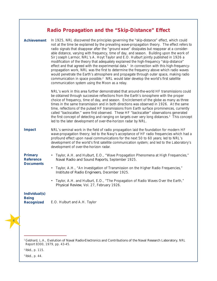## **Radio Propagation and the "Skip-Distance" Effect**

<span id="page-11-0"></span>

| <b>Achievement</b>                                        | In 1925, NRL discovered the principles governing the "skip-distance" effect, which could<br>not at the time be explained by the prevailing wave-propagation theory. The effect refers to<br>radio signals that disappear after the "ground wave" dissipates but reappear at a consider-<br>able distance, varying with frequency, time of day, and season. Building upon the work of<br>Sir Joseph Larmor, NRL's A. Hoyt Taylor and E.O. Hulburt jointly published in 1926 a<br>modification of the theory that adequately explained the high-frequency "skip-distance"<br>effect and that agreed with the experimental data. <sup>1</sup> In connection with this high-frequency-<br>propagation work, NRL was the first to determine the frequency above which radio waves<br>would penetrate the Earth's atmosphere and propagate through outer space, making radio<br>communication in space possible. <sup>2</sup> NRL would later develop the world's first satellite<br>communication system using the Moon as a relay. |
|-----------------------------------------------------------|--------------------------------------------------------------------------------------------------------------------------------------------------------------------------------------------------------------------------------------------------------------------------------------------------------------------------------------------------------------------------------------------------------------------------------------------------------------------------------------------------------------------------------------------------------------------------------------------------------------------------------------------------------------------------------------------------------------------------------------------------------------------------------------------------------------------------------------------------------------------------------------------------------------------------------------------------------------------------------------------------------------------------------|
|                                                           | NRL's work in this area further demonstrated that around-the-world HF transmissions could<br>be obtained through successive reflections from the Earth's ionosphere with the proper<br>choice of frequency, time of day, and season. Encirclement of the globe as many as three<br>times in the same transmission and in both directions was observed in 1926. At the same<br>time, reflections of the pulsed HF transmissions from Earth surface prominences, currently<br>called "backscatter," were first observed. These HF "backscatter" observations generated<br>the first concept of detecting and ranging on targets over very long distances. <sup>3</sup> This concept<br>led to the later development of over-the-horizon radar by NRL.                                                                                                                                                                                                                                                                            |
| <b>Impact</b>                                             | NRL's seminal work in the field of radio propagation laid the foundation for modern HF<br>wave-propagation theory; led to the Navy's acceptance of HF radio frequencies which had a<br>profound effect upon naval communications for the next 50 to 60 years; led to NRL's<br>development of the world's first satellite communication system; and led to the Laboratory's<br>development of over-the-horizon radar.                                                                                                                                                                                                                                                                                                                                                                                                                                                                                                                                                                                                           |
| <b>Primary</b><br><b>Reference</b><br><b>Documents</b>    | Taylor, A.H. and Hulburt, E.O., "Wave Propagation Phenomena at High Frequencies,"<br>Naval Radio and Sound Reports, September 1925.                                                                                                                                                                                                                                                                                                                                                                                                                                                                                                                                                                                                                                                                                                                                                                                                                                                                                            |
|                                                           | Taylor, A.H., "An Investigation of Transmission on the Higher Radio Frequencies,"<br>Institute of Radio Engineers, December 1925.                                                                                                                                                                                                                                                                                                                                                                                                                                                                                                                                                                                                                                                                                                                                                                                                                                                                                              |
|                                                           | Taylor, A.H. and Hulburt, E.O., "The Propagation of Radio Waves Over the Earth,"<br>Physical Review, Vol. 27, February 1926.                                                                                                                                                                                                                                                                                                                                                                                                                                                                                                                                                                                                                                                                                                                                                                                                                                                                                                   |
| <b>Individual(s)</b><br><b>Being</b><br><b>Recognized</b> | E.O. Hulburt and A.H. Taylor                                                                                                                                                                                                                                                                                                                                                                                                                                                                                                                                                                                                                                                                                                                                                                                                                                                                                                                                                                                                   |

<sup>2</sup> *Ibid.*, p. 115.

4

<sup>3</sup> *Ibid*., p. 44.

<sup>1</sup>Gebhard, L.A., *Evolution of Naval Radio-Electronics and Contributions of the Naval Research Laboratory*, NRL Report 8300, 1979, pp. 43-45.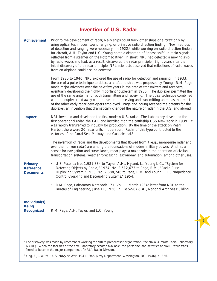<span id="page-12-0"></span>

| <b>Achievement</b>                                        | Prior to the development of radar, Navy ships could track other ships or aircraft only by<br>using optical techniques, sound ranging, or primitive radio direction finding. New methods<br>of detection and ranging were necessary. In 1922, <sup>1</sup> while working on radio direction finders<br>for aircraft, A.H. Taylor and L.C. Young noted a distortion of "phase shift" in radio signals<br>reflected from a steamer on the Potomac River. In short, NRL had detected a moving ship<br>by radio waves and had, as a result, discovered the radar principle. Eight years after the<br>initial discovery of the radar principle, NRL scientists observed that reflections of radio waves<br>from an airplane could also be detected.                     |
|-----------------------------------------------------------|-------------------------------------------------------------------------------------------------------------------------------------------------------------------------------------------------------------------------------------------------------------------------------------------------------------------------------------------------------------------------------------------------------------------------------------------------------------------------------------------------------------------------------------------------------------------------------------------------------------------------------------------------------------------------------------------------------------------------------------------------------------------|
|                                                           | From 1930 to 1940, NRL explored the use of radio for detection and ranging. In 1933,<br>the use of a pulse technique to detect aircraft and ships was proposed by Young. R.M. Page<br>made major advances over the next few years in the area of transmitters and receivers,<br>eventually developing the highly important "duplexer" in 1936. The duplexer permitted the<br>use of the same antenna for both transmitting and receiving. The pulse technique combined<br>with the duplexer did away with the separate receiving and transmitting antennas that most<br>of the other early radar developers employed. Page and Young received the patents for the<br>duplexer, an invention that dramatically changed the nature of radar in the U.S. and abroad. |
| <b>Impact</b>                                             | NRL invented and developed the first modern U.S. radar. The Laboratory developed the<br>first operational radar, the XAF, and installed it on the battleship USS New York in 1939. It<br>was rapidly transferred to industry for production. By the time of the attack on Pearl<br>Harbor, there were 20 radar units in operation. Radar of this type contributed to the<br>victories of the Coral Sea, Midway, and Guadalcanal. <sup>2</sup>                                                                                                                                                                                                                                                                                                                     |
|                                                           | The invention of radar and the developments that flowed from it (e.g., monopulse radar and<br>over-the-horizon radar) are among the foundations of modern military power. And, as a<br>sensor for navigation and surveillance, radar plays a major role in the operation of civilian<br>transportation systems, weather forecasting, astronomy, and automation, among other uses.                                                                                                                                                                                                                                                                                                                                                                                 |
| <b>Primary</b><br><b>Reference</b><br><b>Documents</b>    | • U.S. Patents: No. 1,981,884 to Taylor, A.H., Hyland, L., Young L.C., "System for<br>Detecting Objects by Radio," 1934; No. 2,512,673 to Page, R.M., "Radio Pulse<br>Duplexing System," 1950; No. 2,688,746 to Page, R.M. and Young, L.C., "Impedance<br>Control Coupling and Decoupling Systems," 1954.                                                                                                                                                                                                                                                                                                                                                                                                                                                         |
|                                                           | • R.M. Page, Laboratory Notebook 171, Vol. III, March 1934; letter from NRL to the<br>Bureau of Engineering, June 11, 1936, in File S-S67-5 #1, National Archives Building.                                                                                                                                                                                                                                                                                                                                                                                                                                                                                                                                                                                       |
| <b>Individual(s)</b><br><b>Being</b><br><b>Recognized</b> | R.M. Page, A.H. Taylor, and L.C. Young                                                                                                                                                                                                                                                                                                                                                                                                                                                                                                                                                                                                                                                                                                                            |

<sup>&</sup>lt;sup>1</sup> The discovery was made by researchers working for NRL's predecessor organization, the Naval Aircraft Radio Laboratory (NARL). When the facilities of the new Laboratory became available, the personnel and activities of NARL were transferred to become the major component of NRL's Radio Division.

<sup>2</sup> King, E.J., ADM, *U. S. Navy at War: 1941-1945* (Navy Department, Washington, DC, 1946), p. 226.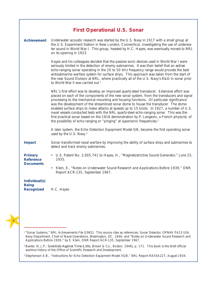<span id="page-13-0"></span>

|                                                           | <b>First Operational U.S. Sonar</b>                                                                                                                                                                                                                                                                                                                                                                                                                                                                                                                                                                                                                                                                                                                         |
|-----------------------------------------------------------|-------------------------------------------------------------------------------------------------------------------------------------------------------------------------------------------------------------------------------------------------------------------------------------------------------------------------------------------------------------------------------------------------------------------------------------------------------------------------------------------------------------------------------------------------------------------------------------------------------------------------------------------------------------------------------------------------------------------------------------------------------------|
| <b>Achievement</b>                                        | Underwater acoustic research was started by the U.S. Navy in 1917 with a small group at<br>the U.S. Experiment Station in New London, Connecticut, investigating the use of underwa-<br>ter sound in World War I. This group, headed by H.C. Hayes, was eventually moved to NRL<br>on its opening in 1923.                                                                                                                                                                                                                                                                                                                                                                                                                                                  |
|                                                           | Hayes and his colleagues decided that the passive sonic devices used in World War I were<br>seriously limited in the detection of enemy submarines. It was their belief that an active<br>echo-ranging sonar operating in the 20 to 50 kHz frequency range would provide the best<br>antisubmarine warfare system for surface ships. This approach was taken from the start of<br>the new Sound Division at NRL, where practically all of the U.S. Navy's R&D in sonar prior<br>to World War II was carried out. <sup>1</sup>                                                                                                                                                                                                                               |
|                                                           | NRL's first effort was to develop an improved quartz-steel transducer. Extensive effort was<br>placed on each of the components of the new sonar system, from the transducers and signal<br>processing to the mechanical mounting and housing functions. Of particular significance<br>was the development of the streamlined sonar dome to house the transducer. The dome<br>enabled surface ships to make attacks at speeds up to 15 knots. In 1927, a number of U.S.<br>naval vessels conducted tests with the NRL quartz-steel echo-ranging sonar. This was the<br>first practical sonar based on the 1918 demonstration by P. Langevin, a French physicist, of<br>the possibility of echo-ranging or "pinging" at supersonic frequencies. <sup>2</sup> |
|                                                           | A later system, the Echo Detection Equipment Model QB, became the first operating sonar<br>used by the U.S. Navy. <sup>3</sup>                                                                                                                                                                                                                                                                                                                                                                                                                                                                                                                                                                                                                              |
| <b>Impact</b>                                             | Sonar transformed naval warfare by improving the ability of surface ships and submarines to<br>detect and track enemy submarines.                                                                                                                                                                                                                                                                                                                                                                                                                                                                                                                                                                                                                           |
| <b>Primary</b><br><b>Reference</b><br><b>Documents</b>    | • U.S. Patent No. 2,005,741 to Hayes, H., "Magnetostrictive Sound Generator," June 25,<br>1935.                                                                                                                                                                                                                                                                                                                                                                                                                                                                                                                                                                                                                                                             |
|                                                           | • Klein, E., "Notes on Underwater Sound Research and Applications Before 1939," ONR<br>Report ACR-135, September 1967.                                                                                                                                                                                                                                                                                                                                                                                                                                                                                                                                                                                                                                      |
| <b>Individual(s)</b><br><b>Being</b><br><b>Recognized</b> | H.C. Hayes                                                                                                                                                                                                                                                                                                                                                                                                                                                                                                                                                                                                                                                                                                                                                  |

<sup>6</sup>

<sup>&</sup>lt;sup>1</sup> "Sonar Systems," NRL Achievements File (1982). This source cites as references: Sonar Detector, OPNAV P413-104, Navy Department, Chief of Naval Operations, Washington, DC, 1946; and "Notes on Underwater Sound Research and Applications Before 1939," by E. Klein, ONR Report ACR-135, September 1967.

<sup>2</sup>Baxter, III, J.P., *Scientists Against Time* (Little, Brown & Co., Boston, 1946), p. 171. This book is the brief official wartime history of the Office of Scientific Research and Development.

<sup>3</sup> Stephenson E.B., "Instructions for Echo Detection Equipment Model XQB," NRL Report RA55A227, August 1934.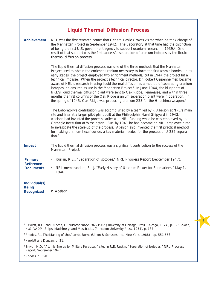<span id="page-14-0"></span>

| <b>Achievement</b>                                        | NRL was the first research center that General Leslie Groves visited when he took charge of<br>the Manhattan Project in September 1942. The Laboratory at that time had the distinction<br>of being the first U.S. government agency to support uranium research in 1939. <sup>1</sup> One<br>result of that support was the first successful separation of uranium isotopes by the liquid<br>thermal diffusion process.                                                                                                                                                                                                                                                                                                                                                                                                                                                     |
|-----------------------------------------------------------|------------------------------------------------------------------------------------------------------------------------------------------------------------------------------------------------------------------------------------------------------------------------------------------------------------------------------------------------------------------------------------------------------------------------------------------------------------------------------------------------------------------------------------------------------------------------------------------------------------------------------------------------------------------------------------------------------------------------------------------------------------------------------------------------------------------------------------------------------------------------------|
|                                                           | The liquid thermal diffusion process was one of the three methods that the Manhattan<br>Project used to obtain the enriched uranium necessary to form the first atomic bombs. In its<br>early stages, the project employed two enrichment methods, but in 1944 the project hit a<br>technical impasse. When the project's technical director, Dr. Robert Oppenheimer, became<br>aware of NRL's research in using liquid thermal diffusion as a method of separating uranium<br>isotopes, he ensured its use in the Manhattan Project. <sup>2</sup> In June 1944, the blueprints of<br>NRL's liquid thermal diffusion plant were sent to Oak Ridge, Tennessee, and within three<br>months the first columns of the Oak Ridge uranium separation plant were in operation. In<br>the spring of 1945, Oak Ridge was producing uranium-235 for the Hiroshima weapon. <sup>3</sup> |
|                                                           | The Laboratory's contribution was accomplished by a team led by P. Abelson at NRL's main<br>site and later at a larger pilot plant built at the Philadelphia Naval Shipyard in 1943.4<br>Abelson had invented the process earlier with NRL funding while he was employed by the<br>Carnegie Institution of Washington. But, by 1941 he had become an NRL employee hired<br>to investigate the scale-up of the process. Abelson also invented the first practical method<br>for making uranium hexafluoride, a key material needed for the process of U-235 separa-<br>tion. <sup>5</sup>                                                                                                                                                                                                                                                                                     |
| <b>Impact</b>                                             | The liquid thermal diffusion process was a significant contribution to the success of the<br>Manhattan Project.                                                                                                                                                                                                                                                                                                                                                                                                                                                                                                                                                                                                                                                                                                                                                              |
| <b>Primary</b><br><b>Reference</b><br><b>Documents</b>    | Ruskin, R.E., "Separation of Isotopes," NRL Progress Report (September 1947).<br>٠                                                                                                                                                                                                                                                                                                                                                                                                                                                                                                                                                                                                                                                                                                                                                                                           |
|                                                           | NRL memorandum, Subj. "Early History of Uranium Power for Submarines," May 1,<br>$\bullet$<br>1946.                                                                                                                                                                                                                                                                                                                                                                                                                                                                                                                                                                                                                                                                                                                                                                          |
| <b>Individual(s)</b><br><b>Being</b><br><b>Recognized</b> | P. Abelson                                                                                                                                                                                                                                                                                                                                                                                                                                                                                                                                                                                                                                                                                                                                                                                                                                                                   |

 $^{\rm 5}$  Rhodes, p. 550.

<sup>&</sup>lt;sup>1</sup> Hewlett, R.G. and Duncan, F., *Nuclear Navy:1946-1962* (University of Chicago Press, Chicago, 1974), p. 17; Bowen, H.G. VADM, *Ships, Machinery, and Mossbacks*, (Princeton University Press, 1954), p. 187.

<sup>2</sup>Rhodes, R., *The Making of the Atomic Bomb* (Simon & Schuster, Inc., New York, 1988), pp. 551-553.

<sup>3</sup> Hewlett and Duncan, p. 21.

<sup>4</sup> Smyth, H.D. "Atomic Energy for Military Purposes," cited in R.E. Ruskin, "Separation of Isotopes," *NRL Progress Report*, September 1947.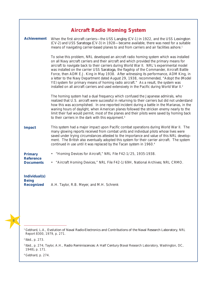## **Aircraft Radio Homing System**

<span id="page-15-0"></span>

| <b>Achievement</b>                                        | When the first aircraft carriers—the USS Langley (CV-1) in 1922, and the USS Lexington<br>(CV-2) and USS Saratoga (CV-3) in 1928—became available, there was need for a suitable<br>means of navigating carrier-based planes to and from carriers and air facilities ashore. <sup>1</sup>                                                                                                                                                                                                                                                                                                                                                                                                                                                                            |
|-----------------------------------------------------------|----------------------------------------------------------------------------------------------------------------------------------------------------------------------------------------------------------------------------------------------------------------------------------------------------------------------------------------------------------------------------------------------------------------------------------------------------------------------------------------------------------------------------------------------------------------------------------------------------------------------------------------------------------------------------------------------------------------------------------------------------------------------|
|                                                           | To solve this problem, NRL developed an aircraft radio homing system which was installed<br>on all Navy aircraft carriers and their aircraft and which provided the primary means for<br>aircraft to navigate back to their carriers during World War II. NRL's experimental model<br>was installed on the carrier USS Saratoga, the flagship of the Commander, Aircraft Battle<br>Force, then ADM E.J. King in May 1938. After witnessing its performance, ADM King, in<br>a letter to the Navy Department dated August 29, 1938, recommended, "Adopt the (Model<br>YE) system for primary means of homing radio aircraft." As a result, the system was<br>installed on all aircraft carriers and used extensively in the Pacific during World War II. <sup>2</sup> |
|                                                           | The homing system had a dual frequency which confused the Japanese admirals, who<br>realized that U.S. aircraft were successful in returning to their carriers but did not understand<br>how this was accomplished. In one reported incident during a battle in the Marianas, in the<br>waning hours of daylight, when American planes followed the stricken enemy nearly to the<br>limit their fuel would permit, most of the planes and their pilots were saved by homing back<br>to their carriers in the dark with this equipment. <sup>3</sup>                                                                                                                                                                                                                  |
| <b>Impact</b>                                             | This system had a major impact upon Pacific combat operations during World War II. The<br>many glowing reports received from combat units and individual pilots whose lives were<br>saved under trying circumstances attested to the importance and value of this NRL develop-<br>ment. The British also eventually adopted this system for their carrier aircraft. The system<br>continued in use until it was replaced by the Tacan system in 1960. <sup>4</sup>                                                                                                                                                                                                                                                                                                   |
| <b>Primary</b>                                            | • "Homing Devices for Aircraft," NRL File F42-1/25, 1935-1938.                                                                                                                                                                                                                                                                                                                                                                                                                                                                                                                                                                                                                                                                                                       |
| <b>Reference</b><br><b>Documents</b>                      | • "Aircraft Homing Devices," NRL File F42-1/69H, National Archives; NRL CRMO.                                                                                                                                                                                                                                                                                                                                                                                                                                                                                                                                                                                                                                                                                        |
| <b>Individual(s)</b><br><b>Being</b><br><b>Recognized</b> | A.H. Taylor, R.B. Meyer, and M.H. Schrenk                                                                                                                                                                                                                                                                                                                                                                                                                                                                                                                                                                                                                                                                                                                            |

8

<sup>2</sup> *Ibid*., p. 273.

<sup>3</sup> *Ibid*., p. 274; Taylor, A.H., *Radio Reminiscences: A Half Century* (Naval Research Laboratory, Washington, DC, 1948), p. 171.

4Gebhard, p. 274.

<sup>&</sup>lt;sup>1</sup> Gebhard, L.A., *Evolution of Naval Radio-Electronics and Contributions of the Naval Research Laboratory*, NRL Report 8300, 1979, p. 271.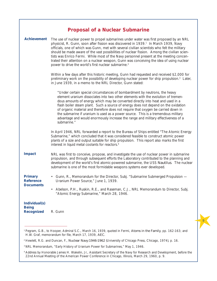<span id="page-16-0"></span>

|                                                           | <b>Proposal of a Nuclear Submarine</b>                                                                                                                                                                                                                                                                                                                                                                                                                                                                                                                                                                                                                |
|-----------------------------------------------------------|-------------------------------------------------------------------------------------------------------------------------------------------------------------------------------------------------------------------------------------------------------------------------------------------------------------------------------------------------------------------------------------------------------------------------------------------------------------------------------------------------------------------------------------------------------------------------------------------------------------------------------------------------------|
| <b>Achievement</b>                                        | The use of nuclear power to propel submarines under water was first proposed by an NRL<br>physicist, R. Gunn, soon after fission was discovered in 1939. <sup>1</sup> In March 1939, Navy<br>officials, one of which was Gunn, met with several civilian scientists who felt the military<br>should be made aware of the vast possibilities of nuclear fission. Among the civilian scien-<br>tists was Enrico Fermi. While most of the Navy personnel present at the meeting concen-<br>trated their attention on a nuclear weapon, Gunn was conceiving the idea of using nuclear<br>power to drive the world's first nuclear submarine. <sup>2</sup> |
|                                                           | Within a few days after this historic meeting, Gunn had requested and received \$2,000 for<br>preliminary work on the possibility of developing nuclear power for ship propulsion. <sup>3</sup> Later,<br>in June 1939, in a memo to the NRL Director, Gunn stated:                                                                                                                                                                                                                                                                                                                                                                                   |
|                                                           | "Under certain special circumstances of bombardment by neutrons, the heavy<br>element uranium dissociates into two other elements with the evolution of tremen-<br>dous amounts of energy which may be converted directly into heat and used in a<br>flash boiler steam plant. Such a source of energy does not depend on the oxidation<br>of organic material and therefore does not require that oxygen be carried down in<br>the submarine if uranium is used as a power source. This is a tremendous military<br>advantage and would enormously increase the range and military effectiveness of a<br>submarine."                                 |
|                                                           | In April 1946, NRL forwarded a report to the Bureau of Ships entitled "The Atomic Energy<br>Submarine," which concluded that it was considered feasible to construct atomic power<br>plants of a size and output suitable for ship propulsion. This report also marks the first<br>interest in liquid metal coolants for reactors. <sup>4</sup>                                                                                                                                                                                                                                                                                                       |
| <b>Impact</b>                                             | NRL was first to conceive, propose, and investigate the use of nuclear power in submarine<br>propulsion, and through subsequent efforts the Laboratory contributed to the planning and<br>development of the world's first atomic-powered submarine, the USS Nautilus. The nuclear<br>submarine is one of the most formidable weapons systems ever developed.                                                                                                                                                                                                                                                                                         |
| <b>Primary</b><br><b>Reference</b>                        | • Gunn, R., Memorandum for the Director, Subj. "Submarine Submerged Propulsion —<br>Uranium Power Source," June 1, 1939.                                                                                                                                                                                                                                                                                                                                                                                                                                                                                                                              |
| <b>Documents</b>                                          | Abelson, P.H., Ruskin, R.E., and Raseman, C.J., NRL Memorandum to Director, Subj.<br>"Atomic Energy Submarine," March 28, 1946.                                                                                                                                                                                                                                                                                                                                                                                                                                                                                                                       |
| <b>Individual(s)</b><br><b>Being</b><br><b>Recognized</b> | R. Gunn                                                                                                                                                                                                                                                                                                                                                                                                                                                                                                                                                                                                                                               |

<sup>1</sup> Pegram, G.B., to Hooper, Admiral S.C., March 16, 1939, quoted in Fermi, *Atoms in the Family*, pp. 162-163; and H.W. Graf, memorandum for file, March 17, 1939, *AEC*.

<sup>2</sup> Hewlett, R.G. and Duncan, F., *Nuclear Navy:1946-1962* (University of Chicago Press, Chicago, 1974), p. 16.

<sup>3</sup> NRL Memorandum, "Early History of Uranium Power for Submarines," May 1, 1946.

<sup>4</sup> Address by Honorable James H. Wakelin, Jr., Assistant Secretary of the Navy for Research and Development, before the 22nd Annual Meeting of the American Power Conference in Chicago, Illinois, March 29, 1960, p. 9.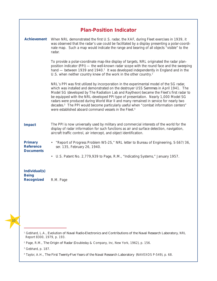<span id="page-17-0"></span>

|                                                           | <b>Plan-Position Indicator</b>                                                                                                                                                                                                                                                                                                                                                                                                                                                                                                                                                                                                      |
|-----------------------------------------------------------|-------------------------------------------------------------------------------------------------------------------------------------------------------------------------------------------------------------------------------------------------------------------------------------------------------------------------------------------------------------------------------------------------------------------------------------------------------------------------------------------------------------------------------------------------------------------------------------------------------------------------------------|
| <b>Achievement</b>                                        | When NRL demonstrated the first U.S. radar, the XAF, during Fleet exercises in 1939, it<br>was observed that the radar's use could be facilitated by a display presenting a polar-coordi-<br>nate map. Such a map would indicate the range and bearing of all objects "visible" to the<br>radar.                                                                                                                                                                                                                                                                                                                                    |
|                                                           | To provide a polar-coordinate map-like display of targets, NRL originated the radar plan-<br>position indicator (PPI) — the well-known radar scope with the round face and the sweeping<br>hand — between 1939 and 1940. <sup>1</sup> It was developed independently in England and in the<br>U.S. when neither country knew of the work in the other country. <sup>2</sup>                                                                                                                                                                                                                                                         |
|                                                           | NRL's PPI was first utilized by incorporation in the experimental model of the SG radar,<br>which was installed and demonstrated on the destroyer USS Semmes in April 1941. The<br>Model SG (developed by The Radiation Lab and Raytheon) became the Fleet's first radar to<br>be equipped with the NRL-developed PPI type of presentation. Nearly 1,000 Model SG<br>radars were produced during World War II and many remained in service for nearly two<br>decades. <sup>3</sup> The PPI would become particularly useful when "combat information centers"<br>were established aboard command vessels in the Fleet. <sup>4</sup> |
| <b>Impact</b>                                             | The PPI is now universally used by military and commercial interests of the world for the<br>display of radar information for such functions as air and surface detection, navigation,<br>aircraft traffic control, air intercept, and object identification.                                                                                                                                                                                                                                                                                                                                                                       |
| <b>Primary</b><br><b>Reference</b><br><b>Documents</b>    | • "Report of Progress Problem W5-2S," NRL letter to Bureau of Engineering, S-S67/36,<br>ser. 135, February 26, 1940.                                                                                                                                                                                                                                                                                                                                                                                                                                                                                                                |
|                                                           | • U.S. Patent No. 2,779,939 to Page, R.M., "Indicating Systems," January 1957.                                                                                                                                                                                                                                                                                                                                                                                                                                                                                                                                                      |
| <b>Individual(s)</b><br><b>Being</b><br><b>Recognized</b> | R.M. Page                                                                                                                                                                                                                                                                                                                                                                                                                                                                                                                                                                                                                           |

3 Gebhard, p. 187.

<sup>1</sup> Gebhard, L.A., *Evolution of Naval Radio-Electronics and Contributions of the Naval Research Laboratory*, NRL Report 8300, 1979, p. 193.

<sup>2</sup> Page, R.M., *The Origin of Radar* (Doubleday & Company, Inc, New York, 1962), p. 156.

<sup>4</sup> Taylor, A.H., *The First Twenty-Five Years of the Naval Research Laboratory* (NAVEXOS P-549), p. 68.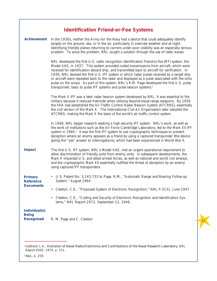# **Identification Friend-or-Foe Systems**

<span id="page-18-0"></span>

|                                      | Achievement In the 1930s, neither the Army nor the Navy had a device that could adequately identify<br>targets on the ground, sea, or in the air, particularly in overcast weather and at night.<br>Identifying friendly planes returning to carriers under poor visibility was an especially serious<br>problem. To solve the problem, NRL sought a solution through the use of radio waves.                                                                                                                                                                                                                                                                             |  |
|--------------------------------------|---------------------------------------------------------------------------------------------------------------------------------------------------------------------------------------------------------------------------------------------------------------------------------------------------------------------------------------------------------------------------------------------------------------------------------------------------------------------------------------------------------------------------------------------------------------------------------------------------------------------------------------------------------------------------|--|
|                                      | NRL developed the first U.S. radio recognition identification friend-or-foe (IFF) system, the<br>Model XAE, in 1937. This system provided coded transmissions from aircraft, which were<br>received for identification aboard ship, and transmitted back to aircraft for verification. In<br>1939, NRL devised the first U.S. IFF system in which radar pulses received by a target ship<br>or aircraft were repeated back to the radar and displayed as a pulse associated with the echo<br>pulse on the scope. As part of this system, NRL's R.M. Page developed the first U.S. pulse<br>transponder, basic to pulse IFF systems and pulse beacon systems. <sup>1</sup> |  |
|                                      | The Mark X IFF was a later radar beacon system developed by NRL. It was essential to the<br>military because it reduced fratricide when utilizing beyond-visual-range weapons. By 1958<br>the FAA had established the Air Traffic Control Radar Beacon System (ATCRBS), essentially<br>the civil version of the Mark X. The International Civil Air Organization later adopted the<br>ATCRBS, making the Mark X the basis of the world's air traffic control system.                                                                                                                                                                                                      |  |
|                                      | In 1948, NRL began research seeking a high-security IFF system. NRL's work, as well as<br>the work of institutions such as the Air Force Cambridge Laboratory, led to the Mark XII IFF<br>system in 1960. <sup>2</sup> It was the first IFF system to use cryptographic techniques to prevent<br>deception where an enemy appears as a friend by using a captured transponder (the device<br>giving the "yes" answer to interrogations), which had been experienced in World War II.                                                                                                                                                                                      |  |
| <b>Impact</b>                        | The first U.S. IFF system, NRL's Model XAE, met an urgent operational requirement to<br>allow discrimination of friendly units from enemy units. In subsequent developments, the<br>Mark X impacted U.S. and allied armed forces, as well as national and world civil airways,<br>and the cryptographic Mark XII essentially nullified the threat of deception by an enemy<br>using captured IFF transponders.                                                                                                                                                                                                                                                            |  |
| <b>Primary</b><br><b>Reference</b>   | • U.S. Patent No. 3,143,733 to Page, R.M., "Automatic Range and Bearing Follow-up<br>System," August 1964.                                                                                                                                                                                                                                                                                                                                                                                                                                                                                                                                                                |  |
| <b>Documents</b>                     | Cleeton, C.E., "Proposed System of Electronic Recognition," NRL P-3131, June 1947.<br>$\bullet$                                                                                                                                                                                                                                                                                                                                                                                                                                                                                                                                                                           |  |
|                                      | Cleeton, C.E., "Coding and Security of Electronic Recognition and Identification Sys-<br>tems," NRL Report 2972, September 12, 1946.                                                                                                                                                                                                                                                                                                                                                                                                                                                                                                                                      |  |
| <b>Individual(s)</b><br><b>Being</b> |                                                                                                                                                                                                                                                                                                                                                                                                                                                                                                                                                                                                                                                                           |  |
| <b>Recognized</b>                    | R. M. Page and C. Cleeton                                                                                                                                                                                                                                                                                                                                                                                                                                                                                                                                                                                                                                                 |  |
|                                      |                                                                                                                                                                                                                                                                                                                                                                                                                                                                                                                                                                                                                                                                           |  |

11

<sup>2</sup> *Ibid.*, p. 259.

<sup>1</sup> Gebhard, L.A., *Evolution of Naval Radio-Electronics and Contributions of the Naval Research Laboratory*, NRL Report 8300, 1979, p. 251.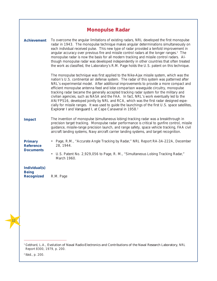|  | <b>Monopulse Radar</b> |
|--|------------------------|
|  |                        |

<span id="page-19-0"></span>

| <b>Achievement</b>                                        | To overcome the angular limitations of existing radars, NRL developed the first monopulse<br>radar in 1943. The monopulse technique makes angular determinations simultaneously on<br>each individual received pulse. This new type of radar provided a tenfold improvement in<br>angular accuracy over previous fire and missile control radars at the longer ranges. <sup>1</sup> The<br>monopulse radar is now the basis for all modern tracking and missile control radars. Al-<br>though monopulse radar was developed independently in other countries that often treated<br>the work as classified, the Laboratory's R.M. Page holds the U.S. patent on this technique.<br>The monopulse technique was first applied to the Nike-Ajax missile system, which was the<br>nation's U.S. continental air defense system. The radar of this system was patterned after<br>NRL's experimental model. After additional improvements to provide a more compact and<br>efficient monopulse antenna feed and lobe comparison waveguide circuitry, monopulse<br>tracking radar became the generally accepted tracking radar system for the military and<br>civilian agencies, such as NASA and the FAA. In fact, NRL's work eventually led to the<br>AN/FPS16, developed jointly by NRL and RCA, which was the first radar designed espe-<br>cially for missile ranges. It was used to guide the launchings of the first U.S. space satellites,<br>Explorer I and Vanguard I, at Cape Canaveral in 1958. <sup>2</sup> |
|-----------------------------------------------------------|-------------------------------------------------------------------------------------------------------------------------------------------------------------------------------------------------------------------------------------------------------------------------------------------------------------------------------------------------------------------------------------------------------------------------------------------------------------------------------------------------------------------------------------------------------------------------------------------------------------------------------------------------------------------------------------------------------------------------------------------------------------------------------------------------------------------------------------------------------------------------------------------------------------------------------------------------------------------------------------------------------------------------------------------------------------------------------------------------------------------------------------------------------------------------------------------------------------------------------------------------------------------------------------------------------------------------------------------------------------------------------------------------------------------------------------------------------------------------------------------------------------------|
| <b>Impact</b>                                             | The invention of monopulse (simultaneous lobing) tracking radar was a breakthrough in<br>precision target tracking. Monopulse radar performance is critical to gunfire control, missile<br>guidance, missile-range precision launch, and range safety, space vehicle tracking, FAA civil<br>aircraft landing systems, Navy aircraft carrier landing systems, and target recognition.                                                                                                                                                                                                                                                                                                                                                                                                                                                                                                                                                                                                                                                                                                                                                                                                                                                                                                                                                                                                                                                                                                                              |
| <b>Primary</b><br><b>Reference</b><br><b>Documents</b>    | • Page, R.M., "Accurate Angle Tracking by Radar," NRL Report RA-3A-222A, December<br>28, 1944.<br>• U.S. Patent No. 2,929,056 to Page, R. M., "Simultaneous Lobing Tracking Radar,"<br>March 1960.                                                                                                                                                                                                                                                                                                                                                                                                                                                                                                                                                                                                                                                                                                                                                                                                                                                                                                                                                                                                                                                                                                                                                                                                                                                                                                                |
| <b>Individual(s)</b><br><b>Being</b><br><b>Recognized</b> | R.M. Page                                                                                                                                                                                                                                                                                                                                                                                                                                                                                                                                                                                                                                                                                                                                                                                                                                                                                                                                                                                                                                                                                                                                                                                                                                                                                                                                                                                                                                                                                                         |

<sup>2</sup> *Ibid*., p. 200.

<sup>1</sup>Gebhard, L.A., *Evolution of Naval Radio-Electronics and Contributions of the Naval Research Laboratory*, NRL Report 8300, 1979, p. 200.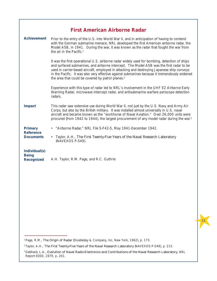## **First American Airborne Radar**

<span id="page-20-0"></span>

| <b>Achievement</b>                                        | Prior to the entry of the U.S. into World War II, and in anticipation of having to contend<br>with the German submarine menace, NRL developed the first American airborne radar, the<br>Model ASB, in 1941. During the war, it was known as the radar that fought the war from<br>the air in the Pacific. <sup>1</sup>                                                                                                                                   |
|-----------------------------------------------------------|----------------------------------------------------------------------------------------------------------------------------------------------------------------------------------------------------------------------------------------------------------------------------------------------------------------------------------------------------------------------------------------------------------------------------------------------------------|
|                                                           | It was the first operational U.S. airborne radar widely used for bombing, detection of ships<br>and surfaced submarines, and airborne intercept. The Model ASB was the first radar to be<br>used in carrier-based aircraft, employed in attacking and destroying Japanese ship convoys<br>in the Pacific. It was also very effective against submarines because it tremendously widened<br>the area that could be covered by patrol planes. <sup>2</sup> |
|                                                           | Experience with this type of radar led to NRL's involvement in the UHF E2 Airborne Early<br>Warning Radar, microwave intercept radar, and antisubmarine warfare periscope detection<br>radars.                                                                                                                                                                                                                                                           |
| <b>Impact</b>                                             | This radar saw extensive use during World War II, not just by the U.S. Navy and Army Air<br>Corps, but also by the British military. It was installed almost universally in U.S. naval<br>aircraft and became known as the "workhorse of Naval Aviation." Over 26,000 units were<br>procured (from 1942 to 1944), the largest procurement of any model radar during the war. <sup>3</sup>                                                                |
| <b>Primary</b>                                            | • "Airborne Radar," NRL File S-F42-5, May 1941-December 1942.                                                                                                                                                                                                                                                                                                                                                                                            |
| <b>Reference</b><br><b>Documents</b>                      | • Taylor, A.H., The First Twenty-Five Years of the Naval Research Laboratory<br>(NAVEXOS P-549).                                                                                                                                                                                                                                                                                                                                                         |
| <b>Individual(s)</b><br><b>Being</b><br><b>Recognized</b> | A.H. Taylor, R.M. Page, and R.C. Guthrie                                                                                                                                                                                                                                                                                                                                                                                                                 |
|                                                           |                                                                                                                                                                                                                                                                                                                                                                                                                                                          |
|                                                           |                                                                                                                                                                                                                                                                                                                                                                                                                                                          |
|                                                           |                                                                                                                                                                                                                                                                                                                                                                                                                                                          |
|                                                           |                                                                                                                                                                                                                                                                                                                                                                                                                                                          |
|                                                           |                                                                                                                                                                                                                                                                                                                                                                                                                                                          |
|                                                           |                                                                                                                                                                                                                                                                                                                                                                                                                                                          |
|                                                           |                                                                                                                                                                                                                                                                                                                                                                                                                                                          |

<sup>1</sup> Page, R.M., *The Origin of Radar* (Doubleday & Company, Inc, New York, 1962), p. 173.

<sup>2</sup> Taylor, A.H., *The First Twenty-Five Years of the Naval Research Laboratory* (NAVEXOS P-549), p. 215.

<sup>3</sup> Gebhard, L.A., *Evolution of Naval Radio-Electronics and Contributions of the Naval Research Laboratory*, NRL Report 8300, 1979, p. 201.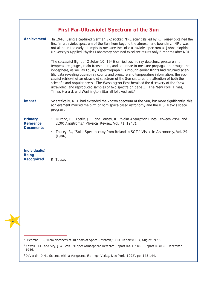## **First Far-Ultraviolet Spectrum of the Sun**

<span id="page-21-0"></span>

| <b>Achievement</b>                                        | In 1946, using a captured German V-2 rocket, NRL scientists led by R. Tousey obtained the<br>first far-ultraviolet spectrum of the Sun from beyond the atmospheric boundary. NRL was<br>not alone in the early attempts to measure the solar ultraviolet spectrum as Johns Hopkins<br>University's Applied Physics Laboratory obtained excellent results only 6 months after NRL. <sup>1</sup><br>The successful flight of October 10, 1946 carried cosmic ray detectors, pressure and<br>temperature gauges, radio transmitters, and antennae to measure propagation through the<br>ionosphere, as well as Tousey's spectrograph. <sup>2</sup> Although earlier flights had returned scien-<br>tific data revealing cosmic-ray counts and pressure and temperature information, the suc-<br>cessful retrieval of an ultraviolet spectrum of the Sun captured the attention of both the<br>scientific and popular press. The Washington Post heralded the discovery of the "new<br>ultraviolet" and reproduced samples of two spectra on page 1. The New York Times,<br>Times Herald, and Washington Star all followed suit. <sup>3</sup> |
|-----------------------------------------------------------|-------------------------------------------------------------------------------------------------------------------------------------------------------------------------------------------------------------------------------------------------------------------------------------------------------------------------------------------------------------------------------------------------------------------------------------------------------------------------------------------------------------------------------------------------------------------------------------------------------------------------------------------------------------------------------------------------------------------------------------------------------------------------------------------------------------------------------------------------------------------------------------------------------------------------------------------------------------------------------------------------------------------------------------------------------------------------------------------------------------------------------------------|
| <b>Impact</b>                                             | Scientifically, NRL had extended the known spectrum of the Sun, but more significantly, this<br>achievement marked the birth of both space-based astronomy and the U.S. Navy's space<br>program.                                                                                                                                                                                                                                                                                                                                                                                                                                                                                                                                                                                                                                                                                                                                                                                                                                                                                                                                          |
| <b>Primary</b><br><b>Reference</b><br><b>Documents</b>    | • Durand, E., Oberly, J.J., and Tousey, R., "Solar Absorption Lines Between 2950 and<br>2200 Angstroms," Physical Review, Vol. 71 (1947).<br>Tousey, R., "Solar Spectroscopy from Roland to SOT," Vistas in Astronomy, Vol. 29<br>٠<br>(1986).                                                                                                                                                                                                                                                                                                                                                                                                                                                                                                                                                                                                                                                                                                                                                                                                                                                                                            |
| <b>Individual(s)</b><br><b>Being</b><br><b>Recognized</b> | R. Tousey                                                                                                                                                                                                                                                                                                                                                                                                                                                                                                                                                                                                                                                                                                                                                                                                                                                                                                                                                                                                                                                                                                                                 |

<sup>&</sup>lt;sup>1</sup> Friedman, H., "Reminiscences of 30 Years of Space Research," NRL Report 8113, August 1977.

<sup>&</sup>lt;sup>2</sup> Newell, H.E. and Siry, J.W., eds., "Upper Atmosphere Research Report No. II," NRL Report R-3030, December 30, 1946.

<sup>3</sup>DeVorkin, D.H., *Science with a Vengeance* (Springer-Verlag, New York, 1992), pp. 143-144.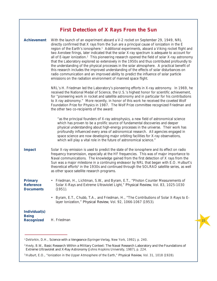## **First Detection of X Rays From the Sun**

<span id="page-22-0"></span>

| <b>Achievement</b>                                        | With the launch of an experiment aboard a V-2 rocket on September 29, 1949, NRL<br>directly confirmed that X rays from the Sun are a principal cause of ionization in the E<br>region of the Earth's ionosphere. <sup>1</sup> Additional experiments, aboard a Viking rocket flight and<br>two Aerobee firings, later indicated that the solar X-ray spectrum is adequate to account for<br>all of E-layer ionization. <sup>2</sup> This pioneering research opened the field of solar X-ray astronomy<br>that the Laboratory explored so extensively in the 1950s and thus contributed profoundly to<br>the understanding of the physical processes in the solar atmosphere. A practical benefit of<br>this research includes the improved understanding of the effects of solar disturbances on<br>radio communication and an improved ability to predict the influence of solar particle<br>emissions on the radiation environment of manned space flight. |
|-----------------------------------------------------------|---------------------------------------------------------------------------------------------------------------------------------------------------------------------------------------------------------------------------------------------------------------------------------------------------------------------------------------------------------------------------------------------------------------------------------------------------------------------------------------------------------------------------------------------------------------------------------------------------------------------------------------------------------------------------------------------------------------------------------------------------------------------------------------------------------------------------------------------------------------------------------------------------------------------------------------------------------------|
|                                                           | NRL's H. Friedman led the Laboratory's pioneering efforts in X-ray astronomy. In 1969, he<br>received the National Medal of Science, the U.S.'s highest honor for scientific achievement,<br>for "pioneering work in rocket and satellite astronomy and in particular for his contributions<br>to X-ray astronomy." More recently, in honor of this work he received the coveted Wolf<br>Foundation Prize for Physics in 1987. The Wolf Prize committee recognized Friedman and<br>the other two co-recipients of the award:                                                                                                                                                                                                                                                                                                                                                                                                                                  |
|                                                           | "as the principal founders of X-ray astrophysics, a new field of astronomical science<br>which has proven to be a prolific source of fundamental discoveries and deeper<br>physical understanding about high-energy processes in the universe. Their work has<br>profoundly influenced every area of astronomical research. All agencies engaged in<br>space science are now developing major orbiting facilities for X-ray observations,<br>which will play a vital role in the future of astronomical science."                                                                                                                                                                                                                                                                                                                                                                                                                                             |
| <b>Impact</b>                                             | Solar X-ray emission is used to predict the state of the ionosphere and its effect on radio<br>frequency transmission, especially at the HF frequencies. This was of major importance to<br>Naval communications. The knowledge gained from the first detection of X rays from the<br>Sun was a major milestone in a continuing endeavor by NRL that began with E.O. Hulburt's<br>theoretical efforts <sup>3</sup> in the 1930s and continued through the SOLRAD satellite series, as well<br>as other space satellite research programs.                                                                                                                                                                                                                                                                                                                                                                                                                     |
| <b>Primary</b><br><b>Reference</b><br><b>Documents</b>    | Friedman, H., Lichtman, S.W., and Byram, E.T., "Photon Counter Measurements of<br>$\bullet$<br>Solar X-Rays and Extreme Ultraviolet Light," Physical Review, Vol. 83, 1025-1030<br>(1951).                                                                                                                                                                                                                                                                                                                                                                                                                                                                                                                                                                                                                                                                                                                                                                    |
|                                                           | Byram, E.T., Chubb, T.A., and Friedman, H., "The Contributions of Solar X-Rays to E-<br>layer Ionization," Physical Review, Vol. 92, 1066-1067 (1953).                                                                                                                                                                                                                                                                                                                                                                                                                                                                                                                                                                                                                                                                                                                                                                                                        |
| <b>Individual(s)</b><br><b>Being</b><br><b>Recognized</b> | H. Friedman                                                                                                                                                                                                                                                                                                                                                                                                                                                                                                                                                                                                                                                                                                                                                                                                                                                                                                                                                   |

<sup>1</sup>DeVorkin, D.H., *Science with a Vengeance* (Springer-Verlag, New York, 1992), p. 240.

<sup>2</sup> Hevly, B.W., *Basic Research Within a Military Context: The Naval Research Laboratory and the Foundations of Extreme Ultraviolet and X-Ray Astronomy* (Johns Hopkins University, 1987), p. 224.

<sup>3</sup> Hulburt, E.O., "Ionization in the Upper Atmosphere of the Earth," *Physical Review*, Vol. 31, 1018 (1928).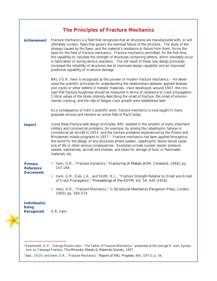<span id="page-23-0"></span>

| <b>The Principles of Fracture Mechanics</b>               |                                                                                                                                                                                                                                                                                                                                                                                                                                                                                                                                                                                                                                                                                                                                                |  |  |
|-----------------------------------------------------------|------------------------------------------------------------------------------------------------------------------------------------------------------------------------------------------------------------------------------------------------------------------------------------------------------------------------------------------------------------------------------------------------------------------------------------------------------------------------------------------------------------------------------------------------------------------------------------------------------------------------------------------------------------------------------------------------------------------------------------------------|--|--|
| <b>Achievement</b>                                        | Fracture mechanics is a field that recognizes that all structures are manufactured with, or will<br>ultimately contain, flaws that govern the eventual failure of the structure. The study of the<br>stresses caused by the flaws, and the material's resistance to failure from them, forms the<br>basis for the field of fracture mechanics. Fracture mechanics permitted, for the first time,<br>the capability to calculate the strength of structures containing defects, which inevitably occur<br>in fabrication or during service operation. The net result of these new design principles<br>increased the reliability of structures due to improved design capability and an improved<br>predictive capability of in-service damage. |  |  |
|                                                           | NRL's G.R. Irwin is recognized as the pioneer of modern fracture mechanics. <sup>1</sup> He devel-<br>oped the scientific principles for understanding the relationships between applied stresses<br>and cracks or other defects in metallic materials. Irwin developed, around 1947, the con-<br>cept that fracture toughness should be measured in terms of resistance to crack propagation.<br>Critical values of the stress intensity describing the onset of fracture, the onset of environ-<br>mental cracking, and the rate of fatigue crack growth were established later.                                                                                                                                                             |  |  |
|                                                           | As a consequence of Irwin's scientific work, fracture mechanics is now taught in many<br>graduate schools and remains an active field of R&D today.                                                                                                                                                                                                                                                                                                                                                                                                                                                                                                                                                                                            |  |  |
| <b>Impact</b>                                             | Using these fracture-safe design principles, NRL assisted in the solution of many important<br>military and commercial problems, for example, by solving the catastrophic failures in<br>commercial jet aircraft in 1953, and the fracture problems experienced by the Polaris and<br>Minuteman missile programs in 1957. <sup>2</sup> Fracture mechanics has been applied throughout<br>the world for the design of any structures where sudden, catastrophic failure would cause<br>loss of life or other serious consequences. Examples include nuclear reactor pressure<br>vessels, submarines, aircraft and missiles, and tanks for storage of toxic or flammable<br>materials, etc.                                                      |  |  |
| <b>Primary</b><br><b>Reference</b>                        | • Irwin, G.R., "Fracture Dynamics," Fracturing of Metals (ASM, Cleveland, 1948), pp.<br>147-166.                                                                                                                                                                                                                                                                                                                                                                                                                                                                                                                                                                                                                                               |  |  |
| <b>Documents</b>                                          | Irwin, G.R., Kies, J.A., and Smith, H.L., "Fracture Strength Relative to Onset and Arrest<br>٠<br>of Crack Propagation," Proceedings of the ASTM, Vol. 58, 640 (1958).                                                                                                                                                                                                                                                                                                                                                                                                                                                                                                                                                                         |  |  |
|                                                           | Irwin, G.R., "Fracture Mechanics," in Structural Mechanics (Pergamon Press, London,<br>$\bullet$<br>1960), pp. 560-574.                                                                                                                                                                                                                                                                                                                                                                                                                                                                                                                                                                                                                        |  |  |
| <b>Individual(s)</b><br><b>Being</b><br><b>Recognized</b> | G.R. Irwin                                                                                                                                                                                                                                                                                                                                                                                                                                                                                                                                                                                                                                                                                                                                     |  |  |

<sup>&</sup>lt;sup>1</sup> Rossmanith, H.P., "George Rankin Irwin - The Father of Fracture Mechanics," presented at the George R. Irwin Symposium on Cleavage Fracture, *The Minerals, Metals & Materials Society*, 1997.

<sup>2</sup> *Ibid*., 19-20; and Irwin, G.R., "Fracture Mechanics," *Report of NRL Progress*, NRL (1973), p. 36.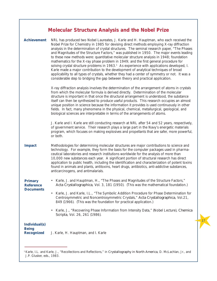#### **Molecular Structure Analysis and the Nobel Prize**

<span id="page-24-0"></span>**Achievement** NRL has produced two Nobel Laureates, J. Karle and H. Hauptman, who each received the Nobel Prize for Chemistry in 1985 for devising direct methods employing X-ray diffraction analysis in the determination of crystal structures. The seminal research paper, "The Phases and Magnitudes of the Structure Factors," was published in 1950. The major events leading to these new methods were: quantitative molecular structure analysis in 1948; foundation mathematics for the X-ray phase problem in 1949; and the first general procedure for solving crystal structure problems in 1963.<sup>1</sup> As experience with applications developed, I. Karle made a major contribution to the development of analytical techniques of broad applicability to all types of crystals, whether they had a center of symmetry or not. It was a considerable step to bridging the gap between theory and practical application. X-ray diffraction analysis involves the determination of the arrangement of atoms in crystals from which the molecular formula is derived directly. Determination of the molecular structure is important in that once the structural arrangement is understood, the substance itself can then be synthesized to produce useful products. This research occupies an almost unique position in science because the information it provides is used continuously in other

biological sciences are interpretable in terms of the arrangements of atoms.

J. Karle and I. Karle are still conducting research at NRL after 54 and 52 years, respectively, of government service. Their research plays a large part in the Navy's energetic materials program, which focuses on making explosives and propellants that are safer, more powerful, or both.

fields. In fact, many phenomena in the physical, chemical, metallurgical, geological, and

**Impact** Methodologies for determining molecular structures are major contributions to science and technology. For example, they form the basis for the computer packages used in pharmaceutical laboratories and research institutions worldwide for the analysis of more than 10,000 new substances each year. A significant portion of structural research has direct application to public health, including the identification and characterization of potent toxins found in animals and plants, antitoxins, heart drugs, antibiotics, anti-addictive substances, anticarcinogens, and antimalarials.

#### **Primary Reference Documents**

- Karle, J. and Hauptman, H., "The Phases and Magnitudes of the Structure Factors," *Acta Crystallographica*, Vol. 3, 181 (1950). (This was the mathematical foundation.)
- Karle, J. and Karle, I.L., "The Symbolic Addition Procedure for Phase Determination for Centrosymmetric and Noncentrosymmetric Crystals," *Acta Crystallographica*, Vol.21, 849 (1966). (This was the foundation for practical application.)
- Karle, J., "Recovering Phase Information from Intensity Data," (Nobel Lecture), *Chemica Scripta*, Vol. 26, 261 (1986).

| <b>Individual(s)</b> |                                     |
|----------------------|-------------------------------------|
| <b>Being</b>         |                                     |
| <b>Recognized</b>    | J. Karle, H. Hauptman, and I. Karle |

<sup>1</sup> Karle, I.L. and Karle, J., "Recollections and Reflections," in *Crystallography in North America*, D. McLachlan, Jr., and J.P. Glusker, eds., 1983.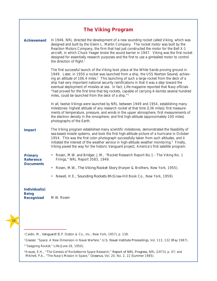<span id="page-25-0"></span>

| <b>The Viking Program</b>                                 |                                                                                                                                                                                                                                                                                                                                                                                                                                                                                                                                                                                                                                               |  |  |
|-----------------------------------------------------------|-----------------------------------------------------------------------------------------------------------------------------------------------------------------------------------------------------------------------------------------------------------------------------------------------------------------------------------------------------------------------------------------------------------------------------------------------------------------------------------------------------------------------------------------------------------------------------------------------------------------------------------------------|--|--|
| <b>Achievement</b>                                        | In 1946, NRL directed the development of a new sounding rocket called Viking, which was<br>designed and built by the Glenn L. Martin Company. The rocket motor was built by the<br>Reaction Motors Company, the firm that had just constructed the motor for the Bell X-1<br>aircraft, in which Chuck Yeager broke the sound barrier in 1947. Viking was the first rocket<br>designed for essentially research purposes and the first to use a gimballed motor to control<br>the direction of flight. <sup>1</sup>                                                                                                                            |  |  |
|                                                           | The first successful launch of the Viking took place at the White Sands proving ground in<br>1949. Later, in 1950 a rocket was launched from a ship, the USS Norton Sound, achiev-<br>ing an altitude of 106.4 miles. <sup>2</sup> This launching of such a large rocket from the deck of a<br>ship had very important national security ramifications in that it was a step toward the<br>eventual deployment of missiles at sea. In fact, Life magazine reported that Navy officials<br>"had proved for the first time that big rockets, capable of carrying A-bombs several hundred<br>miles, could be launched from the deck of a ship."3 |  |  |
|                                                           | In all, twelve Vikings were launched by NRL between 1949 and 1954, establishing many<br>milestones: highest altitude of any research rocket at that time (136 miles); first measure-<br>ments of temperature, pressure, and winds in the upper atmosphere; first measurements of<br>the electron density in the ionosphere; and first high-altitude (approximately 100 miles)<br>photographs of the Earth.                                                                                                                                                                                                                                    |  |  |
| <b>Impact</b>                                             | The Viking program established many scientific milestones, demonstrated the feasibility of<br>sea-based missile systems, and took the first high-altitude picture of a hurricane in October<br>1954. This was the first color photograph successfully taken from such altitudes, and it<br>initiated the interest of the weather service in high-altitude weather monitoring. <sup>4</sup> Finally,<br>Viking paved the way for the historic Vanguard project, America's first satellite program.                                                                                                                                             |  |  |
| <b>Primary</b><br><b>Reference</b><br><b>Documents</b>    | • Rosen, M.W. and Bridger, J.M., "Rocket Research Report No.1 - The Viking No. 1<br>Firings," NRL Report 3583, 1949.                                                                                                                                                                                                                                                                                                                                                                                                                                                                                                                          |  |  |
|                                                           | Rosen, M.W., The Viking Rocket Story (Harper & Brothers, New York, 1955).<br>٠<br>Newell, H.E., Sounding Rockets (McGraw-Hill Book Co., New York, 1959).<br>٠                                                                                                                                                                                                                                                                                                                                                                                                                                                                                 |  |  |
| <b>Individual(s)</b><br><b>Being</b><br><b>Recognized</b> | M.W. Rosen                                                                                                                                                                                                                                                                                                                                                                                                                                                                                                                                                                                                                                    |  |  |

<sup>1</sup> Caidin, M., *Vanguard!* (E.P. Dutton & Co., Inc., New York, 1957), p. 138.

<sup>&</sup>lt;sup>2</sup> Glaeser, "Space: A New Dimension in Naval Warfare," U.S. Naval Institute Proceedings, Vol. 113, 132 (May 1987).

<sup>3</sup> "Seagoing Rocket," *Life* (June 26, 1950).

<sup>4</sup> Krause, E.H., "The Genesis of Rocketborne Space Research," *Report of NRL Progress,* NRL (1973), p. 47; and Mitchell, P.A., "The Navy's Mission in Space," *Oceanus*, Vol. 20, No. 2, 22 (Summer 1985).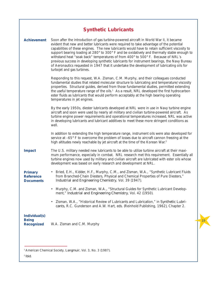<span id="page-26-0"></span>

| <b>Synthetic Lubricants</b>                               |                                                                                                                                                                                                                                                                                                                                                                                                                                                                                                                                                                                                                                                                                                                  |  |  |
|-----------------------------------------------------------|------------------------------------------------------------------------------------------------------------------------------------------------------------------------------------------------------------------------------------------------------------------------------------------------------------------------------------------------------------------------------------------------------------------------------------------------------------------------------------------------------------------------------------------------------------------------------------------------------------------------------------------------------------------------------------------------------------------|--|--|
| <b>Achievement</b>                                        | Soon after the introduction of gas turbine-powered aircraft in World War II, it became<br>evident that new and better lubricants were required to take advantage of the potential<br>capabilities of these engines. The new lubricants would have to retain sufficient viscosity to<br>support bearing loading at $280^\circ$ to $300^\circ$ F and be oxidatively and thermally stable enough to<br>withstand heat "soak back" temperatures of from 400° to 500° F. Because of NRL's<br>previous success in developing synthetic lubricants for instrument bearings, the Navy Bureau<br>of Aeronautics requested in 1947 that it undertake the development of lubricating oils for<br>turbojet and gas turbines. |  |  |
|                                                           | Responding to this request, W.A. Zisman, C.M. Murphy, and their colleagues conducted<br>fundamental studies that related molecular structure to lubricating and temperature/viscosity<br>properties. Structural guides, derived from those fundamental studies, permitted extending<br>the useful temperature range of the oils. <sup>1</sup> As a result, NRL developed the first hydrocarbon<br>ester fluids as lubricants that would perform acceptably at the high bearing operating<br>temperatures in jet engines.                                                                                                                                                                                         |  |  |
|                                                           | By the early 1950s, diester lubricants developed at NRL were in use in Navy turbine engine<br>aircraft and soon were used by nearly all military and civilian turbine-powered aircraft. As<br>turbine engine power requirements and operational temperatures increased, NRL was active<br>in developing lubricants and lubricant additives to meet these more stringent conditions as<br>well.                                                                                                                                                                                                                                                                                                                   |  |  |
|                                                           | In addition to extending the high temperature range, instrument oils were also developed for<br>service at $-65^{\circ}$ F to overcome the problem of losses due to aircraft cannon freezing at the<br>high altitudes newly reachable by jet aircraft at the time of the Korean War. <sup>2</sup>                                                                                                                                                                                                                                                                                                                                                                                                                |  |  |
| <b>Impact</b>                                             | The U.S. military needed new lubricants to be able to utilize turbine aircraft at their maxi-<br>mum performance, especially in combat. NRL research met this requirement. Essentially all<br>turbine engines now used by military and civilian aircraft are lubricated with ester oils whose<br>development was based on early research and development at NRL.                                                                                                                                                                                                                                                                                                                                                 |  |  |
| <b>Primary</b><br><b>Reference</b><br><b>Documents</b>    | Bried, E.H., Kidder, H.F., Murphy, C.M., and Zisman, W.A., "Synthetic Lubricant Fluids<br>٠<br>from Branched-Chain Diesters, Physical and Chemical Properties of Pure Diesters,"<br>Industrial and Engineering Chemistry, Vol. 39 (1947).                                                                                                                                                                                                                                                                                                                                                                                                                                                                        |  |  |
|                                                           | Murphy, C.M. and Zisman, W.A., "Structural Guides for Synthetic Lubricant Develop-<br>ment," Industrial and Engineering Chemistry, Vol. 42 (1950).                                                                                                                                                                                                                                                                                                                                                                                                                                                                                                                                                               |  |  |
|                                                           | Zisman, W.A., "Historical Review of Lubricants and Lubrication," in Synthetic Lubri-<br>cants, R.C. Gunderson and A.W. Hart, eds. (Reinhold Publishing, 1962), Chapter 2.                                                                                                                                                                                                                                                                                                                                                                                                                                                                                                                                        |  |  |
| <b>Individual(s)</b><br><b>Being</b><br><b>Recognized</b> | W.A. Zisman and C.M. Murphy                                                                                                                                                                                                                                                                                                                                                                                                                                                                                                                                                                                                                                                                                      |  |  |
|                                                           |                                                                                                                                                                                                                                                                                                                                                                                                                                                                                                                                                                                                                                                                                                                  |  |  |

<sup>1</sup> American Chemical Society, *Langmuir*, Vol. 3, No. 3 (1987).

<sup>2</sup> *Ibid*.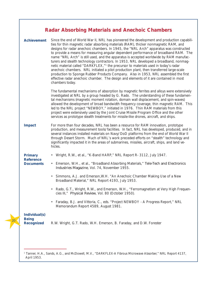## **Radar Absorbing Materials and Anechoic Chambers**

<span id="page-27-0"></span>

|  | <b>Achievement</b>                                        | Since the end of World War II, NRL has pioneered the development and production capabili-<br>ties for thin magnetic radar absorbing materials (RAM), thicker nonmagnetic RAM, and<br>designs for radar anechoic chambers. In 1945, the "NRL Arch" apparatus was constructed<br>to provide a means for measuring angular dependent performance of broadband RAM. The<br>name "NRL Arch" is still used, and the apparatus is accepted worldwide by RAM manufac-<br>turers and stealth technology contractors. In 1953, NRL developed a broadband, nonmag-<br>netic material called "DARKFLEX,"1 the precursor to materials used in today's radar<br>anechoic chambers. NRL initiated a pilot production plant, then transferred large-scale<br>production to Sponge Rubber Products Company. Also in 1953, NRL assembled the first<br>effective radar anechoic chamber. The design and elements of it are contained in most<br>chambers today. |
|--|-----------------------------------------------------------|----------------------------------------------------------------------------------------------------------------------------------------------------------------------------------------------------------------------------------------------------------------------------------------------------------------------------------------------------------------------------------------------------------------------------------------------------------------------------------------------------------------------------------------------------------------------------------------------------------------------------------------------------------------------------------------------------------------------------------------------------------------------------------------------------------------------------------------------------------------------------------------------------------------------------------------------|
|  |                                                           | The fundamental mechanisms of absorption by magnetic ferrites and alloys were extensively<br>investigated at NRL by a group headed by G. Rado. The understanding of these fundamen-<br>tal mechanisms (magnetic moment rotation, domain wall displacement, and spin-waves)<br>allowed the development of broad bandwidth frequency coverage, thin magnetic RAM. This<br>led to the NRL project "NEWBOY," initiated in 1976. Thin RAM materials from this<br>project were extensively used by the Joint Cruise Missile Program Office and the other<br>services as prototype stealth treatments for missile-like drones, aircraft, and ships.                                                                                                                                                                                                                                                                                                 |
|  | <b>Impact</b>                                             | For more than four decades, NRL has been a resource for RAM innovation, prototype<br>production, and measurement tools/facilities. In fact, NRL has developed, produced, and in<br>several instances installed materials on Navy/DoD platforms from the end of World War II<br>through Desert Storm. Much of NRL's work preceded efforts on "stealth" technology and<br>significantly impacted it in the areas of submarines, missiles, aircraft, ships, and land ve-<br>hicles.                                                                                                                                                                                                                                                                                                                                                                                                                                                             |
|  | <b>Primary</b><br><b>Reference</b><br><b>Documents</b>    | Wright, R.W., et al., "K-Band HARP," NRL Report R- 3112, July 1947.                                                                                                                                                                                                                                                                                                                                                                                                                                                                                                                                                                                                                                                                                                                                                                                                                                                                          |
|  |                                                           | Emerson, W.H., et al., "Broadband Absorbing Materials," Tele-Tech and Electronics<br>٠<br>Industries Magazine, Vol. 74, November 1955.                                                                                                                                                                                                                                                                                                                                                                                                                                                                                                                                                                                                                                                                                                                                                                                                       |
|  |                                                           | Simmons, A.J. and Emerson, W.H. "An Anechoic Chamber Making Use of a New<br>٠<br>Broadband Material," NRL Report 4193, July 1953.                                                                                                                                                                                                                                                                                                                                                                                                                                                                                                                                                                                                                                                                                                                                                                                                            |
|  |                                                           | Rado, G.T., Wright, R.W., and Emerson, W.H., "Ferromagnetism at Very High Frequen-<br>٠<br>cies III," Physical Review, Vol. 80 (October 1950).                                                                                                                                                                                                                                                                                                                                                                                                                                                                                                                                                                                                                                                                                                                                                                                               |
|  |                                                           | Faraday, B.J. and Vittoria, C., eds. "Project NEWBOY - A Progress Report," NRL<br>٠<br>Memorandum Report 4589, August 1981.                                                                                                                                                                                                                                                                                                                                                                                                                                                                                                                                                                                                                                                                                                                                                                                                                  |
|  | <b>Individual(s)</b><br><b>Being</b><br><b>Recognized</b> | R.W. Wright, G.T. Rado, W.H. Emerson, B. Faraday, and D.W. Forester                                                                                                                                                                                                                                                                                                                                                                                                                                                                                                                                                                                                                                                                                                                                                                                                                                                                          |
|  |                                                           |                                                                                                                                                                                                                                                                                                                                                                                                                                                                                                                                                                                                                                                                                                                                                                                                                                                                                                                                              |

<sup>&</sup>lt;sup>1</sup> Tanner, H.A., Sands, A.G., and McDowell, M.V., "DARKFLEX-A Fibrous Microwave Absorber," NRL Report 4137, April 1953.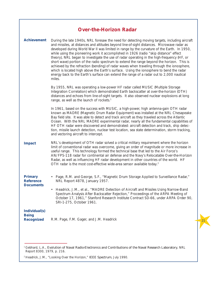## **Over-the-Horizon Radar**

<span id="page-28-0"></span>

| <b>Achievement</b>                                        | During the late 1940s, NRL foresaw the need for detecting moving targets, including aircraft<br>and missiles, at distances and altitudes beyond line-of-sight distances. Microwave radar as<br>developed during World War II was limited in range by the curvature of the Earth. In 1950,<br>while using the pioneering work it accomplished in 1926 (radio "skip distance" effect<br>theory), NRL began to investigate the use of radar operating in the high-frequency (HF, or<br>short wave) portion of the radio spectrum to extend the range beyond the horizon. This is<br>achieved by the refraction (bending) of radar waves when traveling through the ionosphere,<br>which is located high above the Earth's surface. Using the ionosphere to bend the radar<br>energy back to the Earth's surface can extend the range of a radar out to 2,000 nautical<br>miles. |
|-----------------------------------------------------------|------------------------------------------------------------------------------------------------------------------------------------------------------------------------------------------------------------------------------------------------------------------------------------------------------------------------------------------------------------------------------------------------------------------------------------------------------------------------------------------------------------------------------------------------------------------------------------------------------------------------------------------------------------------------------------------------------------------------------------------------------------------------------------------------------------------------------------------------------------------------------|
|                                                           | By 1955, NRL was operating a low-power HF radar called MUSIC (Multiple Storage<br>Integration Correlation) which demonstrated Earth backscatter at over-the-horizon (OTH)<br>distances and echoes from line-of-sight targets. It also observed nuclear explosions at long<br>range, as well as the launch of rockets. <sup>1</sup>                                                                                                                                                                                                                                                                                                                                                                                                                                                                                                                                           |
|                                                           | In 1961, based on the success with MUSIC, a high-power, high antenna-gain OTH radar<br>known as MADRE (Magnetic Drum Radar Equipment) was installed at the NRL Chesapeake<br>Bay field site. It was able to detect and track aircraft as they traveled across the Atlantic<br>Ocean. With the NRL MADRE experimental radar, nearly all the fundamental capabilities of<br>HF OTH radar were discovered and demonstrated: aircraft detection and track, ship detec-<br>tion, missile launch detection, nuclear test location, sea state determination, storm tracking,<br>and vectoring aircraft to intercept.                                                                                                                                                                                                                                                                |
| <b>Impact</b>                                             | NRL's development of OTH radar solved a critical military requirement where the horizon<br>limit of conventional radar was overcome, giving an order of magnitude or more increase in<br>useful range. This technology formed the technical base that led to the Air Force's<br>AN/FPS-118 radar for continental air defense and the Navy's Relocatable Over-the-Horizon<br>Radar, as well as influencing HF radar development in other countries of the world. HF<br>OTH radar is the most cost-effective wide-area sensor available today. <sup>2</sup>                                                                                                                                                                                                                                                                                                                    |
| <b>Primary</b><br><b>Reference</b><br><b>Documents</b>    | Page, R.M. and George, S.F., "Magnetic Drum Storage Applied to Surveillance Radar,"<br>$\bullet$<br>NRL Report 4878, January 1957.                                                                                                                                                                                                                                                                                                                                                                                                                                                                                                                                                                                                                                                                                                                                           |
|                                                           | Headrick, J.M., et al., "MADRE Detection of Aircraft and Missiles Using Narrow-Band<br>٠<br>Spectrum Analysis After Backscatter Rejection," Proceedings of the ARPA Meeting of<br>October 17, 1961," Stanford Research Institute Contract SD-66, under ARPA Order 90,<br>SRI-1-275, October 1961.                                                                                                                                                                                                                                                                                                                                                                                                                                                                                                                                                                            |
| <b>Individual(s)</b><br><b>Being</b><br><b>Recognized</b> | R.M. Page, F.M. Gager, and J.M. Headrick                                                                                                                                                                                                                                                                                                                                                                                                                                                                                                                                                                                                                                                                                                                                                                                                                                     |

<sup>1</sup> Gebhard, L.A., *Evolution of Naval Radio-Electronics and Contributions of the Naval Research Laboratory*, NRL Report 8300, 1979, p. 216.

<sup>2</sup> Headrick, J.M., "Looking Over the Horizon," *IEEE Spectrum*, July 1990.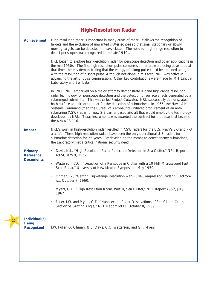<span id="page-29-0"></span>

|                                                           | <b>High-Resolution Radar</b>                                                                                                                                                                                                                                                                                                                                                                                                                                                                                                                                                                                                                                           |
|-----------------------------------------------------------|------------------------------------------------------------------------------------------------------------------------------------------------------------------------------------------------------------------------------------------------------------------------------------------------------------------------------------------------------------------------------------------------------------------------------------------------------------------------------------------------------------------------------------------------------------------------------------------------------------------------------------------------------------------------|
| <b>Achievement</b>                                        | High-resolution radar is important in many areas of radar. It allows the recognition of<br>targets and the exclusion of unwanted clutter echoes so that small stationary or slowly<br>moving targets can be detected in heavy clutter. The need for high range-resolution to<br>detect periscopes was recognized in the late 1940s.                                                                                                                                                                                                                                                                                                                                    |
|                                                           | NRL began to explore high-resolution radar for periscope detection and other applications in<br>the mid 1950s. The first high-resolution pulse-compression radars were being developed at<br>that time, thereby demonstrating that the energy of a long pulse could be obtained along<br>with the resolution of a short pulse. Although not alone in this area, NRL was active in<br>advancing the art of pulse compression. Other key contributions were made by MIT Lincoln<br>Laboratory and Bell Labs.                                                                                                                                                             |
|                                                           | In 1960, NRL embarked on a major effort to demonstrate X-band high-range resolution<br>radar technology for periscope detection and the detection of surface effects generated by a<br>submerged submarine. This was called Project Cutwater. NRL successfully demonstrated<br>both surface and airborne radar for the detection of submarines. In 1965, the Naval Air<br>Systems Command (then the Bureau of Aeronautics) initiated procurement of an anti-<br>submarine (ASW) radar for new S-3 carrier-based aircraft that would employ the technology<br>developed by NRL. Texas Instruments was awarded the contract for the radar that became<br>the AN/APS-116. |
| <b>Impact</b>                                             | NRL's work in high-resolution radar resulted in ASW radars for the U.S. Navy's S-3 and P-3<br>aircraft. These high-resolution radars have been the only operational U.S. radars for<br>submarine detection for 25 years. By developing the means to detect enemy submarines,<br>the Laboratory met a critical national security need.                                                                                                                                                                                                                                                                                                                                  |
| <b>Primary</b><br><b>Reference</b>                        | Davis, N.L. "High-Resolution Radar-Periscope Detection in Sea Clutter," NRL Report<br>$\bullet$<br>4924, May 9, 1957.                                                                                                                                                                                                                                                                                                                                                                                                                                                                                                                                                  |
| <b>Documents</b>                                          | Watterson, C.C., "Detection of a Periscope in Clutter with a 10 Milli-Microsecond Fast<br>$\bullet$<br>Scan Radar," University of New Mexico Symposium, May 1959.                                                                                                                                                                                                                                                                                                                                                                                                                                                                                                      |
|                                                           | Ohman, G., "Getting High-Range Resolution with Pulse-Compression Radar," Electron-<br><i>ics</i> , October 7, 1960.                                                                                                                                                                                                                                                                                                                                                                                                                                                                                                                                                    |
|                                                           | Myers, G.F., "High Resolution Radar, Part III, Sea Clutter," NRL Report 4952, July<br>1967.                                                                                                                                                                                                                                                                                                                                                                                                                                                                                                                                                                            |
|                                                           | Fuller, I.W. and Myers, G.F., "Nanosecond Radar Observations of Sea Clutter Cross<br>Section vs Grazing Angle," NRL Report 6933, October 8, 1969.                                                                                                                                                                                                                                                                                                                                                                                                                                                                                                                      |
| <b>Individual(s)</b><br><b>Being</b><br><b>Recognized</b> | I.W. Fuller, G. Ohman, N.L. Davis, C.C. Watterson, and G.F. Myers                                                                                                                                                                                                                                                                                                                                                                                                                                                                                                                                                                                                      |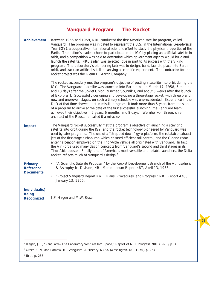## **Vanguard Program — The Rocket**

<span id="page-30-0"></span>

| <b>Achievement</b>                                        | Between 1955 and 1959, NRL conducted the first American satellite program, called<br>Vanguard. The program was initiated to represent the U.S. in the International Geophysical<br>Year (IGY), a cooperative international scientific effort to study the physical properties of the<br>Earth. The nation's leaders chose to participate in the IGY by placing an artificial satellite in<br>orbit, and a competition was held to determine which government agency would build and<br>launch the satellite. NRL's plan was selected, due in part to its success with the Viking<br>program. The Laboratory's pioneering task was to design, build, launch, place into Earth-<br>orbit, and track an artificial satellite carrying a scientific experiment. The contractor for the<br>rocket project was the Glenn L. Martin Company.          |
|-----------------------------------------------------------|------------------------------------------------------------------------------------------------------------------------------------------------------------------------------------------------------------------------------------------------------------------------------------------------------------------------------------------------------------------------------------------------------------------------------------------------------------------------------------------------------------------------------------------------------------------------------------------------------------------------------------------------------------------------------------------------------------------------------------------------------------------------------------------------------------------------------------------------|
|                                                           | The rocket successfully met the program's objective of putting a satellite into orbit during the<br>IGY. The Vanguard I satellite was launched into Earth orbit on March 17, 1958, 5 months<br>and 13 days after the Soviet Union launched Sputnik I, and about 6 weeks after the launch<br>of Explorer I. Successfully designing and developing a three-stage rocket, with three brand<br>new and unproven stages, on such a timely schedule was unprecedented. Experience in the<br>DoD at that time showed that in missile programs it took more than 5 years from the start<br>of a program to arrive at the date of the first successful launching; the Vanguard team<br>achieved their objective in 2 years, 6 months, and 8 days. <sup>1</sup> Wernher von Braun, chief<br>architect of the Redstone, called it a miracle. <sup>2</sup> |
| <b>Impact</b>                                             | The Vanguard rocket successfully met the program's objective of launching a scientific<br>satellite into orbit during the IGY, and the rocket technology pioneered by Vanguard was<br>used by later programs. The use of a "strapped down" gyro platform, the rotatable exhaust<br>jets of the first-stage turbopump which ensured efficient roll control, and the C-band radar<br>antenna beacon employed on the Thor-Able vehicle all originated with Vanguard. In fact,<br>the Air Force used many design concepts from Vanguard's second and third stages in its<br>Thor-Able booster. Finally, one of America's most versatile and reliable launchers, the Delta<br>rocket, reflects much of Vanguard's design. <sup>3</sup>                                                                                                              |
| <b>Primary</b><br><b>Reference</b><br><b>Documents</b>    | • "A Scientific Satellite Proposal," by the Rocket Development Branch of the Atmospheric<br>& Astrophysics Division, NRL Memorandum Report 487, April 13, 1955.<br>"Project Vanguard Report No. 1 Plans, Procedures, and Progress," NRL Report 4700,<br>January 13, 1956.                                                                                                                                                                                                                                                                                                                                                                                                                                                                                                                                                                      |
| <b>Individual(s)</b><br><b>Being</b><br><b>Recognized</b> | J.P. Hagen and M.W. Rosen                                                                                                                                                                                                                                                                                                                                                                                                                                                                                                                                                                                                                                                                                                                                                                                                                      |
|                                                           |                                                                                                                                                                                                                                                                                                                                                                                                                                                                                                                                                                                                                                                                                                                                                                                                                                                |

<sup>1</sup> Hagen, J.P., "Vanguard—The Laboratory Ventures Into Space," *Report of NRL Progress*, NRL (1973), p. 31.

<sup>2</sup> Green, C.M. and Lomask, M., *Vanguard: A History*, NASA (Washington, DC, 1970), p. 254.

<sup>3</sup> *Ibid.*, p. 255.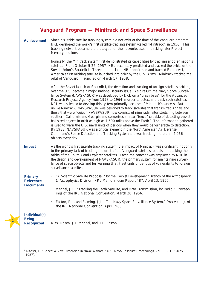## **Vanguard Program — Minitrack and Space Surveillance**

<span id="page-31-0"></span>**Achievement** Since a suitable satellite tracking system did not exist at the time of the Vanguard program, NRL developed the world's first satellite-tracking system (called "Minitrack") in 1956. This tracking network became the prototype for the networks used in tracking later Project Mercury missions.

> Ironically, the Minitrack system first demonstrated its capabilities by tracking another nation's satellite. From October 5-26, 1957, NRL accurately predicted and tracked the orbits of the Soviet Union's *Sputnik I*. Three months later, NRL confirmed and tracked *Explorer I*, America's first orbiting satellite launched into orbit by the U.S. Army. Minitrack tracked the orbit of *Vanguard I*, launched on March 17, 1958.

> After the Soviet launch of *Sputnik I*, the detection and tracking of foreign satellites orbiting over the U.S. became a major national security issue. As a result, the Navy Space Surveillance System (NAVSPASUR) was developed by NRL on a "crash basis" for the Advanced Research Projects Agency from 1958 to 1964 in order to detect and track such satellites. NRL was selected to develop this system primarily because of Minitrack's success. But unlike Minitrack, NAVSPASUR was designed to track satellites that transmitted signals and those that were "quiet." NAVSPASUR now consists of nine radar sites stretching between southern California and Georgia and comprises a radar "fence" capable of detecting basketball-sized objects in orbit as high as  $7,500$  miles above the Earth.<sup>1</sup> The information gathered is used to warn the U.S. naval units of periods when they would be vulnerable to detection. By 1983, NAVSPASUR was a critical element in the North American Air Defense Command's Space Detection and Tracking System and was tracking more than 4,966 objects every day.

#### **Impact** As the world's first satellite tracking system, the impact of Minitrack was significant, not only to the primary task of tracking the orbit of the Vanguard satellites, but also in tracking the orbits of the Sputnik and Explorer satellites. Later, the concept was employed by NRL in the design and development of NAVSPASUR, the primary system for maintaining surveillance of space objects and for warning U.S. Fleet units of periods of vulnerability to foreign surveillance satellites.

#### **Primary Reference Documents**

- "A Scientific Satellite Proposal," by the Rocket Development Branch of the Atmospheric & Astrophysics Division, NRL Memorandum Report 487, April 13, 1955.
- Mengel, J.T., "Tracking the Earth Satellite, and Data Transmission, by Radio," *Proceedings of the IRE National Convention*, March 20, 1956.
- Easton, R.L. and Fleming, J.J., "The Navy Space Surveillance System," *Proceedings of the IRE National Convention*, April 1960.

#### **Individual(s) Being Recognized**

24

M.W. Rosen, J.T. Mengel, and R.L. Easton

<sup>1</sup> Glaeser, F., "Space: A New Dimension in Naval Warfare," *U.S. Naval Institute Proceedings*, Vol. 113, 133 (May 1987).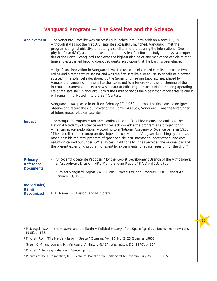## **Vanguard Program — The Satellites and the Science**

<span id="page-32-0"></span>

| <b>Achievement</b>                                        | The Vanguard I satellite was successfully launched into Earth orbit on March 17, 1958.<br>Although it was not the first U.S. satellite successfully launched, Vanguard I met the<br>program's original objective of putting a satellite into orbit during the International Geo-<br>physical Year (IGY), a cooperative international scientific effort to study the physical proper-<br>ties of the Earth. Vanguard I achieved the highest altitude of any man-made vehicle to that<br>time and established beyond doubt geologists' suspicions that the Earth is pear-shaped. <sup>1</sup>                                                                                                |
|-----------------------------------------------------------|--------------------------------------------------------------------------------------------------------------------------------------------------------------------------------------------------------------------------------------------------------------------------------------------------------------------------------------------------------------------------------------------------------------------------------------------------------------------------------------------------------------------------------------------------------------------------------------------------------------------------------------------------------------------------------------------|
|                                                           | A significant innovation in <i>Vanguard I</i> was the use of miniaturized circuits. It carried two<br>radios and a temperature sensor and was the first satellite ever to use solar cells as a power<br>source. <sup>2</sup> The solar cells developed by the Signal Engineering Laboratories, placed by<br>Vanguard engineers on the satellite shell so as not to interfere with the functioning of the<br>internal instrumentation, set a new standard of efficiency and account for the long operating<br>life of the satellite. <sup>3</sup> Vanguard I orbits the Earth today as the oldest man-made satellite and it<br>will remain in orbit well into the 22 <sup>nd</sup> Century. |
|                                                           | Vanguard II was placed in orbit on February 17, 1959, and was the first satellite designed to<br>observe and record the cloud cover of the Earth. As such, Vanguard II was the forerunner<br>of future meteorological satellites. <sup>4</sup>                                                                                                                                                                                                                                                                                                                                                                                                                                             |
| <b>Impact</b>                                             | The Vanguard program established landmark scientific achievements. Scientists at the<br>National Academy of Science and NASA acknowledge the program as a progenitor of<br>American space exploration. According to a National Academy of Science panel in 1958,<br>"The overall scientific program developed for use with the Vanguard launching system has<br>made possible the total program of space vehicle instrumentation, observation, and data<br>reduction carried out under IGY auspices. Additionally, it has provided the original basis of<br>the present expanding program of scientific experiments for space research for the U.S." <sup>5</sup>                          |
| <b>Primary</b><br><b>Reference</b>                        | • "A Scientific Satellite Proposal," by the Rocket Development Branch of the Atmospheric<br>& Astrophysics Division, NRL Memorandum Report 487, April 13, 1955.                                                                                                                                                                                                                                                                                                                                                                                                                                                                                                                            |
| <b>Documents</b>                                          | "Project Vanguard Report No. 1 Plans, Procedures, and Progress," NRL Report 4700,<br>$\bullet$<br>January 13, 1956.                                                                                                                                                                                                                                                                                                                                                                                                                                                                                                                                                                        |
| <b>Individual(s)</b><br><b>Being</b><br><b>Recognized</b> | H.E. Newell, R. Easton, and M. Votaw                                                                                                                                                                                                                                                                                                                                                                                                                                                                                                                                                                                                                                                       |

<sup>&</sup>lt;sup>1</sup> McDougall, W.A., ...the Heavens and the Earth: A Political History of the Space Age (Basic Books, Inc., New York, 1985), p. 168.

<sup>2</sup> Mitchell, P.A., "The Navy's Mission in Space," *Oceanus*, Vol. 20, No. 2, 23 (Summer 1985).

<sup>3</sup> Green, C.M. and Lomask, M., *Vanguard: A History* (NASA, Washington, DC, 1970), p. 254.

<sup>4</sup> Mitchell, "The Navy's Mission in Space," p. 23.

<sup>5</sup> Minutes of the 19th meeting, U.S. Technical Panel on the Earth Satellite Program, July 26, 1958, p. 5.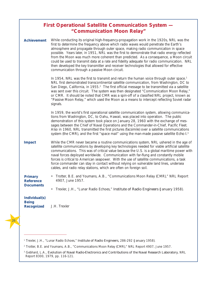| <b>First Operational Satellite Communication System --</b> |  |
|------------------------------------------------------------|--|
| "Communication Moon Relay"                                 |  |

<span id="page-33-0"></span>

| <b>Achievement</b>                                        | While conducting its original high-frequency-propagation work in the 1920s, NRL was the<br>first to determine the frequency above which radio waves would penetrate the Earth's<br>atmosphere and propagate through outer space, making radio communication in space<br>possible. Years later, in 1951, NRL was the first to demonstrate that radio energy reflected<br>from the Moon was much more coherent than predicted. As a consequence, a Moon circuit<br>could be used to transmit data at a rate and fidelity adequate for radio communication. NRL<br>then developed the key transmitter and receiver technologies that allowed for effective<br>communication through a passive Moon circuit. |
|-----------------------------------------------------------|----------------------------------------------------------------------------------------------------------------------------------------------------------------------------------------------------------------------------------------------------------------------------------------------------------------------------------------------------------------------------------------------------------------------------------------------------------------------------------------------------------------------------------------------------------------------------------------------------------------------------------------------------------------------------------------------------------|
|                                                           | In 1954, NRL was the first to transmit and return the human voice through outer space. <sup>1</sup><br>NRL first demonstrated transcontinental satellite communication, from Washington, DC to<br>San Diego, California, in 1955. <sup>2</sup> The first official message to be transmitted via a satellite<br>was sent over this circuit. The system was then designated "Communication Moon Relay,"<br>or CMR. It should be noted that CMR was a spin-off of a classified NRL project, known as<br>"Passive Moon Relay," which used the Moon as a means to intercept reflecting Soviet radar<br>signals.                                                                                               |
|                                                           | In 1959, the world's first operational satellite communication system, allowing communica-<br>tions from Washington, DC, to Oahu, Hawaii, was placed into operation. The public<br>demonstration of this system took place on January 28, 1960 with the exchange of mes-<br>sages between the Chief of Naval Operations and the Commander-in-Chief, Pacific Fleet.<br>Also in 1960, NRL transmitted the first pictures (facsimile) over a satellite communications<br>system (the CMR), and the first "space mail" using the man-made passive satellite Echo I. <sup>3</sup>                                                                                                                             |
| <b>Impact</b>                                             | While the CMR never became a routine communications system, NRL ushered in the age of<br>satellite communications by developing key technologies needed for viable artificial satellite<br>communications. This was of critical value because the U.S. is a global maritime power with<br>naval forces deployed worldwide. Communication with far-flung and constantly mobile<br>forces is critical to American seapower. With the use of satellite communications, a task<br>force commander can stay in contact without relying on vulnerable land lines, undersea<br>cables, and radio relay stations, which are often on foreign soil.                                                               |
| <b>Primary</b><br><b>Reference</b><br><b>Documents</b>    | Trotter, B.E. and Youmans, A.B., "Communications Moon Relay (CMR)," NRL Report<br>4907, June 1957.                                                                                                                                                                                                                                                                                                                                                                                                                                                                                                                                                                                                       |
|                                                           | Trexler, J.H., "Lunar Radio Echoes," Institute of Radio Engineers (January 1958).<br>٠                                                                                                                                                                                                                                                                                                                                                                                                                                                                                                                                                                                                                   |
| <b>Individual(s)</b><br><b>Being</b><br><b>Recognized</b> | J.H. Trexler                                                                                                                                                                                                                                                                                                                                                                                                                                                                                                                                                                                                                                                                                             |

<sup>1</sup> Trexler, J.H., "Lunar Radio Echoes," *Institute of Radio Engineers,* 286-292 (January 1958).

<sup>2</sup> Trotter, B.E. and Youmans, A.B., "Communications Moon Relay (CMR)," NRL Report 4907, June 1957.

<sup>3</sup> Gebhard, L.A., *Evolution of Naval Radio-Electronics and Contributions of the Naval Research Laboratory*, NRL Report 8300, 1979, pp. 116-121.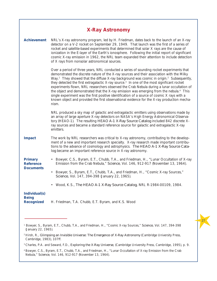## **X-Ray Astronomy**

<span id="page-34-0"></span>

| <b>Achievement</b>                                        | NRL's X-ray astronomy program, led by H. Friedman, dates back to the launch of an X-ray<br>detector on a V-2 rocket on September 29, 1949. That launch was the first of a series of<br>rocket and satellite-based experiments that determined that solar X rays are the cause of<br>ionization in the E-layer of the Earth's ionosphere. Following the initial report of significant<br>cosmic X-ray emission in 1962, the NRL team expanded their attention to include detection<br>of X rays from nonsolar astronomical sources.                                                                                                                                                                                                                                                                                             |
|-----------------------------------------------------------|--------------------------------------------------------------------------------------------------------------------------------------------------------------------------------------------------------------------------------------------------------------------------------------------------------------------------------------------------------------------------------------------------------------------------------------------------------------------------------------------------------------------------------------------------------------------------------------------------------------------------------------------------------------------------------------------------------------------------------------------------------------------------------------------------------------------------------|
|                                                           | Over a period of three years, NRL conducted a series of sounding rocket experiments that<br>demonstrated the discrete nature of the X-ray sources and their association with the Milky<br>Way. <sup>1</sup> They showed that the diffuse X-ray background was cosmic in origin. <sup>2</sup> Subsequently,<br>they detected the first extragalactic X-ray source. <sup>3</sup> In one of the most significant rocket<br>experiments flown, NRL researchers observed the Crab Nebula during a lunar occultation of<br>the object and demonstrated that the X-ray emission was emerging from the nebula. <sup>4</sup> This<br>single experiment was the first positive identification of a source of cosmic X rays with a<br>known object and provided the first observational evidence for the X-ray production mecha-<br>nism. |
|                                                           | NRL produced a sky map of galactic and extragalactic emitters using observations made by<br>an array of large aperture X-ray detectors on NASA's High Energy Astronomical Observa-<br>tory (HEAO-1). The resulting HEAO A-1 X-Ray Source Catalog included 842 discrete X-<br>ray sources and became a standard reference source for galactic and extragalactic X-ray<br>emitters.                                                                                                                                                                                                                                                                                                                                                                                                                                              |
| <b>Impact</b>                                             | The work by NRL researchers was critical to X-ray astronomy, contributing to the develop-<br>ment of a new and important research specialty. X-ray research made important contribu-<br>tions to the advance of cosmology and astrophysics. The HEAO A-1 X-Ray Source Cata-<br>log became an important reference source in X-ray astronomy.                                                                                                                                                                                                                                                                                                                                                                                                                                                                                    |
| <b>Primary</b><br><b>Reference</b><br><b>Documents</b>    | • Bowyer, C.S., Byram, E.T., Chubb, T.A., and Friedman, H., "Lunar Occultation of X-ray<br>Emission from the Crab Nebula," Science, Vol. 146, 912-917 (November 13, 1964).<br>• Bowyer, S., Byram, E.T., Chubb, T.A., and Friedman, H., "Cosmic X-ray Sources,"<br>Science, Vol. 147, 394-398 (January 22, 1965).                                                                                                                                                                                                                                                                                                                                                                                                                                                                                                              |
| <b>Individual(s)</b><br><b>Being</b><br><b>Recognized</b> | Wood, K.S., The HEAO A-1 X-Ray Source Catalog, NRL R-1984-00109, 1984.<br>H. Friedman, T.A. Chubb, E.T. Byram, and K.S. Wood                                                                                                                                                                                                                                                                                                                                                                                                                                                                                                                                                                                                                                                                                                   |

<sup>1</sup> Bowyer, S., Byram, E.T., Chubb, T.A., and Friedman, H., "Cosmic X-ray Sources," *Science*, Vol. 147, 394-398 (January 22, 1965).

<sup>2</sup> Hirsh, R., *Glimpsing an Invisible Universe: The Emergence of X-Ray Astronomy* (Cambridge University Press, Cambridge, 1983), 107ff.

<sup>3</sup> Charles, P.A. and Seward, F.D., *Exploring the X-Ray Universe*, (Cambridge University Press, Cambridge, 1995), p. 9.

<sup>&</sup>lt;sup>4</sup> Bowyer, C.S., Byram, E.T., Chubb, T.A., and Friedman, H., "Lunar Occultation of X-ray Emission from the Crab Nebula," *Science*, Vol. 146, 912-917 (November 13, 1964).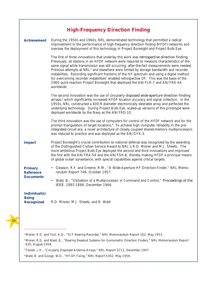## **High-Frequency Direction Finding**

<span id="page-35-0"></span>

| <b>Achievement</b>                                        | During the 1950s and 1960s, NRL demonstrated technology that permitted a radical<br>improvement in the performance of high-frequency direction finding (HFDF) networks and<br>oversaw the deployment of this technology in Project Boresight and Project Bulls Eye.                                                                                                                                                                                                                                                                                                                                                                                                                                        |
|-----------------------------------------------------------|------------------------------------------------------------------------------------------------------------------------------------------------------------------------------------------------------------------------------------------------------------------------------------------------------------------------------------------------------------------------------------------------------------------------------------------------------------------------------------------------------------------------------------------------------------------------------------------------------------------------------------------------------------------------------------------------------------|
|                                                           | The first of three innovations that underlay this work was retrospective direction finding.<br>Previously, all stations in an HFDF network were required to measure characteristics of the<br>same signal while transmission was still occurring; after-the-fact measurements were needed.<br>Previous attempts at NRL <sup>1</sup> and elsewhere were limited by storage bandwidth and recorder<br>instabilities. Recording significant fractions of the HF spectrum and using a digital method<br>for overcoming recorder instabilities <sup>2</sup> enabled retrospective DF. This was the basis of the<br>1960 quick-reaction Project Boresight that deployed the AN/FLR-7 and AN/FRA-44<br>worldwide. |
|                                                           | The second innovation was the use of circularly disposed wide-aperture direction finding<br>arrays, <sup>3</sup> which significantly increased HFDF location accuracy and signal collection. In the<br>1950s, NRL constructed a 400-ft diameter electronically steerable array and perfected the<br>underlying technology. During Project Bulls Eye, scaled-up versions of this prototype were<br>deployed worldwide by the Navy as the AN/FRD-10.                                                                                                                                                                                                                                                         |
|                                                           | The third innovation was the use of computers for control of the HFDF network and for the<br>prompt triangulation of target locations. <sup>4</sup> To achieve high computer reliability in the pre-<br>integrated-circuit era, a novel architecture of closely coupled shared-memory multiprocessors<br>was reduced to practice and was deployed as the AN/GYK-3.                                                                                                                                                                                                                                                                                                                                         |
| <b>Impact</b>                                             | Project Boresight's crucial contribution to national defense was recognized by the awarding<br>of the Distinguished Civilian Service Award to NRL's R.D. Misner and M.J. Sheets. The<br>more ambitious Project Bulls Eye deployed the second and third innovations and improved<br>the first with the AN/FRA-54 and the AN/FSH-6, thereby making HFDF a principal means<br>of global ocean surveillance, with special capabilities against critical targets.                                                                                                                                                                                                                                               |
| <b>Primary</b><br><b>Reference</b>                        | • Gleason, R.F. and Greene, R.M., "A Wide-Aperture HF Direction-Finder," NRL Memo-<br>randum Report 746, October 1957.                                                                                                                                                                                                                                                                                                                                                                                                                                                                                                                                                                                     |
| <b>Documents</b>                                          | Wald, B., "Utilization of a Multiprocessor in Command and Control," Proceedings of the<br>$\bullet$<br>IEEE, 1885-1888, December 1966.                                                                                                                                                                                                                                                                                                                                                                                                                                                                                                                                                                     |
| <b>Individual(s)</b><br><b>Being</b><br><b>Recognized</b> | R.D. Misner, M.J. Sheets, and B. Wald                                                                                                                                                                                                                                                                                                                                                                                                                                                                                                                                                                                                                                                                      |

<sup>&</sup>lt;sup>1</sup> Misner, R.D. and Tool, A.Q., "D/F Bearing Recorder," NRL Memorandum Report 162, May 1953.

<sup>&</sup>lt;sup>2</sup> Misner, R.D. and Wald, B., "Bearing Readout Systems for Goniometric Direction Finders," NRL Memorandum Report 830, August 1958.

<sup>3</sup>Trexler, J.H., "Circularly Disposed Antenna Arrays," NRL Report 3213, December 1947.

<sup>4</sup>Wald, B. and Googe, W.D., "HF-DF Fixing," NRL Report 5302, May 1959.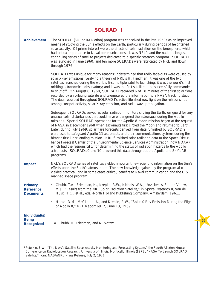| <b>SOLRAD I</b>                                           |                                                                                                                                                                                                                                                                                                                                                                                                                                                                                                                                                                                                                                                                                                                                                                                                                                                                                                                                                                      |
|-----------------------------------------------------------|----------------------------------------------------------------------------------------------------------------------------------------------------------------------------------------------------------------------------------------------------------------------------------------------------------------------------------------------------------------------------------------------------------------------------------------------------------------------------------------------------------------------------------------------------------------------------------------------------------------------------------------------------------------------------------------------------------------------------------------------------------------------------------------------------------------------------------------------------------------------------------------------------------------------------------------------------------------------|
| <b>Achievement</b>                                        | The SOLRAD (SOLar RADiation) program was conceived in the late 1950s as an improved<br>means of studying the Sun's effects on the Earth, particularly during periods of heightened<br>solar activity. Of prime interest were the effects of solar radiation on the ionosphere, which<br>had critical importance to Naval communications. It was NRL's and the nation's longest<br>continuing series of satellite projects dedicated to a specific research program. SOLRAD I<br>was launched in June 1960, and ten more SOLRADs were fabricated by NRL and flown<br>through 1976.                                                                                                                                                                                                                                                                                                                                                                                    |
|                                                           | SOLRAD I was unique for many reasons: it determined that radio fade-outs were caused by<br>solar X-ray emissions, verifying a theory of NRL's H. Friedman; it was one of the two<br>satellites launched during the world's first multiple satellite launching; it was the world's first<br>orbiting astronomical observatory; and it was the first satellite to be successfully commanded<br>to shut off. On August 6, 1960, SOLRAD I recorded 6 of 18 minutes of the first solar flare<br>recorded by an orbiting satellite and telemetered the information to a NASA tracking station.<br>The data recorded throughout SOLRAD I's active life shed new light on the relationships<br>among sunspot activity, solar X-ray emission, and radio wave propagation.                                                                                                                                                                                                     |
|                                                           | Subsequent SOLRADs served as solar radiation monitors circling the Earth, on guard for any<br>unusual solar disturbances that could have endangered the astronauts during the Apollo<br>missions. Special SOLRAD operations for the Apollo 8 moon mission began at the request<br>of NASA in December 1968 when astronauts first circled the Moon and returned to Earth.<br>Later, during July 1969, solar flare forecasts derived from data furnished by SOLRAD 9<br>were used to safeguard Apollo 11 astronauts and their communications systems during the<br>historic first lunar landing mission. NRL furnished solar radiation data to the Space Distur-<br>bance Forecast Center of the Environmental Science Services Administration (now NOAA),<br>which had the responsibility for determining the status of radiation hazards to the Apollo<br>astronauts. SOLRADs 9 and 10 provided this data throughout the Apollo and SKYLAB<br>programs. <sup>1</sup> |
| <b>Impact</b>                                             | NRL's SOLRAD series of satellites yielded important new scientific information on the Sun's<br>effects upon the Earth's atmosphere. The new knowledge gained by the program also<br>yielded practical, and in some cases critical, benefits to Naval communication and the U.S.<br>manned space program.                                                                                                                                                                                                                                                                                                                                                                                                                                                                                                                                                                                                                                                             |
| <b>Primary</b><br><b>Reference</b><br><b>Documents</b>    | • Chubb, T.A., Friedman, H., Kreplin, R.W., Nichols, W.A., Unzicker, A.E., and Votaw,<br>M.J., "Results from the NRL Solar Radiation Satellite," in Space Research II, Van de<br>Hulst, H.C., et al., eds. (North Holland Publishing Company, Amsterdam, 1961).                                                                                                                                                                                                                                                                                                                                                                                                                                                                                                                                                                                                                                                                                                      |
|                                                           | • Horan, D.M., McClinton, A., and Kreplin, R.W., "Solar X-Ray Emission During the Flight<br>of Apollo 8," NRL Report 6917, June 13, 1969.                                                                                                                                                                                                                                                                                                                                                                                                                                                                                                                                                                                                                                                                                                                                                                                                                            |
| <b>Individual(s)</b><br><b>Being</b><br><b>Recognized</b> | T.A. Chubb, H. Friedman, and M. Votaw                                                                                                                                                                                                                                                                                                                                                                                                                                                                                                                                                                                                                                                                                                                                                                                                                                                                                                                                |

<sup>&</sup>lt;sup>1</sup> Peterkin, E.W., "The Navy's Satellite Solar Activity Monitoring and Forecasting System," the Fourth Allerton House Conference on Radiolocation Research, University of Illinois, Monticello, Illinois (1971); "NASA To Launch SOLRAD Satellite," *Joint NASA/NRL Press Release,* July 2, 1971.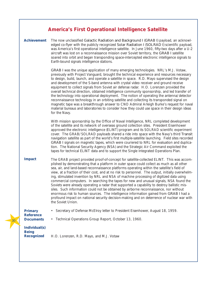### **America's First Operational Intelligence Satellite**

**Achievement Impact Primary Reference Documents Individual(s) Being Recognized** The now unclassified *Galactic Radiation and Background I* (*GRAB I*) payload, an acknowledged co-flyer with the publicly recognized *Solar Radiation I* (*SOLRAD I)* scientific payload, was America's first operational intelligence satellite. In June 1960, fifty-two days after a U-2 aircraft was lost on a reconnaissance mission over Soviet territory, the *GRAB I* satellite soared into orbit and began transponding space-intercepted electronic intelligence signals to Earth-bound signals intelligence stations. *GRAB I* was the unique application of many emerging technologies. NRL's M.J. Votaw, previously with Project Vanguard, brought the technical experience and resources necessary to design, build, launch, and operate a satellite in space. R.D. Mayo supervised the design and development of the S-band antenna with crystal video receiver and ground receive equipment to collect signals from Soviet air defense radar. H.O. Lorenzen provided the overall technical direction, obtained intelligence community sponsorship, and led transfer of the technology into operational deployment. The notion of operating the antenna/detector reconnaissance technology in an orbiting satellite and collecting its transponded signal on magnetic tape was a breakthrough answer to CNO Admiral Arleigh Burke's request for naval material bureaus and laboratories to consider how they could use space in their design ideas for the Navy. With mission sponsorship by the Office of Naval Intelligence, NRL completed development of the satellite and its network of overseas ground collection sites. President Eisenhower approved the electronic intelligence (ELINT) program and its SOLRAD scientific experiment cover. The GRAB/SOLRAD payloads shared a ride into space with the Navy's third *Transit* navigation satellite as part of the world's first multiple-satellite launching. Field sites recorded *GRAB I* signals on magnetic tapes, which were couriered to NRL for evaluation and duplication. The National Security Agency (NSA) and the Strategic Air Command exploited the tapes for technical ELINT data and to support the Single Integrated Operations Plan. The GRAB project provided proof-of-concept for satellite-collected ELINT. This was accomplished by demonstrating that a platform in outer space could collect as much as all other sea, air, and land-based reconnaissance platforms operating within the satellite's field of view, at a fraction of their cost, and at no risk to personnel. The output, initially overwhelming, stimulated invention by NRL and NSA of machine processing of digitized data using commercial computers. In searching the tapes for new and unusual signals, NSA found the Soviets were already operating a radar that supported a capability to destroy ballistic missiles. Such information could not be obtained by airborne reconnaissance, nor without enormous risk to human sources. The intelligence information gained from *GRAB I* had a profound impact on national security decision-making and on deterrence of nuclear war with the Soviet Union. • Secretary of Defense McElroy letter to President Eisenhower, August 18, 1959. • Technical Operations Group Report, October 13, 1960. H.O. Lorenzen, R.D. Mayo, and M.J. Votaw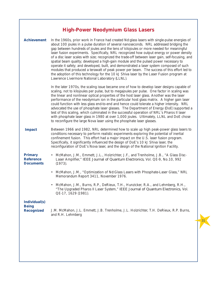# **High-Power Neodymium Glass Lasers**

| <b>Achievement</b>                                        | In the 1960s, prior work in France had created Nd: glass lasers with single-pulse energies of<br>about 100 joules in a pulse duration of several nanoseconds. NRL addressed bridging the<br>gap between hundreds of joules and the tens of kilojoules or more needed for meaningful<br>laser fusion experiments. Specifically, NRL recognized how output energy or power density<br>of a disc laser scales with size; recognized the trade-off between laser gain, self-focusing, and<br>spatial beam quality; developed a high-gain module and the pulsed power necessary to<br>operate it safely; and developed, built, and demonstrated a laser system composed of such<br>modules that produced a terawatt of peak power per beam. The success of this effort led to<br>the adoption of this technology for the 10 kJ Shiva laser by the Laser Fusion program at<br>Lawrence Livermore National Laboratory (LLNL). |
|-----------------------------------------------------------|------------------------------------------------------------------------------------------------------------------------------------------------------------------------------------------------------------------------------------------------------------------------------------------------------------------------------------------------------------------------------------------------------------------------------------------------------------------------------------------------------------------------------------------------------------------------------------------------------------------------------------------------------------------------------------------------------------------------------------------------------------------------------------------------------------------------------------------------------------------------------------------------------------------------|
|                                                           | In the later 1970s, the scaling issue became one of how to develop laser designs capable of<br>scaling, not to kilojoules per pulse, but to megajoules per pulse. One factor in scaling was<br>the linear and nonlinear optical properties of the host laser glass. Another was the laser<br>performance of the neodymium ion in the particular host glass matrix. A higher gain laser<br>could function with less glass end-to-end and hence could tolerate a higher intensity. NRL<br>advocated the use of phosphate laser glasses. The Department of Energy (DoE) supported a<br>test of this scaling, which culminated in the successful operation of NRL's Pharos II laser<br>with phosphate laser glass in 1980 at over 1,000 joules. Ultimately, LLNL and DoE chose<br>to reconfigure the large Nova laser using the phosphate laser glasses.                                                                   |
| <b>Impact</b>                                             | Between 1966 and 1982, NRL determined how to scale up high peak-power glass lasers to<br>conditions necessary to perform realistic experiments exploring the potential of inertial<br>confinement fusion. This effort had a major impact on the U.S. laser fusion program.<br>Specifically, it significantly influenced the design of DoE's 10 kJ Shiva laser, the<br>reconfiguration of DoE's Nova laser, and the design of the National Ignition Facility.                                                                                                                                                                                                                                                                                                                                                                                                                                                           |
| <b>Primary</b><br><b>Reference</b><br><b>Documents</b>    | McMahon, J.M., Emmett, J.L., Holzrichter, J.F., and Trenholme, J.B., "A Glass Disc-<br>$\bullet$<br>Laser Amplifier," IEEE Journal of Quantum Electronics, Vol. QE-9, No.10, 992<br>(1973).                                                                                                                                                                                                                                                                                                                                                                                                                                                                                                                                                                                                                                                                                                                            |
|                                                           | • McMahon, J.M., "Optimization of Nd: Glass Lasers with Phosphate-Laser Glass," NRL<br>Memorandum Report 3411, November 1976.                                                                                                                                                                                                                                                                                                                                                                                                                                                                                                                                                                                                                                                                                                                                                                                          |
|                                                           | McMahon, J.M., Burns, R.P., DeRieux, T.H., Hunzicker, R.A., and Lehmberg, R.H.,<br>"The Upgraded Pharos II Laser System," IEEE Journal of Quantum Electronics, Vol.<br>QE-17, 1629 (1981).                                                                                                                                                                                                                                                                                                                                                                                                                                                                                                                                                                                                                                                                                                                             |
| <b>Individual(s)</b><br><b>Being</b><br><b>Recognized</b> | J.M. McMahon, J.L. Emmett, J.B. Trenholme, J.L. Holzrichter, T.H. DeRieux, R.P. Burns,<br>and R.H. Lehmberg                                                                                                                                                                                                                                                                                                                                                                                                                                                                                                                                                                                                                                                                                                                                                                                                            |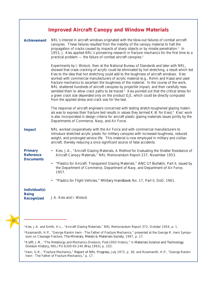| <b>Achievement</b>                                        | NRL's interest in aircraft windows originated with the blow-out failures of combat aircraft<br>canopies. These failures resulted from the inability of the canopy material to halt the<br>propagation of cracks caused by impacts of sharp objects or by missile penetration. <sup>1</sup> In<br>1953, J. Kies applied NRL's pioneering research in fracture mechanics for the first time to a<br>practical problem — the failure of combat aircraft canopies. <sup>2</sup>                                                                                                                                                                                                                                                                                                                                                                          |
|-----------------------------------------------------------|------------------------------------------------------------------------------------------------------------------------------------------------------------------------------------------------------------------------------------------------------------------------------------------------------------------------------------------------------------------------------------------------------------------------------------------------------------------------------------------------------------------------------------------------------------------------------------------------------------------------------------------------------------------------------------------------------------------------------------------------------------------------------------------------------------------------------------------------------|
|                                                           | Experiments by I. Wolock, then at the National Bureau of Standards and later with NRL,<br>showed that craze cracking of acrylic could be eliminated by hot stretching, a result which led<br>Kies to the idea that hot stretching could add to the toughness of aircraft windows. Kies<br>worked with commercial manufacturers of acrylic material (e.g., Rohm and Haas) and used<br>fracture mechanics to ascertain the toughness of the material. In the course of the work,<br>NRL shattered hundreds of aircraft canopies by projectile impact, and then carefully reas-<br>sembled them to allow crack paths to be traced. <sup>3</sup> Kies pointed out that the critical stress for<br>a given crack size depended only on the product $G_{\rho}E$ , which could be directly computed<br>from the applied stress and crack size for the test. |
|                                                           | The response of aircraft engineers concerned with testing stretch-toughened glazing materi-<br>als was to express their fracture test results in values they termed K (K for Kies). <sup>4</sup> Kies' work<br>is also incorporated in design criteria for aircraft plastic glazing materials issues jointly by the<br>Departments of Commerce, Navy, and Air Force.                                                                                                                                                                                                                                                                                                                                                                                                                                                                                 |
| <b>Impact</b>                                             | NRL worked cooperatively with the Air Force and with commercial manufacturers to<br>introduce stretched acrylic plastic for military canopies with increased toughness, reduced<br>weight, and prolonged service life. This material is now employed in military and civilian<br>aircraft, thereby reducing a once significant source of fatal accidents.                                                                                                                                                                                                                                                                                                                                                                                                                                                                                            |
| <b>Primary</b><br><b>Reference</b><br><b>Documents</b>    | • Kies, J.A., "Aircraft Glazing Materials, A Method for Evaluating the Shatter Resistance of<br>Aircraft Canopy Materials," NRL Memorandum Report 237, November 1953.                                                                                                                                                                                                                                                                                                                                                                                                                                                                                                                                                                                                                                                                                |
|                                                           | "Plastics for Aircraft: Transparent Glazing Materials," ANC-17 Bulletin, Part II, issued by<br>$\bullet$<br>the Department of Commerce, Department of Navy, and Department of Air Force,<br>1957.                                                                                                                                                                                                                                                                                                                                                                                                                                                                                                                                                                                                                                                    |
|                                                           | "Plastics for Flight Vehicles," Military Handbook No. 17, Part II, DoD, 1961.                                                                                                                                                                                                                                                                                                                                                                                                                                                                                                                                                                                                                                                                                                                                                                        |
| <b>Individual(s)</b><br><b>Being</b><br><b>Recognized</b> | J.A. Kies and I. Wolock                                                                                                                                                                                                                                                                                                                                                                                                                                                                                                                                                                                                                                                                                                                                                                                                                              |

- 32
- <sup>1</sup> Kies, J.A. and Smith, H.L., "Aircraft Glazing Materials," NRL Memorandum Report 372, October 1954, p. 1.
- <sup>2</sup> Rossmanith, H.P., "George Rankin Irwin The Father of Fracture Mechanics," presented at the George R. Irwin Symposium on Cleavage Fracture, *The Minerals, Metals & Materials Society*, 1997, p. 17.
- <sup>3</sup> Krafft, J.M., "The Metallurgy and Mechanics Divisions, Post-1950 History," in *Materials Science and Technology Division History,* NRL/PU-6300-93-240 (May 1993), p. 103.
- <sup>4</sup> Irwin, G.R., "Fracture Mechanics," *Report of NRL Progress*, July 1973, p. 36; and Rossmanith, H.P., "George Rankin Irwin - The Father of Fracture Mechanics," p. 17.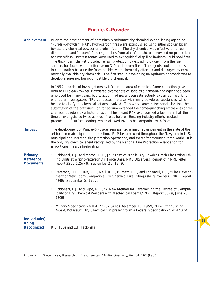| <b>Purple-K-Powder</b>                                                                                                                                                                                                                                                                                                                                                                                                                                                                                                                                                                                                                                                                                                                                                                                                                                                                                           |  |
|------------------------------------------------------------------------------------------------------------------------------------------------------------------------------------------------------------------------------------------------------------------------------------------------------------------------------------------------------------------------------------------------------------------------------------------------------------------------------------------------------------------------------------------------------------------------------------------------------------------------------------------------------------------------------------------------------------------------------------------------------------------------------------------------------------------------------------------------------------------------------------------------------------------|--|
| Prior to the development of potassium bicarbonate dry chemical extinguishing agent, or<br>"Purple-K-Powder" (PKP), hydrocarbon fires were extinguished using either sodium bicar-<br>bonate dry chemical powder or protein foam. The dry chemical was effective on three-<br>dimensional and "hidden" fires (e.g., debris from aircraft crash), but provided no protection<br>against reflash. Protein foams were used to extinguish fuel spill or in-depth liquid pool fires.<br>The thick foam blanket provided reflash protection by excluding oxygen from the fuel<br>surface, but foams were ineffective on 3-D and hidden fires. The agents could not be used<br>in combination because the foam bubbles were chemically attacked and destroyed by com-<br>mercially available dry chemicals. The first step in developing an optimum approach was to<br>develop a superior, foam-compatible dry chemical. |  |
| In 1959, a series of investigations by NRL in the area of chemical flame extinction gave<br>birth to Purple-K-Powder. Powdered bicarbonate of soda as a flame-halting agent had been<br>employed for many years, but its action had never been satisfactorily explained. Working<br>with other investigators, NRL conducted fire tests with many powdered substances, which<br>helped to clarify the chemical actions involved. This work came to the conclusion that the<br>substitution of the potassium ion for sodium extended the flame-quenching efficiencies of the<br>chemical powders by a factor of two. <sup>1</sup> This meant PKP extinguished a fuel fire in half the<br>time or extinguished twice as much fire as before. Ensuing industry efforts resulted in<br>production of surface coatings which allowed PKP to be compatible with foams.                                                  |  |
| The development of Purple-K-Powder represented a major advancement in the state of the<br>art for flammable liquid fire protection. PKP became used throughout the Navy and in U.S.<br>municipal and industrial fire protection operations, and thereafter throughout the world. It is<br>the only dry chemical agent recognized by the National Fire Protection Association for<br>airport crash rescue firefighting.                                                                                                                                                                                                                                                                                                                                                                                                                                                                                           |  |
| Jablonski, E.J. and Moran, H.E., Jr., "Tests of Mobile Dry Powder Crash Fire Extinguish-<br>٠<br>ing Units at Wright-Patterson Air Force Base, NRL Observers' Report of," NRL letter<br>report 3250-125/49, September 21, 1949.                                                                                                                                                                                                                                                                                                                                                                                                                                                                                                                                                                                                                                                                                  |  |
| Peterson, H.B., Tuve, R.L., Neill, R.R., Burnett, J.C., and Jablonski, E.J., "The Develop-<br>٠<br>ment of New Foam-Compatible Dry Chemical Fire Extinguishing Powders," NRL Report<br>4986, September 5, 1957.                                                                                                                                                                                                                                                                                                                                                                                                                                                                                                                                                                                                                                                                                                  |  |
| Jablonski, E J. and Gipe, R.L., "A New Method for Determining the Degree of Compat-<br>ibility of Dry Chemical Powders with Mechanical Foams," NRL Report 5329, June 23,<br>1959.                                                                                                                                                                                                                                                                                                                                                                                                                                                                                                                                                                                                                                                                                                                                |  |
| Military Specification MIL-F 22287 (Wep) December 15, 1959, "Fire Extinguishing<br>Agent, Potassium Dry Chemical," in present form a Federal Specification O-D-1407A.                                                                                                                                                                                                                                                                                                                                                                                                                                                                                                                                                                                                                                                                                                                                            |  |
| R.L. Tuve and E.J. Jablonski                                                                                                                                                                                                                                                                                                                                                                                                                                                                                                                                                                                                                                                                                                                                                                                                                                                                                     |  |
|                                                                                                                                                                                                                                                                                                                                                                                                                                                                                                                                                                                                                                                                                                                                                                                                                                                                                                                  |  |

<sup>&</sup>lt;sup>1</sup> Tuve, R.L., "Recent Navy Research on Dry Chemicals," *NFPA Quarterly*, Vol. 54, 162 (1960).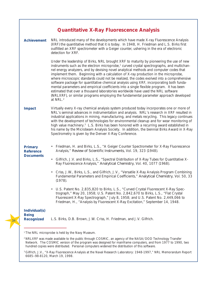## **Quantitative X-Ray Fluorescence Analysis**

| <b>Achievement</b>                                          | NRL introduced many of the developments which have made X-ray Fluorescence Analysis<br>(XRF) the quantitative method that it is today. In 1948, H. Friedman and L.S. Birks first<br>outfitted an XRF spectrometer with a Geiger counter, ushering in the era of electronic<br>detection for XRF.                                                                                                                                                                                                                                                                                                                                                                                                                                                                                                                                                                                                   |
|-------------------------------------------------------------|----------------------------------------------------------------------------------------------------------------------------------------------------------------------------------------------------------------------------------------------------------------------------------------------------------------------------------------------------------------------------------------------------------------------------------------------------------------------------------------------------------------------------------------------------------------------------------------------------------------------------------------------------------------------------------------------------------------------------------------------------------------------------------------------------------------------------------------------------------------------------------------------------|
|                                                             | Under the leadership of Birks, NRL brought XRF to maturity by pioneering the use of new<br>instruments such as the electron microprobe, <sup>1</sup> curved crystal spectrographs, and multichan-<br>nel energy analyzers, and by devising novel analytical methods and computer codes that<br>implement them. Beginning with a calculation of X-ray production in the microprobe,<br>where microscopic standards could not be realized, the codes evolved into a comprehensive<br>software package for quantitative chemical analysis using XRF, incorporating both funda-<br>mental parameters and empirical coefficients into a single flexible program. It has been<br>estimated that over a thousand laboratories worldwide have used the NRL software<br>(NRLXRF), or similar programs employing the fundamental parameter approach developed<br>at NRL. <sup>2</sup>                        |
| <b>Impact</b>                                               | Virtually every X-ray chemical analysis system produced today incorporates one or more of<br>NRL's seminal advances in instrumentation and analysis. NRL's research in XRF resulted in<br>industrial applications in mining, manufacturing, and metals recycling. This legacy continues<br>with the development of technologies for environmental cleanup and for wear monitoring of<br>high value machinery. <sup>3</sup> L.S. Birks has been honored with a recurring award established in<br>his name by the Microbeam Analysis Society. In addition, the biennial Birks Award in X-Ray<br>Spectrometry is given by the Denver X-Ray Conference.                                                                                                                                                                                                                                                |
| <b>Primary</b><br><b>Reference</b><br><b>Documents</b>      | Friedman, H. and Birks, L.S., "A Geiger Counter Spectrometer for X-Ray Fluorescence<br>٠<br>Analysis," Review of Scientific Instruments, Vol. 19, 323 (1948).<br>Gilfrich, J.V. and Birks, L.S., "Spectral Distribution of X-Ray Tubes for Quantitative X-<br>٠<br>Ray Fluorescence Analysis," Analytical Chemistry, Vol. 40, 1077 (1968).<br>Criss, J.W., Birks, L.S., and Gilfrich, J.V., "Versatile X-Ray Analysis Program Combining<br>٠<br>Fundamental Parameters and Empirical Coefficients," Analytical Chemistry, Vol. 50, 33<br>(1978).<br>U.S. Patent No. 2,835,820 to Birks, L.S., "Curved Crystal Fluorescent X-Ray Spec-<br>٠<br>trograph," May 20, 1958; U.S. Patent No. 2,842,670 to Birks, L.S., "Flat Crystal<br>Fluorescent X-Ray Spectrograph," July 8, 1958; and U.S. Patent No. 2,449,066 to<br>Friedman, H., "Analysis by Fluorescent X-Ray Excitation," September 14, 1948. |
| <b>Individual(s)</b><br><b>Being</b><br><b>Recognized</b>   | L.S. Birks, D.B. Brown, J.W. Criss, H. Friedman, and J.V. Gilfrich.                                                                                                                                                                                                                                                                                                                                                                                                                                                                                                                                                                                                                                                                                                                                                                                                                                |
| <sup>1</sup> The NRL microprobe is held by the Navy Museum. |                                                                                                                                                                                                                                                                                                                                                                                                                                                                                                                                                                                                                                                                                                                                                                                                                                                                                                    |

<sup>2</sup>NRLXRF was made available to the public through COSMIC, an agency of the NASA/DOD Technology Transfer Network. The COSMIC version of the program was designed for mainframe computers, and from 1977 to 1990, two hundred copies were distributed. Personal computers widened the distribution of this software.

<sup>&</sup>lt;sup>3</sup> Gilfrich, J.V., "X-Ray Fluorescence Analysis at the Naval Research Laboratory: 1948-1997," NRL Memorandum Report 6685--98-8120, March 19, 1998.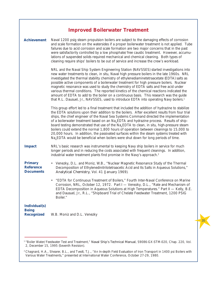## **Improved Boilerwater Treatment**

| <b>Achievement</b>                                        | Naval 1200 psig steam propulsion boilers are subject to the damaging effects of corrosion<br>and scale formation on the watersides if a proper boilerwater treatment is not applied. Tube<br>failures due to acid corrosion and scale formation are two major concerns that in the past<br>were satisfactorily controlled by a low phosphate/free caustic treatment. However, accumu-<br>lations of suspended solids required mechanical and chemical cleaning. Both types of<br>cleaning require ships' boilers to be out of service and increase the crew's workload.                                                                                                                                                                                                                    |
|-----------------------------------------------------------|--------------------------------------------------------------------------------------------------------------------------------------------------------------------------------------------------------------------------------------------------------------------------------------------------------------------------------------------------------------------------------------------------------------------------------------------------------------------------------------------------------------------------------------------------------------------------------------------------------------------------------------------------------------------------------------------------------------------------------------------------------------------------------------------|
|                                                           | NRL and the Naval Ship System Engineering Station (NAVSSES) started investigations into<br>new water treatments to clean, in situ, Naval high pressure boilers in the late 1960s. NRL<br>investigated the thermal stability chemistry of ethylenediaminetetraacetate (EDTA) salts as<br>possible active components of a boilerwater treatment for high pressure boilers. Nuclear<br>magnetic resonance was used to study the chemistry of EDTA salts and free acid under<br>various thermal conditions. The reported kinetics of the chemical reactions indicated the<br>amount of EDTA to add to the boiler on a continuous basis. This research was the guide<br>that R.L. Dausuel, Jr., NAVSSES, used to introduce EDTA into operating Navy boilers. <sup>1</sup>                       |
|                                                           | This group effort led to a final treatment that included the addition of hydrazine to stabilize<br>the EDTA solutions upon their addition to the boilers. After excellent results from four trial<br>ships, the chief engineer of the Naval Sea Systems Command directed the implementation<br>of a boilerwater treatment based on an $\text{Na}_{4}$ EDTA and hydrazine process. Results of ship-<br>board testing demonstrated that use of the $Na4EDTA$ to clean, in situ, high-pressure steam<br>boilers could extend the normal 1,800 hours of operation between cleanings to 15,000 to<br>20,000 hours. In addition, the passivated surfaces within the steam systems treated with<br>Na <sub>4</sub> EDTA would be beneficial when boilers were shut down for long periods of time. |
| <b>Impact</b>                                             | NRL's basic research was instrumental to keeping Navy ship boilers in service for much<br>longer periods and in reducing the costs associated with frequent cleanings. In addition,<br>industrial water treatment plants find promise in the Navy's approach. <sup>2</sup>                                                                                                                                                                                                                                                                                                                                                                                                                                                                                                                 |
| <b>Primary</b><br><b>Reference</b><br><b>Documents</b>    | • Venezky, D.L. and Moniz, W.B., "Nuclear Magnetic Resonance Study of the Thermal<br>Decomposition of Ethylenedinitrilotetraacetic Acid and Its Salts in Aqueous Solutions,"<br>Analytical Chemistry, Vol. 41 (January 1969).                                                                                                                                                                                                                                                                                                                                                                                                                                                                                                                                                              |
|                                                           | "EDTA for Continuous Treatment of Boilers," Fourth Inter-Naval Conference on Marine<br>Corrosion, NRL, October 12, 1972. Part I - Venezky, D.L., "Rate and Mechanism of<br>EDTA Decomposition in Aqueous Solutions at High Temperatures." Part II - Kelly, B.E.<br>and Dausuel, Jr., R.L., "Shipboard Trial of Chelate Feedwater Treatment, 1200 PSIG<br>Boiler."                                                                                                                                                                                                                                                                                                                                                                                                                          |
| <b>Individual(s)</b><br><b>Being</b><br><b>Recognized</b> | W.B. Moniz and D.L. Venezky                                                                                                                                                                                                                                                                                                                                                                                                                                                                                                                                                                                                                                                                                                                                                                |

<sup>1</sup> "Boiler Water/Feedwater Test and Treatment," *Naval Ship's Technical Manual*, S9086-GX-STM-020, Chap. 220, Vol. 2, December 15, 1995 (Seventh Revision).

<sup>&</sup>lt;sup>2</sup> Chagnard, H.A., Shearer, B.L., and Tvedt, T.J., "An In-depth Field Evaluation of Iron Transport in 1400 psi Boilers with Various Water Treatments," presented at International Water Conference, October 27-29, 1980.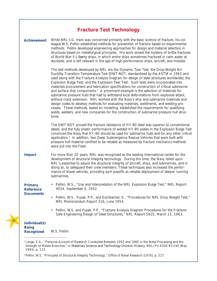## **Fracture Test Technology**

| <b>Achievement</b>                                        | While NRL's G. Irwin was concerned primarily with the basic science of fracture, his col-<br>league W.S. Pellini established methods for prevention of fracture based on experimental<br>methods. Pellini developed engineering approaches for design and material selection in<br>structures based on metallurgical principles. His work solved the mystery of brittle fractures<br>of World War II Liberty ships, in which entire ships sometimes fractured in calm water at<br>dockside, and is still relevant in the age of high-performance ships, aircraft, and missiles.                                                                                                                                                                                                                                                                                                                                                                                                                                                                 |
|-----------------------------------------------------------|-------------------------------------------------------------------------------------------------------------------------------------------------------------------------------------------------------------------------------------------------------------------------------------------------------------------------------------------------------------------------------------------------------------------------------------------------------------------------------------------------------------------------------------------------------------------------------------------------------------------------------------------------------------------------------------------------------------------------------------------------------------------------------------------------------------------------------------------------------------------------------------------------------------------------------------------------------------------------------------------------------------------------------------------------|
|                                                           | The test methods developed by NRL are the Dynamic Tear Test; the Drop-Weight Nil-<br>Ductility Transition Temperature Test (DWT-NDT, standardized by the ASTM in 1963 and<br>used along with the Fracture Analysis Diagram for design of steel structures worldwide); the<br>Explosion Bulge Test; and the Explosion Tear Test. Such tests were incorporated into<br>materials procurement and fabrication specifications for construction of critical submarine<br>and surface ship components. <sup>1</sup> A prominent example is the selection of materials for<br>submarine pressure hulls that had to withstand local deformations from explosive attack,<br>without crack extension. NRL worked with the Navy's ship and submarine materials and<br>design codes to develop methods for evaluating materials, weldments, and welding pro-<br>cesses. These methods, based on modeling, established the requirements for qualifying<br>welds, welders, and new companies for the construction of submarine pressure hull struc-<br>tures. |
|                                                           | The DWT-NDT proved the fracture resistance of HY-80 steel was superior to conventional<br>steels, and the fully plastic performance of welded HY-80 plates in the Explosion Bulge Test<br>convinced the Navy that HY-80 should be used for submarine hulls and for any other critical<br>application. <sup>2</sup> In addition, two Deep Submergence Rescue Vehicles that were built with<br>pressure hull material certified to be reliable as measured by fracture mechanics methods<br>were put into the Fleet.                                                                                                                                                                                                                                                                                                                                                                                                                                                                                                                              |
| <b>Impact</b>                                             | For more than 20 years, NRL was recognized as the leading international center for the<br>development of structural integrity technology. During this time, the Navy relied upon<br>NRL's expertise to assure the structural integrity of aircraft, ships, and submarines, and in<br>doing so, to safeguard their crew members. These techniques also increased the perfor-<br>mance of Naval vehicles, providing such payoffs as reliable deployment of deeper running<br>submarines.                                                                                                                                                                                                                                                                                                                                                                                                                                                                                                                                                          |
| <b>Primary</b><br><b>Reference</b><br><b>Documents</b>    | • Pellini, W.S., "Use and Interpretation of the NRL Explosion Bulge Test," NRL Report<br>4034, September 4, 1952.                                                                                                                                                                                                                                                                                                                                                                                                                                                                                                                                                                                                                                                                                                                                                                                                                                                                                                                               |
|                                                           | Pellini, W.S., Puzak, P.P., and Eschbacher, E., "Procedures for NRL Drop Weight Test,"<br>NRL Memorandum Report 316, June 1954.                                                                                                                                                                                                                                                                                                                                                                                                                                                                                                                                                                                                                                                                                                                                                                                                                                                                                                                 |
|                                                           | Pellini, W.S. and Puzak, P.P., "Fracture Analysis Diagram Procedures for the Fracture-<br>$\bullet$<br>Safe Engineering Design of Steel Structures," NRL Report 5920, March 15, 1963.                                                                                                                                                                                                                                                                                                                                                                                                                                                                                                                                                                                                                                                                                                                                                                                                                                                           |
| <b>Individual(s)</b><br><b>Being</b><br><b>Recognized</b> | W.S. Pellini                                                                                                                                                                                                                                                                                                                                                                                                                                                                                                                                                                                                                                                                                                                                                                                                                                                                                                                                                                                                                                    |

<sup>1</sup> Lange, E.A., "Personal Account of Research Conducted Between 1950 and 1980 in the Metal Processing and the Strength of Metals Branches," in *Materials Science and Technology Division History*, NRL/PU-6300-93-240 (May 1993), p. 123.

<sup>&</sup>lt;sup>2</sup> Pellini, W.S. "Principles of Structural Integrity Technology," Office of Naval Research (1976), p. 227.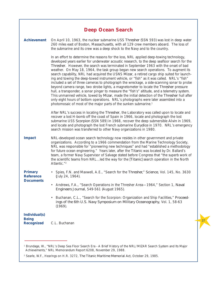## **Deep Ocean Search**

| <b>Achievement</b>                                        | On April 10, 1963, the nuclear submarine USS Thresher (SSN 593) was lost in deep water<br>260 miles east of Boston, Massachusetts, with all 129 crew members aboard. The loss of<br>the submarine and its crew was a deep shock to the Navy and to the country.                                                                                                                                                                                                                                                                                                                                                                                                                                                                                                                                                                                                                                                                                                                                                                                                                                                                        |
|-----------------------------------------------------------|----------------------------------------------------------------------------------------------------------------------------------------------------------------------------------------------------------------------------------------------------------------------------------------------------------------------------------------------------------------------------------------------------------------------------------------------------------------------------------------------------------------------------------------------------------------------------------------------------------------------------------------------------------------------------------------------------------------------------------------------------------------------------------------------------------------------------------------------------------------------------------------------------------------------------------------------------------------------------------------------------------------------------------------------------------------------------------------------------------------------------------------|
|                                                           | In an effort to determine the reasons for the loss, NRL applied deep-towing technology,<br>developed years earlier for underwater acoustic research, to the deep seafloor search for the<br>Thresher. However, the search was terminated in September 1963 with the onset of bad<br>weather. On May 18, 1964, the task group began new search operations. To augment its<br>search capability, NRL had acquired the USNS Mizar, a retired cargo ship suited for launch-<br>ing and towing the deep-towed instrument vehicle, or "fish" as it was called. NRL's "fish"<br>included a set of three cameras to photograph the wreckage, a side-scanning sonar to probe<br>beyond camera range, two strobe lights, a magnetometer to locate the Thresher pressure<br>hull, a transponder, a sonar pinger to measure the "fish's" altitude, and a telemetry system.<br>This unmanned vehicle, towed by Mizar, made the initial detection of the Thresher hull after<br>only eight hours of bottom operations. NRL's photographs were later assembled into a<br>photomosaic of most of the major parts of the sunken submarine. <sup>1</sup> |
|                                                           | After NRL's success in locating the <i>Thresher</i> , the Laboratory was called upon to locate and<br>recover a lost H-bomb off the coast of Spain in 1966, locate and photograph the lost<br>submarine USS Scorpion (SSN 589) in 1968, recover the deep submersible Alvin in 1969,<br>and locate and photograph the lost French submarine Eurydice in 1970. NRL's emergency<br>search mission was transferred to other Navy organizations in 1980.                                                                                                                                                                                                                                                                                                                                                                                                                                                                                                                                                                                                                                                                                    |
| <b>Impact</b>                                             | NRL-developed ocean search technology now resides in other government and private<br>organizations. According to a 1966 commendation from the Marine Technology Society,<br>NRL was responsible for "pioneering new techniques" and had "established a methodology<br>for future ocean engineering." Years later, after the Titanic was located by Dr. Ballard's<br>team, a former Navy Supervisor of Salvage stated before Congress that "the superb work of<br>the scientific teams from NRLled the way for the [Titanic] search operation in the North<br>Atlantic."2                                                                                                                                                                                                                                                                                                                                                                                                                                                                                                                                                               |
| <b>Primary</b><br><b>Reference</b><br><b>Documents</b>    | • Spies, F.N. and Maxwell, A.E., "Search for the Thresher," Science, Vol. 145, No. 3630<br>(July 24, 1964).                                                                                                                                                                                                                                                                                                                                                                                                                                                                                                                                                                                                                                                                                                                                                                                                                                                                                                                                                                                                                            |
|                                                           | Andrews, F.A., "Search Operations in the Thresher Area—1964," Section 1, Naval<br>$\bullet$<br>Engineers Journal, 549-561 (August 1965).                                                                                                                                                                                                                                                                                                                                                                                                                                                                                                                                                                                                                                                                                                                                                                                                                                                                                                                                                                                               |
|                                                           | Buchanan, C.L., "Search for the Scorpion: Organization and Ship Facilities," Proceed-<br>$\bullet$<br>ings of the 6th U.S. Navy Symposium on Military Oceanography, Vol. 1, 58-63<br>(1969).                                                                                                                                                                                                                                                                                                                                                                                                                                                                                                                                                                                                                                                                                                                                                                                                                                                                                                                                           |
| <b>Individual(s)</b><br><b>Being</b><br><b>Recognized</b> | C.L. Buchanan                                                                                                                                                                                                                                                                                                                                                                                                                                                                                                                                                                                                                                                                                                                                                                                                                                                                                                                                                                                                                                                                                                                          |

<sup>1</sup> Brundage, W., "NRL's Deep Sea Floor Search Era - A Brief History of the NRL/MIZAR Search System and Its Major Achievements," NRL Memorandum Report 6208, November 29, 1988.

<sup>2</sup> Searle, W.F., Hearings on H.R. 3272, *The Titanic Maritime Memorial Ac*t, October 29, 1985.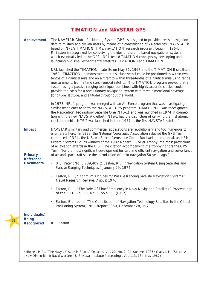### **TIMATION and NAVSTAR GPS**

| <b>Achievement</b>                                                      | The NAVSTAR Global Positioning System (GPS) is designed to provide precise navigation<br>data to military and civilian users by means of a constellation of 24 satellites. NAVSTAR is<br>based on NRL's TIMATION (TIMe/navigATION) research program, begun in 1964.<br>R. Easton is recognized for conceiving the idea of the time-based navigational system,<br>which eventually led to the GPS. NRL tested TIMATION concepts by developing and<br>launching two small experimental satellites, TIMATION I and TIMATION II.                                                                                                                   |
|-------------------------------------------------------------------------|------------------------------------------------------------------------------------------------------------------------------------------------------------------------------------------------------------------------------------------------------------------------------------------------------------------------------------------------------------------------------------------------------------------------------------------------------------------------------------------------------------------------------------------------------------------------------------------------------------------------------------------------|
|                                                                         | NRL launched the TIMATION I satellite on May 31, 1967 and the TIMATION II satellite in<br>1969. TIMATION I demonstrated that a surface vessel could be positioned to within two-<br>tenths of a nautical mile and an aircraft to within three-tenths of a nautical mile using range<br>measurements from a time-synchronized satellite. The TIMATION program proved that a<br>system using a passive ranging technique, combined with highly accurate clocks, could<br>provide the basis for a revolutionary navigation system with three-dimensional coverage<br>(longitude, latitude, and altitude) throughout the world.                    |
|                                                                         | In 1973, NRL's program was merged with an Air Force program that was investigating<br>similar techniques to form the NAVSTAR GPS program. TIMATION III was redesignated<br>the Navigation Technology Satellite One (NTS-1), and was launched in 1974 in connec-<br>tion with the new NAVSTAR effort. NTS-1 had the distinction of carrying the first atomic<br>clock into orbit. NTS-2 was launched in June 1977 as the first NAVSTAR satellite. <sup>1</sup>                                                                                                                                                                                  |
| <b>Impact</b><br><b>Primary</b><br><b>Reference</b><br><b>Documents</b> | NAVSTAR's military and commercial applications are revolutionary and too numerous to<br>enumerate here. In 1993, the National Aeronautic Association selected the GPS Team<br>composed of NRL, the U.S. Air Force, Aerospace Corp., Rockwell International, and IBM<br>Federal Systems Co. as winners of the 1992 Robert J. Collier Trophy, the most prestigious<br>of all aviation awards in the U.S. The citation accompanying the trophy honors the GPS<br>Team "for the most significant development for safe and efficient navigation and surveillance<br>of air and spacecraft since the introduction of radio navigation 50 years ago." |
|                                                                         | • U.S. Patent No. 3,789,409 to Easton, R.L., "Navigation System Using Satellites and<br>Passive Ranging Techniques," January 29, 1974.                                                                                                                                                                                                                                                                                                                                                                                                                                                                                                         |
|                                                                         | • Easton, R.L., "Optimum Altitudes for Passive Ranging Satellite Navigation Systems,"<br>Naval Research Reviews, August 1970.                                                                                                                                                                                                                                                                                                                                                                                                                                                                                                                  |
|                                                                         | Easton, R.L., "The Role Of Time/Frequency in Navy Navigation Satellites," Proceedings<br>$\bullet$<br>of the IEEE, Vol. 60, No. 5, 557-563 (1972).                                                                                                                                                                                                                                                                                                                                                                                                                                                                                             |
|                                                                         | Easton, E.L., et al., "The Contribution of Navigation Technology Satellites to the Global<br>Positioning System," NRL Report 8360, December 28, 1979.                                                                                                                                                                                                                                                                                                                                                                                                                                                                                          |
| <b>Individual(s)</b><br><b>Being</b><br><b>Recognized</b>               | R.L. Easton                                                                                                                                                                                                                                                                                                                                                                                                                                                                                                                                                                                                                                    |

<sup>1</sup> Mitchell, P. A., "The Navy's Mission in Space," *Oceanus*, Vol. 20, No. 2, 24 (Summer 1985); Glaeser, F., "Space: A New Dimension in Naval Warfare," *U.S. Naval Institute Proceedings*, Vol. 113, 134 (May 1987).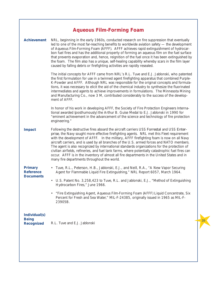# **Aqueous Film-Forming Foam**

| <b>Achievement</b>                                        | NRL, beginning in the early 1960s, conducted research on fire suppression that eventually<br>led to one of the most far-reaching benefits to worldwide aviation safety — the development<br>of Aqueous Film-Forming Foam (AFFF). AFFF achieves rapid extinguishment of hydrocar-<br>bon fuel fires and has the additional property of forming an aqueous film on the fuel surface<br>that prevents evaporation and, hence, reignition of the fuel once it has been extinguished by<br>the foam. The film also has a unique, self-healing capability whereby scars in the film layer<br>caused by falling debris or firefighting activities are rapidly resealed.                                                                  |
|-----------------------------------------------------------|-----------------------------------------------------------------------------------------------------------------------------------------------------------------------------------------------------------------------------------------------------------------------------------------------------------------------------------------------------------------------------------------------------------------------------------------------------------------------------------------------------------------------------------------------------------------------------------------------------------------------------------------------------------------------------------------------------------------------------------|
|                                                           | The initial concepts for AFFF came from NRL's R.L. Tuve and E.J. Jablonski, who patented<br>the first formulation for use in a twinned agent firefighting apparatus that combined Purple-<br>K-Powder and AFFF. Although NRL was responsible for the original concepts and formula-<br>tions, it was necessary to elicit the aid of the chemical industry to synthesize the fluorinated<br>intermediates and agents to achieve improvements in formulations. The Minnesota Mining<br>and Manufacturing Co., now 3 M, contributed considerably to the success of the develop-<br>ment of AFFF.                                                                                                                                     |
|                                                           | In honor of his work in developing AFFF, the Society of Fire Protection Engineers Interna-<br>tional awarded (posthumously) the Arthur B. Guise Medal to E.J. Jablonski in 1990 for<br>"eminent achievement in the advancement of the science and technology of fire protection<br>engineering."                                                                                                                                                                                                                                                                                                                                                                                                                                  |
| <b>Impact</b>                                             | Following the destructive fires aboard the aircraft carriers USS Forrestal and USS Enter-<br>prise, the Navy sought more effective firefighting agents. NRL met this Fleet requirement<br>with the development of AFFF. In the military, AFFF firefighting foam is now on all Navy<br>aircraft carriers, and is used by all branches of the U.S. armed forces and NATO members.<br>The agent is also recognized by international standards organizations for the protection of<br>civilian airfields, refineries, and fuel tank farms, where potentially catastrophic fuel fires can<br>occur. AFFF is in the inventory of almost all fire departments in the United States and in<br>many fire departments throughout the world. |
| <b>Primary</b><br><b>Reference</b><br><b>Documents</b>    | • Tuve, R.L., Peterson, H.B., Jablonski, E.J., and Neill, R.A., "A New Vapor Securing<br>Agent for Flammable Liquid Fire Extinguishing," NRL Report 6057, March 1964.                                                                                                                                                                                                                                                                                                                                                                                                                                                                                                                                                             |
|                                                           | • U.S. Patent No. 3,258,423 to Tuve, R.L. and Jablonski, E.J., "Method of Extinguishing<br>Hydrocarbon Fires," June 1966.                                                                                                                                                                                                                                                                                                                                                                                                                                                                                                                                                                                                         |
|                                                           | • "Fire Extinguishing Agent, Aqueous Film-Forming Foam (AFFF) Liquid Concentrate, Six<br>Percent for Fresh and Sea Water," MIL-F-24385, originally issued in 1965 as MIL-F-<br>23905B.                                                                                                                                                                                                                                                                                                                                                                                                                                                                                                                                            |
| <b>Individual(s)</b><br><b>Being</b><br><b>Recognized</b> | R.L. Tuve and E.J. Jablonski                                                                                                                                                                                                                                                                                                                                                                                                                                                                                                                                                                                                                                                                                                      |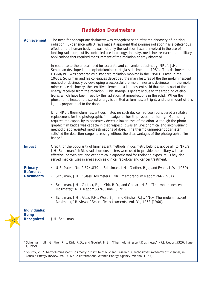| <b>Radiation Dosimeters</b>                               |                                                                                                                                                                                                                                                                                                                                                                                                                                                                                                                                                                                                                                                                                                                                                                                                                                                                                         |
|-----------------------------------------------------------|-----------------------------------------------------------------------------------------------------------------------------------------------------------------------------------------------------------------------------------------------------------------------------------------------------------------------------------------------------------------------------------------------------------------------------------------------------------------------------------------------------------------------------------------------------------------------------------------------------------------------------------------------------------------------------------------------------------------------------------------------------------------------------------------------------------------------------------------------------------------------------------------|
| <b>Achievement</b>                                        | The need for appropriate dosimetry was recognized soon after the discovery of ionizing<br>radiation. Experience with X rays made it apparent that ionizing radiation has a deleterious<br>effect on the human body. It was not only the radiation hazard involved in the use of<br>ionizing radiation, but its controlled use in biology, industry, medicine, research, and military<br>applications that required measurement of the radiation energy absorbed.                                                                                                                                                                                                                                                                                                                                                                                                                        |
|                                                           | In response to the critical need for accurate and convenient dosimetry, NRL's J.H.<br>Schulman developed a radiophotoluminescent glass dosimeter in 1951. This dosimeter, the<br>DT-60/PD, was accepted as a standard radiation monitor in the 1950s. Later, in the<br>1960s, Schulman and his colleagues developed the main features of the thermoluminescent<br>method of dosimetry by developing a successful thermoluminescent dosimeter. In thermolu-<br>minescence dosimetry, the sensitive element is a luminescent solid that stores part of the<br>energy received from the radiation. This storage is generally due to the trapping of elec-<br>trons, which have been freed by the radiation, at imperfections in the solid. When the<br>phosphor is heated, the stored energy is emitted as luminescent light, and the amount of this<br>light is proportional to the dose. |
|                                                           | Until NRL's thermoluminescent dosimeter, no such device had been considered a suitable<br>replacement for the photographic film badge for health physics monitoring. Monitoring<br>required the capability to accurately detect a lower level of radiation. Although the photo-<br>graphic film badge was capable in that respect, it was an uneconomical and inconvenient<br>method that prevented rapid estimations of dose. The thermoluminescent dosimeter<br>satisfied the detection range necessary without the disadvantages of the photographic film<br>badge. <sup>1</sup>                                                                                                                                                                                                                                                                                                     |
| <b>Impact</b>                                             | Credit for the popularity of luminescent methods in dosimetry belongs, above all, to NRL's<br>J.H. Schulman. <sup>2</sup> NRL's radiation dosimeters were used to provide the military with an<br>effective, convenient, and economical diagnostic tool for radiation exposure. They also<br>served medical uses in areas such as clinical radiology and cancer treatment.                                                                                                                                                                                                                                                                                                                                                                                                                                                                                                              |
| <b>Primary</b><br><b>Reference</b><br><b>Documents</b>    | • U.S. Patent No. 2,524,839 to Schulman, J.H., Ginther, R.J., and Evans, L.W. (1950).                                                                                                                                                                                                                                                                                                                                                                                                                                                                                                                                                                                                                                                                                                                                                                                                   |
|                                                           | Schulman, J.H., "Glass Dosimeters," NRL Memorandum Report 266 (1954).<br>$\bullet$                                                                                                                                                                                                                                                                                                                                                                                                                                                                                                                                                                                                                                                                                                                                                                                                      |
|                                                           | Schulman, J.H., Ginther, R.J., Kirk, R.D., and Goulart, H.S., "Thermoluminescent<br>Dosimeter," NRL Report 5326, June 1, 1959.                                                                                                                                                                                                                                                                                                                                                                                                                                                                                                                                                                                                                                                                                                                                                          |
|                                                           | Schulman, J.H., Attix, F.H., West, E.J., and Ginther, R.J., "New Thermoluminescent<br>$\bullet$<br>Dosimeter," Review of Scientific Instruments, Vol. 31, 1263 (1960).                                                                                                                                                                                                                                                                                                                                                                                                                                                                                                                                                                                                                                                                                                                  |
| <b>Individual(s)</b><br><b>Being</b><br><b>Recognized</b> | J.H. Schulman                                                                                                                                                                                                                                                                                                                                                                                                                                                                                                                                                                                                                                                                                                                                                                                                                                                                           |

<sup>&</sup>lt;sup>1</sup> Schulman, J.H., Ginther, R.J., Kirk, R.D., and Goulart, H.S., "Thermoluminescent Dosimeter," NRL Report 5326, June 1, 1959.

<sup>2</sup> Spurny, Z., "Thermoluminescent Dosimetry," Institute of Nuclear Research, Czechoslovak Academy of Sciences, in *Atomic Energy Review*, Vol. 3, No. 2 (International Atomic Energy Agency, Vienna, 1965).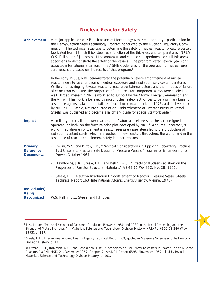|                                                           | <b>Nuclear Reactor Safety</b>                                                                                                                                                                                                                                                                                                                                                                                                                                                                                                                                                                                                                                                                                                                                                                                                                              |
|-----------------------------------------------------------|------------------------------------------------------------------------------------------------------------------------------------------------------------------------------------------------------------------------------------------------------------------------------------------------------------------------------------------------------------------------------------------------------------------------------------------------------------------------------------------------------------------------------------------------------------------------------------------------------------------------------------------------------------------------------------------------------------------------------------------------------------------------------------------------------------------------------------------------------------|
| <b>Achievement</b>                                        | A major application of NRL's fracture-test technology was the Laboratory's participation in<br>the Heavy-Section Steel Technology Program conducted by the Nuclear Regulatory Com-<br>mission. The technical issue was to determine the safety of nuclear reactor pressure vessels<br>fabricated from 12-inch thick steel, as a function of the thickness and temperatures. NRL's<br>W.S. Pellini and F.J. Loss built the apparatus and conducted experiments on full-thickness<br>specimens to demonstrate the safety of the vessels. The program lasted several years and<br>attracted international attention. The ASME Code rules for the operation of nuclear pres-<br>sure vessels are based on the results of that program. <sup>1</sup>                                                                                                            |
|                                                           | In the early 1960s, NRL demonstrated the potentially severe embrittlement of nuclear<br>reactor steels to be a function of neutron exposure and irradiation (service) temperatures.<br>While emphasizing light-water reactor pressure containment steels and their modes of failure<br>after neutron exposure, the properties of other reactor component alloys were studied as<br>well. Broad interest in NRL's work led to support by the Atomic Energy Commission and<br>the Army. This work is believed by most nuclear safety authorities to be a primary basis for<br>assurance against catastrophic failure of radiation containment. In 1975, a definitive book<br>by NRL's L.E. Steele, Neutron Irradiation Embrittlement of Reactor Pressure Vessel<br>Steels, was published and became a landmark guide for specialists worldwide. <sup>2</sup> |
| <b>Impact</b>                                             | All military and civilian power reactors that feature a steel pressure shell are designed or<br>operated, or both, on the fracture principles developed by NRL. <sup>3</sup> And, the Laboratory's<br>work in radiation embrittlement in reactor pressure vessel steels led to the production of<br>radiation-resistant steels, which are applied in new reactors throughout the world, and in the<br>assurance of reactor containment safety in older reactors.                                                                                                                                                                                                                                                                                                                                                                                           |
| <b>Primary</b><br><b>Reference</b><br><b>Documents</b>    | • Pellini, W.S. and Puzak, P.P., "Practical Considerations in Applying Laboratory Fracture<br>Test Criteria to Fracture-Safe Design of Pressure Vessels," Journal of Engineering for<br>Power, October 1964.                                                                                                                                                                                                                                                                                                                                                                                                                                                                                                                                                                                                                                               |
|                                                           | • Hawthorne, J.R., Steele, L.E., and Pellini, W.S., "Effects of Nuclear Radiation on the<br>Properties of Reactor Structural Materials," ASME 61-WA-332, No. 28, 1961.                                                                                                                                                                                                                                                                                                                                                                                                                                                                                                                                                                                                                                                                                     |
|                                                           | Steele, L.E., Neutron Irradiation Embrittlement of Reactor Pressure Vessel Steels,<br>$\bullet$<br>Technical Report 163 (International Atomic Energy Agency, Vienna, 1975).                                                                                                                                                                                                                                                                                                                                                                                                                                                                                                                                                                                                                                                                                |
| <b>Individual(s)</b><br><b>Being</b><br><b>Recognized</b> | W.S. Pellini, L.E. Steele, and F.J. Loss                                                                                                                                                                                                                                                                                                                                                                                                                                                                                                                                                                                                                                                                                                                                                                                                                   |

<sup>&</sup>lt;sup>1</sup> E.A. Lange, "Personal Account of Research Conducted Between 1950 and 1980 in the Metal Processing and the Strength of Metals Branches," in *Materials Science and Technology Division History*, NRL/PU-6300-93-240 (May 1993), p. 127.

<sup>2</sup> Steele, L.E., International Atomic Energy Agency Technical Report 163; quoted in *Materials Science and Technology Division History*, p. 131.

<sup>3</sup> Whitman, G.D., Robinson, G.C., and Sanolainen, A.W., "Technology of Steel Pressure Vessels for Water-Cooled Nuclear Reactors," ORNL-NSIC-21, December 1967, Chapter 7 uses NRL Report 6598, November 1967; cited by Irwin in *Materials Science and Technology Division History*, p. 101.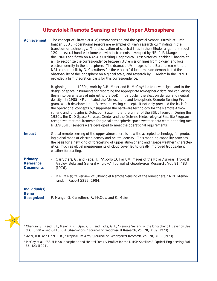### **Ultraviolet Remote Sensing of the Upper Atmosphere**

**Achievement** The concept of ultraviolet (UV) remote sensing and the Special Sensor Ultraviolet Limb Imager (SSULI) operational sensors are examples of Navy research culminating in the transition of technology. The observation of spectral lines in the altitude range from about 120 to several hundred kilometers with instruments developed by NRL's P. Mange during the 1960s and flown on NASA's Orbiting Geophysical Observatories, enabled Chandra et al.1 to recognize the correspondence between UV emission lines from oxygen and local electron density in the ionosphere. The dramatic UV images of the Earth taken with the NRL camera built by G. Carruthers for the *Apollo 16* lunar mission demonstrated the observability of the ionosphere on a global scale, and research by R. Meier<sup>2</sup> in the 1970s provided a firm theoretical basis for this correspondence.

> Beginning in the 1980s, work by R.R. Meier and R. McCoy3 led to new insights and to the design of space instruments for recording the appropriate atmospheric data and converting them into parameters of interest to the DoD, in particular, the electron density and neutral density. In 1985, NRL initiated the Atmospheric and Ionospheric Remote Sensing Program, which developed the UV remote sensing concept. It not only provided the basis for the operational concepts but supported the hardware technology for the Remote Atmospheric and Ionospheric Detection System, the forerunner of the SSULI sensor. During the 1980s, the DoD Space Forecast Center and the Defense Meteorological Satellite Program recognized that requirements for global atmospheric space weather data were not being met. NRL's SSULI sensors were developed to meet the operational requirements.

#### **Impact** Global remote sensing of the upper atmosphere is now the accepted technology for producing global maps of electron density and neutral density. This mapping capability provides the basis for a new kind of forecasting of upper atmospheric and "space weather" characteristics, much as global measurements of cloud cover led to greatly improved tropospheric weather forecasting.

#### **Primary Reference Documents**

• Carruthers, G. and Page, T., "*Apollo 16* Far UV Images of the Polar Auroras, Tropical Airglow Belts and General Airglow," *Journal of Geophysical Research*, Vol. 81, 483 (1976).

• R.R. Meier, "Overview of Ultraviolet Remote Sensing of the Ionosphere," NRL Memorandum Report 5292, 1984.

### **Individual(s) Being Recognized**

P. Mange, G. Carruthers, R. McCoy, and R. Meier

<sup>42</sup>

<sup>&</sup>lt;sup>1</sup> Chandra, S., Reed, E.I., Meier, R.R., Opal, C.B., and Hicks, G.T., "Remote Sensing of the Ionospheric F Layer by Use of OI 6300 A and OI 1356 A Observations," *Journal of Geophysical Research*, Vol. 78, 3189 (1973).

<sup>2</sup> Meier, R.R. and Opal, C.B., "Tropical UV Arcs," *Journal of Geophysical Research*, Vol. 78, 3189 (1973).

<sup>3</sup> McCoy et al., "SSULI: An Ionospheric and Neutral Density Profiler for the DMSP Satellites," *Optical Engineering*, Vol. 33, 423 (1994).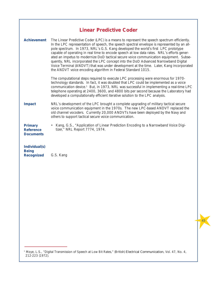| <b>Linear Predictive Coder</b> |  |
|--------------------------------|--|
|                                |  |

| <b>Achievement</b>                                        | The Linear Predictive Coder (LPC) is a means to represent the speech spectrum efficiently.<br>In the LPC representation of speech, the speech spectral envelope is represented by an all-<br>pole spectrum. In 1973, NRL's G.S. Kang developed the world's first LPC prototype<br>capable of operating in real time to encode speech at low data rates. NRL's efforts gener-<br>ated an impetus to modernize DoD tactical secure voice communication equipment. Subse-<br>quently, NRL incorporated the LPC concept into the DoD Advanced Narrowband Digital<br>Voice Terminal (ANDVT) that was under development at the time. Later, Kang incorporated<br>the ANDVT voice encoding algorithm in Federal Standard 1015. |
|-----------------------------------------------------------|-------------------------------------------------------------------------------------------------------------------------------------------------------------------------------------------------------------------------------------------------------------------------------------------------------------------------------------------------------------------------------------------------------------------------------------------------------------------------------------------------------------------------------------------------------------------------------------------------------------------------------------------------------------------------------------------------------------------------|
|                                                           | The computational steps required to execute LPC processing were enormous for 1970-<br>technology standards. In fact, it was doubted that LPC could be implemented as a voice<br>communication device. <sup>1</sup> But, in 1973, NRL was successful in implementing a real-time LPC<br>telephone operating at 2400, 3600, and 4800 bits per second because the Laboratory had<br>developed a computationally efficient iterative solution to the LPC analysis.                                                                                                                                                                                                                                                          |
| <b>Impact</b>                                             | NRL's development of the LPC brought a complete upgrading of military tactical secure<br>voice communication equipment in the 1970s. The new LPC-based ANDVT replaced the<br>old channel vocoders. Currently 20,000 ANDVTs have been deployed by the Navy and<br>others to support tactical secure voice communication.                                                                                                                                                                                                                                                                                                                                                                                                 |
| <b>Primary</b><br><b>Reference</b><br><b>Documents</b>    | • Kang, G.S., "Application of Linear Prediction Encoding to a Narrowband Voice Digi-<br>tizer," NRL Report 7774, 1974.                                                                                                                                                                                                                                                                                                                                                                                                                                                                                                                                                                                                  |
| <b>Individual(s)</b><br><b>Being</b><br><b>Recognized</b> | G.S. Kang                                                                                                                                                                                                                                                                                                                                                                                                                                                                                                                                                                                                                                                                                                               |
|                                                           |                                                                                                                                                                                                                                                                                                                                                                                                                                                                                                                                                                                                                                                                                                                         |

1 Moye, L.S., "Digital Transmission of Speech at Low Bit Rates," (British) *Electrical Communication*, Vol. 47, No. 4, 212-223 (1972).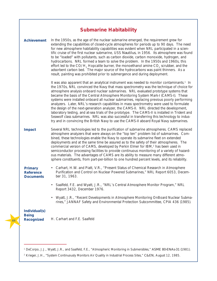|  | <b>Submarine Habitability</b> |
|--|-------------------------------|
|  |                               |

**Achievement Impact Primary Reference Documents** In the 1950s, as the age of the nuclear submarine emerged, the requirement grew for extending the capabilities of closed-cycle atmospheres for periods up to 90 days. The need for new atmosphere habitability capabilities was evident when NRL participated in a scientific cruise of the first nuclear submarine, USS *Nautilus*, in 1956. Its atmosphere was found to be "loaded" with pollutants, such as carbon dioxide, carbon monoxide, hydrogen, and hydrocarbons. NRL formed a team to solve the problem. In the 1950s and 1960s, this effort led to the CO/H<sub>2</sub> Hopcalite burner, the monoethanol amine  $CO<sub>2</sub>$  scrubber, and the adsorbent carbon bed. The major source of the hydrocarbons was paint thinners. As a result, painting was prohibited prior to submergence and during deployment. It was also apparent that an analytical instrument was needed to monitor contaminants.<sup>1</sup> In the 1970s, NRL convinced the Navy that mass spectrometry was the technique of choice for atmosphere analysis onboard nuclear submarines. NRL evaluated prototype systems that became the basis of the Central Atmosphere Monitoring System Mark-I (CAMS-I). These systems were installed onboard all nuclear submarines, replacing previous poorly performing analyzers. Later, NRL's research capabilities in mass spectrometry were used to formulate the design of the next-generation analyzer, the CAMS-II. NRL directed the development, laboratory testing, and at-sea trials of the prototype. The CAMS-II is installed in Trident and Seawolf class submarines. NRL was also successful in transferring this technology to industry and in convincing the British Navy to use the CAMS-II aboard Royal Navy submarines. Several NRL technologies led to the purification of submarine atmospheres. CAMS replaced atmosphere analyzers that were always on the "top ten" problem list of submarines. Combined, these technologies enable the Navy to operate its submarine fleet on extended deployments and at the same time be assured as to the safety of their atmospheres. The commercial version of CAMS, developed by Perkin Elmer for IBM,<sup>2</sup> has been used in semiconductor processing facilities to provide continuous monitoring of a variety of hazardous materials. The advantages of CAMS are its ability to measure many different atmosphere constituents, from part-per-billion to one hundred percent levels, and its reliability. • Carhart, H.W. and Piatt, V.R., "Present Status of Chemical Research in Atmosphere Purification and Control on Nuclear Powered Submarines," NRL Report 6053, December 31, 1963. • Saalfeld, F.E. and Wyatt, J.R., "NRL's Central Atmosphere Monitor Program," NRL Report 3432, December 1976. • Wyatt, J.R., "Recent Developments in Atmosphere Monitoring OnBoard Nuclear Submarines," JANNAF Safety and Environmental Protection Subcommittee, CPIA 436 (1985).

#### **Individual(s) Being Recognized**

44

H. Carhart and F.E. Saalfeld

2 Krieger, J.H., "System Continuously Monitors Air Quality in Industrial Process Sites," *C&EN*, August 12, 1985.

<sup>1</sup> DeCorpo, J.J., Wyatt, J.R., and Saalfeld, F.E., "Atmospheric Monitoring in Submersibles," *ASME 80-ENAs-31* (1981).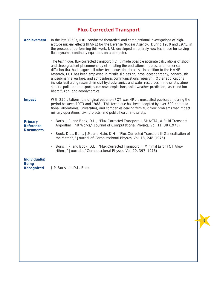# **Flux-Corrected Transport**

| <b>Achievement</b>                                        | In the late 1960s, NRL conducted theoretical and computational investigations of high-<br>altitude nuclear effects (HANE) for the Defense Nuclear Agency. During 1970 and 1971, in<br>the process of performing this work, NRL developed an entirely new technique for solving<br>fluid dynamic continuity equations on a computer.                                                                                                                                                                                                                                                                                                                                                           |
|-----------------------------------------------------------|-----------------------------------------------------------------------------------------------------------------------------------------------------------------------------------------------------------------------------------------------------------------------------------------------------------------------------------------------------------------------------------------------------------------------------------------------------------------------------------------------------------------------------------------------------------------------------------------------------------------------------------------------------------------------------------------------|
|                                                           | The technique, flux-corrected transport (FCT), made possible accurate calculations of shock<br>and steep gradient phenomena by eliminating the oscillations, ripples, and numerical<br>diffusion that had plagued all other techniques for decades. In addition to the HANE<br>research, FCT has been employed in missile silo design, naval oceanography, nonacoustic<br>antisubmarine warfare, and atmospheric communications research. Other applications<br>include facilitating research in civil hydrodynamics and water resources, mine safety, atmo-<br>spheric pollution transport, supernova explosions, solar weather prediction, laser and ion-<br>beam fusion, and aerodynamics. |
| <b>Impact</b>                                             | With 250 citations, the original paper on FCT was NRL's most cited publication during the<br>period between 1973 and 1988. This technique has been adopted by over 500 computa-<br>tional laboratories, universities, and companies dealing with fluid flow problems that impact<br>military operations, civil projects, and public health and safety.                                                                                                                                                                                                                                                                                                                                        |
| <b>Primary</b><br><b>Reference</b><br><b>Documents</b>    | • Boris, J.P. and Book, D.L., "Flux-Corrected Transport. I. SHASTA, A Fluid Transport<br>Algorithm That Works," Journal of Computational Physics, Vol. 11, 38 (1973).<br>Book, D.L., Boris, J.P., and Hain, K.H., "Flux-Corrected Transport II: Generalization of<br>٠<br>the Method," Journal of Computational Physics, Vol. 18, 248 (1975).                                                                                                                                                                                                                                                                                                                                                 |
|                                                           | • Boris, J.P. and Book, D.L., "Flux-Corrected Transport III: Minimal Error FCT Algo-<br>rithms," Journal of Computational Physics, Vol. 20, 397 (1976).                                                                                                                                                                                                                                                                                                                                                                                                                                                                                                                                       |
| <b>Individual(s)</b><br><b>Being</b><br><b>Recognized</b> | J.P. Boris and D.L. Book                                                                                                                                                                                                                                                                                                                                                                                                                                                                                                                                                                                                                                                                      |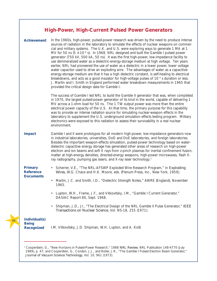## **High-Power, High-Current Pulsed Power Generators**

| <b>Achievement</b>                                        | In the 1960s, high-power, pulsed-power research was driven by the need to produce intense<br>sources of radiation in the laboratory to simulate the effects of nuclear weapons on commer-<br>cial and military systems. The U.K. and U.S. were exploring ways to generate 1 MA at 1<br>MV for 50 ns $(5 \times 10^{-8} \text{ s})$ . In 1968, NRL designed and built the Gamble I pulsed power<br>generator (750 kV, 500 kA, 50 ns). It was the first high-power, low-impedance facility to<br>use demineralized water as a dielectric-energy-storage medium at high voltage. Ten years<br>earlier, NRL had pioneered the use of water as a dielectric in a lower power, lower voltage<br>water capacitor used to drive an exploding wire. The advantages of water as a capacitive-<br>energy-storage medium are that it has a high dielectric constant, is self-healing to electrical<br>breakdowns, and acts as a good insulator for high-voltage pulses of $10^{-5}$ s duration or less.<br>J. Martin and I. Smith in England performed water breakdown measurements in 1965 that<br>provided the critical design data for Gamble I. |
|-----------------------------------------------------------|-----------------------------------------------------------------------------------------------------------------------------------------------------------------------------------------------------------------------------------------------------------------------------------------------------------------------------------------------------------------------------------------------------------------------------------------------------------------------------------------------------------------------------------------------------------------------------------------------------------------------------------------------------------------------------------------------------------------------------------------------------------------------------------------------------------------------------------------------------------------------------------------------------------------------------------------------------------------------------------------------------------------------------------------------------------------------------------------------------------------------------------------|
|                                                           | The success of Gamble I led NRL to build the Gamble II generator that was, when completed<br>in 1970, the largest pulsed-power generator of its kind in the world, capable of delivering 1<br>MV across a 1-ohm load for 50 ns. The 1 TW output power was more than the entire<br>electrical power capacity of the U.S. At that time, the primary purpose for this capability<br>was to provide an intense radiation source for simulating nuclear-weapon effects in the<br>laboratory to supplement the U.S. underground simulation effects testing program. Military<br>electronics were exposed to this radiation to assess their survivability in a real nuclear<br>environment.                                                                                                                                                                                                                                                                                                                                                                                                                                                    |
| <b>Impact</b>                                             | Gamble I and II were prototypes for all modern high-power, low-impedance generators now<br>in industrial laboratories, universities, DoD and DoE laboratories, and foreign laboratories.<br>Besides the important weapon-effects simulation, pulsed-power technology based on water-<br>dielectric capacitive energy storage has generated other areas of research on high-power<br>electron and ion beams and soft X rays from z-pinch plasmas for inertial confinement fusion,<br>matter at high-energy densities, directed-energy weapons, high-power microwaves, flash X-<br>ray radiography, pumping gas lasers, and X-ray laser technology. <sup>1</sup>                                                                                                                                                                                                                                                                                                                                                                                                                                                                          |
| <b>Primary</b><br><b>Reference</b><br><b>Documents</b>    | Scherrer, V.E., "The NRL-AFSWP Exploded Wire Research Program," in Exploding<br>Wires, W.G. Chace and H.K. Moore, eds. (Plenum Press, Inc., New York, 1959).<br>Martin, J.C. and Smith, I.D., "Dielectric Strength Notes," AWRE (England), November<br>٠<br>1965.                                                                                                                                                                                                                                                                                                                                                                                                                                                                                                                                                                                                                                                                                                                                                                                                                                                                       |
|                                                           | Lupton, W.H., Frame, J.F., and Vitkovitsky, I.M., "Gamble I Current Generator,"<br>DASIAC Report 80, Sept. 1968.                                                                                                                                                                                                                                                                                                                                                                                                                                                                                                                                                                                                                                                                                                                                                                                                                                                                                                                                                                                                                        |
|                                                           | Shipman, J.D., Jr., "The Electrical Design of the NRL Gamble II Pulse Generator," IEEE<br>Transactions on Nuclear Science, Vol. NS-18, 255 (1971).                                                                                                                                                                                                                                                                                                                                                                                                                                                                                                                                                                                                                                                                                                                                                                                                                                                                                                                                                                                      |
| <b>Individual(s)</b><br><b>Being</b><br><b>Recognized</b> | I.M. Vitkovitsky, J.D. Shipman, W.H. Lupton, and A. Kolb                                                                                                                                                                                                                                                                                                                                                                                                                                                                                                                                                                                                                                                                                                                                                                                                                                                                                                                                                                                                                                                                                |

<sup>1</sup> Cooperstein, G., "New Horizons in Pulsed-Power Research," 1988 *NRL Review*, NRL Publication 148-4770 (July 1989), p. 47; and Cooperstein, G., Condon, J.J., and Boller, J.R., "The Gamble I Pulsed Electron Beam Generator," *Journal of Vacuum Science Technology*, Vol. 10, 961 (1973).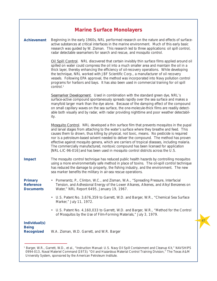|                                                           | <b>Marine Surface Monolayers</b>                                                                                                                                                                                                                                                                                                                                                                                                                                                                                                                                                                                                                          |
|-----------------------------------------------------------|-----------------------------------------------------------------------------------------------------------------------------------------------------------------------------------------------------------------------------------------------------------------------------------------------------------------------------------------------------------------------------------------------------------------------------------------------------------------------------------------------------------------------------------------------------------------------------------------------------------------------------------------------------------|
| <b>Achievement</b>                                        | Beginning in the early 1960s, NRL performed research on the nature and effects of surface-<br>active substances at critical interfaces in the marine environment. Much of this early basic<br>research was guided by W. Zisman. This research led to three applications: oil spill control,<br>radar detectable seamarkers for search and rescue, and mosquito control.                                                                                                                                                                                                                                                                                   |
|                                                           | <b>Oil Spill Control.</b> NRL discovered that certain invisibly thin surface films applied around oil<br>spilled on water could compress the oil into a much smaller area and maintain the oil in a<br>thick layer, thereby enhancing the efficiency of oil-recovery operations. While developing<br>the technique, NRL worked with JBF Scientific Corp., a manufacturer of oil recovery<br>vessels. Following EPA approval, the method was incorporated into Navy pollution control<br>programs for harbors and bays. It has also been used in commercial training for oil spill<br>control. <sup>1</sup>                                                |
|                                                           | <b>Seamarker Development.</b> Used in combination with the standard green dye, NRL's<br>surface-active compound spontaneously spreads rapidly over the sea surface and makes a<br>manyfold larger mark than the dye alone. Because of the damping effect of the compound<br>on small capillary waves on the sea surface, the one-molecule-thick films are readily detect-<br>able both visually and by radar, with radar providing nighttime and poor weather detectabil-<br>ity.                                                                                                                                                                         |
|                                                           | Mosquito Control. NRL developed a thin surface film that prevents mosquitos in the pupal<br>and larval stages from attaching to the water's surface where they breathe and feed. This<br>causes them to drown, thus killing by physical, not toxic, means. No pesticide is required<br>nor is a petroleum-based solvent needed to deliver the compound. The method has proven<br>effective against mosquito genera, which are carriers of tropical diseases, including malaria.<br>The commercially manufactured, nontoxic compound has been licensed for application<br>[NRL-LIC-96-016] and has been used in mosquito control districts across the U.S. |
| <b>Impact</b>                                             | The mosquito control technique has reduced public health hazards by controlling mosquitos<br>using a more environmentally safe method in place of toxins. The oil-spill control technique<br>has reduced the damage to property, the fishing industry, and the environment. The new<br>sea marker benefits the military in air-sea rescue operations.                                                                                                                                                                                                                                                                                                     |
| <b>Primary</b><br><b>Reference</b><br><b>Documents</b>    | • Pomerantz, P., Clinton, W.C., and Zisman, W.A., "Spreading Pressure, Interfacial<br>Tension, and Adhesional Energy of the Lower Alkanes, Alkenes, and Alkyl Benzenes on<br>Water," NRL Report 6495, January 19, 1967.                                                                                                                                                                                                                                                                                                                                                                                                                                   |
|                                                           | U.S. Patent No. 3,676,359 to Garrett, W.D. and Barger, W.R., "Chemical Sea Surface<br>$\bullet$<br>Marker," July 11, 1972.                                                                                                                                                                                                                                                                                                                                                                                                                                                                                                                                |
|                                                           | • U.S. Patent No. 4,160,033 to Garrett, W.D. and Barger, W.R., "Method for the Control<br>of Mosquitos by the Use of Film-Forming Materials," July 3, 1979.                                                                                                                                                                                                                                                                                                                                                                                                                                                                                               |
| <b>Individual(s)</b><br><b>Being</b><br><b>Recognized</b> | W.A. Zisman, W.D. Garrett, and W.R. Barger                                                                                                                                                                                                                                                                                                                                                                                                                                                                                                                                                                                                                |

<sup>&</sup>lt;sup>1</sup> Barger, W.R., Garrett, W.D., et al., "Instruction Manual: U.S. Navy Oil Spill Containment and Cleanup Kit," NAVSHIPS 0994-013, Naval Materiel Command (1973); "Oil and Hazardous Material Control Training Division," The Texas A&M University System, sponsored by the American Petroleum Institute.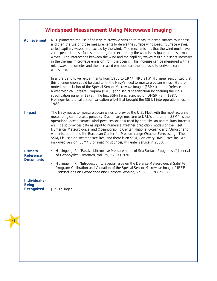# **Windspeed Measurement Using Microwave Imaging**

| <b>Achievement</b>                                        | NRL pioneered the use of passive microwave sensing to measure ocean surface roughness<br>and then the use of those measurements to derive the surface windspeed. Surface waves,<br>called capillary waves, are excited by the wind. The mechanism is that the wind must have<br>zero speed at the surface so the drag force exerted by the wind is dissipated in these small<br>waves. The interactions between the wind and the capillary waves result in distinct increases<br>in the thermal microwave emission from the ocean. This increase can be measured with a<br>microwave radiometer and the increased emission can then be used to derive ocean<br>windspeed.                                                        |
|-----------------------------------------------------------|----------------------------------------------------------------------------------------------------------------------------------------------------------------------------------------------------------------------------------------------------------------------------------------------------------------------------------------------------------------------------------------------------------------------------------------------------------------------------------------------------------------------------------------------------------------------------------------------------------------------------------------------------------------------------------------------------------------------------------|
|                                                           | In aircraft and tower experiments from 1966 to 1977, NRL's J.P. Hollinger recognized that<br>this phenomenon could be used to fill the Navy's need to measure ocean winds. He pro-<br>moted the inclusion of the Special Sensor Microwave Imager (SSM/I) on the Defense<br>Meteorological Satellite Program (DMSP) and set its specification by chairing the DoD<br>specification panel in 1978. The first SSM/I was launched on DMSP F8 in 1987.<br>Hollinger led the calibration validation effort that brought the SSM/I into operational use in<br>1988.                                                                                                                                                                     |
| <b>Impact</b>                                             | The Navy needs to measure ocean winds to provide the U.S. Fleet with the most accurate<br>meteorological forecasts possible. Due in large measure to NRL's efforts, the SSM/I is the<br>operational ocean surface windspeed sensor now used by both civilian and military forecast-<br>ers. It also provides data as input to numerical weather prediction models of the Fleet<br>Numerical Meteorological and Oceanographic Center, National Oceanic and Atmospheric<br>Administration, and the European Center for Medium-range Weather Forecasting. The<br>SSM/I is used on weather satellites, and there is an SSM/I on every DMSP satellite. An<br>improved version, SSM/IS or imaging sounder, will enter service in 2000. |
| <b>Primary</b><br><b>Reference</b><br><b>Documents</b>    | • Hollinger, J.P., "Passive Microwave Measurements of Sea Surface Roughness," Journal<br>of Geophysical Research, Vol. 75, 5209 (1970).                                                                                                                                                                                                                                                                                                                                                                                                                                                                                                                                                                                          |
|                                                           | Hollinger, J.P., "Introduction to Special Issue on the Defense Meteorological Satellite<br>٠<br>Program: Calibration and Validation of the Special Sensor Microwave Imager," IEEE<br>Transactions on Geoscience and Remote Sensing, Vol. 28, 779 (1980).                                                                                                                                                                                                                                                                                                                                                                                                                                                                         |
| <b>Individual(s)</b><br><b>Being</b><br><b>Recognized</b> | J.P. Hollinger                                                                                                                                                                                                                                                                                                                                                                                                                                                                                                                                                                                                                                                                                                                   |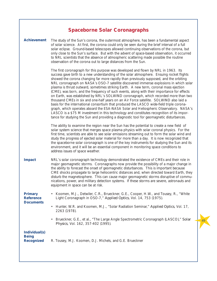### **Spaceborne Solar Coronagraphs**

### **Achievement Impact Primary Reference Documents Individual(s) Being Recognized** The study of the Sun's corona, the outermost atmosphere, has been a fundamental aspect of solar science. At first, the corona could only be seen during the brief interval of a full solar eclipse. Ground-based telescopes allowed continuing observations of the corona, but only close to the Sun's surface. But with the advent of space-based observation, it occurred to NRL scientists that the absence of atmospheric scattering made possible the routine observation of the corona out to large distances from the Sun. The first coronagraph for this purpose was developed and flown by NRL in 1963. Its success gave birth to a new understanding of the solar atmosphere. Ensuing rocket flights showed the corona changing far more rapidly than previously supposed, and the orbiting NRL coronagraph on NASA's OSO-7 satellite discovered immense explosions in which solar plasma is thrust outward, sometimes striking Earth. A new term, coronal mass ejection (CME), was born, and the frequency of such events, along with their importance for effects on Earth, was established by NRL's SOLWIND coronagraph, which recorded more than two thousand CMEs in six and one-half years on an Air Force satellite. SOLWIND also laid a basis for the international consortium that produced the LASCO wide-field triple coronagraph, which operates aboard the ESA-NASA Solar and Heliospheric Observatory. NASA's LASCO is a \$75 M investment in this technology and constitutes recognition of its importance for studying the Sun and providing a diagnostic tool for geomagnetic disturbances. The ability to examine the region near the Sun has the potential to create a new field of solar system science that merges space plasma physics with solar coronal physics. For the first time, scientists are able to see solar emissions streaming out to form the solar wind and study the progress of ejected solar material for more than a day. It is now recognized that the spaceborne solar coronagraph is one of the key instruments for studying the Sun and its environment, and it will be an essential component in monitoring space conditions to address issues of space weather. NRL's solar coronagraph technology demonstrated the existence of CMEs and their role in major geomagnetic storms. Coronagraphs now provide the possibility of a major change in the ability to forecast the onset of geomagnetic disturbances. This is important because CME shocks propagate to large heliocentric distances and, when directed toward Earth, they disturb the magnetosphere. This can cause major geomagnetic storms disruptive of communications, power, and military detection systems. If these storms are severe, astronauts and equipment in space can be at risk. • Koomen, M.J., Detwiler, C.R., Brueckner, G.E., Cooper, H.W., and Tousey, R., "White Light Coronagraph in OSO-7," *Applied Optics*, Vol. 14, 753 (1975). • Hunter, W.R. and Koomen, M.J., "Solar Radiation Seminar," *Applied Optics*, Vol. 17, 2263 (1978). • Brueckner, G.E., et al., "The Large Angle Spectrometric Coronagraph (LASCO)," *Solar Physics*, Vol. 162, 357-402 (1995). R. Tousey, M.J. Koomen, D.J. Michels, and G.E. Brueckner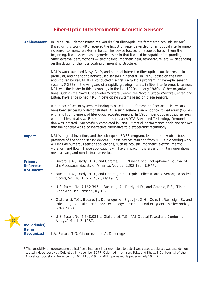## **Fiber-Optic Interferometric Acoustic Sensors**

| <b>Achievement</b>                 | In 1977, NRL demonstrated the world's first fiber-optic interferometric acoustic sensor. <sup>1</sup><br>Based on this work, NRL received the first U.S. patent awarded for an optical interferomet-<br>ric sensor to measure external fields. This device focused on acoustic fields. From the<br>beginning, it was viewed as a generic device in that it would be capable of responding to<br>other external perturbations - electric field, magnetic field, temperature, etc. - depending<br>on the design of the fiber coating or mounting structure.                                                                                             |
|------------------------------------|-------------------------------------------------------------------------------------------------------------------------------------------------------------------------------------------------------------------------------------------------------------------------------------------------------------------------------------------------------------------------------------------------------------------------------------------------------------------------------------------------------------------------------------------------------------------------------------------------------------------------------------------------------|
|                                    | NRL's work launched Navy, DoD, and national interest in fiber-optic acoustic sensors in<br>particular, and fiber-optic nonacoustic sensors in general. In 1978, based on the fiber<br>acoustic sensor results, NRL conducted the first Navy/DoD program in fiber-optic sensor<br>systems (FOSS) — the vanguard of a rapidly growing interest in fiber interferometric sensors.<br>NRL was the leader in this technology in the late-1970s to early-1980s. Other organiza-<br>tions, such as the Naval Underwater Warfare Center, the Naval Surface Warfare Center, and<br>Litton, have since joined NRL in developing systems based on these sensors. |
|                                    | A number of sensor system technologies based on interferometric fiber acoustic sensors<br>have been successfully demonstrated. One such system is an all-optical towed array (AOTA)<br>with a full complement of fiber-optic acoustic sensors. In 1986, fiber-optic acoustic sensors<br>were first tested at sea. Based on the results, an AOTA Advanced Technology Demonstra-<br>tion was initiated. Successfully completed in 1990, it met all performance goals and showed<br>that the concept was a cost-effective alternative to piezoceramic technology.                                                                                        |
| <b>Impact</b>                      | NRL's original invention, and the subsequent FOSS program, led to the now ubiquitous<br>presence of fiber-optic sensor devices. These devices resulting from NRL's pioneering work<br>will include numerous sensor applications, such as acoustic, magnetic, electric, thermal,<br>vibration, and flow. These applications will have impact in the areas of military operations,<br>medical care, and nondestructive evaluation.                                                                                                                                                                                                                      |
| <b>Primary</b><br><b>Reference</b> | • Bucaro, J.A., Dardy, H.D., and Carome, E.F., "Fiber Optic Hydrophone," Journal of<br>the Acoustical Society of America, Vol. 62, 1302-1304 (1977).                                                                                                                                                                                                                                                                                                                                                                                                                                                                                                  |
| <b>Documents</b>                   | Bucaro, J.A., Dardy, H.D., and Carome, E.F., "Optical Fiber Acoustic Sensor," Applied<br>٠<br>Optics, Vol. 16, 1761-1762 (July 1977).                                                                                                                                                                                                                                                                                                                                                                                                                                                                                                                 |
|                                    | U.S. Patent No. 4, 162, 397 to Bucaro, J.A., Dardy, H.D., and Carome, E.F., "Fiber<br>٠<br>Optic Acoustic Sensor," July 1979.                                                                                                                                                                                                                                                                                                                                                                                                                                                                                                                         |
|                                    | Giallorenzi, T.G., Bucaro, J., Dandridge, A., Sigel, Jr., G.H., Cole, J., Rashleigh, S., and<br>Priest, R., "Optical Fiber Sensor Technology," IEEE Journal of Quantum Electronics,<br>626 (1982).                                                                                                                                                                                                                                                                                                                                                                                                                                                    |
| <b>Individual(s)</b>               | U.S. Patent No. 4,648,083 to Giallorenzi, T.G., "All-Optical Towed and Conformal<br>Arrays," March 3, 1987.                                                                                                                                                                                                                                                                                                                                                                                                                                                                                                                                           |
| <b>Being</b><br><b>Recognized</b>  | J.A. Bucaro, T.G. Giallorenzi, and A. Dandridge                                                                                                                                                                                                                                                                                                                                                                                                                                                                                                                                                                                                       |

<sup>&</sup>lt;sup>1</sup> The possibility of incorporating optical fibers into bulk interferometers to detect weak acoustic signals was also demonstrated independently by Cole et al. in November 1977 (Cole, J.H., Johnson, R.L., and Bhuta, P.G., *Journal of the Acoustical Society of America*, Vol. 62, 1136 (1977)). (NRL published its paper in July 1977.)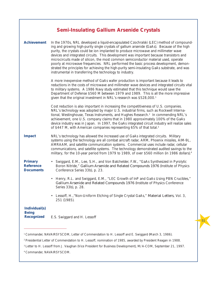## **Semi-Insulating Gallium Arsenide Crystals**

| <b>Achievement</b>                                        | In the 1970s, NRL developed a liquid-encapsulated Czochralski (LEC) method of compound-<br>ing and growing high-purity single crystals of gallium arsenide (GaAs). Because of the high<br>purity, the crystals could be ion implanted to produce microwave and millimeter wave<br>devices and integrated circuits. This development was important because transistors and<br>microcircuits made of silicon, the most common semiconductor material used, operate<br>poorly at microwave frequencies. NRL performed the basic process development, demon-<br>strated the principles for achieving the high-purity semi-insulating GaAs substrate, and was<br>instrumental in transferring the technology to industry. |
|-----------------------------------------------------------|----------------------------------------------------------------------------------------------------------------------------------------------------------------------------------------------------------------------------------------------------------------------------------------------------------------------------------------------------------------------------------------------------------------------------------------------------------------------------------------------------------------------------------------------------------------------------------------------------------------------------------------------------------------------------------------------------------------------|
|                                                           | A more inexpensive method of GaAs wafer production is important because it leads to<br>reductions in the costs of microwave and millimeter wave devices and integrated circuits vital<br>to military systems. A 1986 Navy study estimated that this technique would save the<br>Department of Defense \$560 M between 1979 and 1989. This is all the more impressive<br>given that the original investment in NRL's research was \$528,000. <sup>1</sup>                                                                                                                                                                                                                                                             |
|                                                           | Cost reduction is also important in increasing the competitiveness of U.S. companies.<br>NRL's technology was adopted by major U.S. industrial firms, such as Rockwell Interna-<br>tional, Westinghouse, Texas Instruments, and Hughes Research. <sup>2</sup> In commending NRL's<br>achievement, one U.S. company claims that in 1980 approximately 100% of the GaAs<br>device industry was in Japan. In 1997, the GaAs integrated circuit industry will realize sales<br>of \$447 M, with American companies representing 65% of that total. <sup>3</sup>                                                                                                                                                          |
| <b>Impact</b>                                             | NRL's technology has allowed the increased use of GaAs integrated circuits. Military<br>systems using the technology are all combat aircraft radar, ARM, Phoenix missiles, AIM-9L,<br>AMRAAM, and satellite communication systems. Commercial uses include radar, cellular<br>communications, and satellite systems. The technology demonstrated audited savings to the<br>military, for the 10-year period from 1979 to 1989, of over \$560 million (in 1986 dollars). <sup>4</sup>                                                                                                                                                                                                                                 |
| <b>Primary</b><br><b>Reference</b><br><b>Documents</b>    | Swiggard, E.M., Lee, S.H., and Von Batchelder, F.W., "GaAs Synthesized in Pyrolytic<br>$\bullet$<br>Boron Nitride," Gallium Arsenide and Related Compounds 1976 (Institute of Physics<br>Conference Series 33b), p. 23.                                                                                                                                                                                                                                                                                                                                                                                                                                                                                              |
|                                                           | Henry, R.L. and Swiggard, E.M., "LEC Growth of InP and GaAs Using PBN Crucibles,"<br>$\bullet$<br>Gallium Arsenide and Related Compounds 1976 (Institute of Physics Conference<br>Series 33b), p. 28.                                                                                                                                                                                                                                                                                                                                                                                                                                                                                                                |
|                                                           | Lessoff, H., "Non-Uniform Etching of Single Crystal GaAs," Material Letters, Vol. 3,<br>251 (1985).                                                                                                                                                                                                                                                                                                                                                                                                                                                                                                                                                                                                                  |
| <b>Individual(s)</b><br><b>Being</b><br><b>Recognized</b> | E.S. Swiggard and H. Lessoff                                                                                                                                                                                                                                                                                                                                                                                                                                                                                                                                                                                                                                                                                         |

<sup>&</sup>lt;sup>1</sup> Commander, NAVAIRSYSCOM, Letter of Commendation to H. Lessoff and E. Swiggard (March 3, 1986).

<sup>2</sup> Presidential Letter of Commendation to H. Lessoff, nomination of 1985, awarded by President Reagan in 1988.

<sup>3</sup> Letter to H. Lessoff from J. Vaughan (Vice President for Business Development), M/A-COM, September 21, 1997.

<sup>4</sup> Commander, NAVAIRSYSCOM.

<sup>51</sup>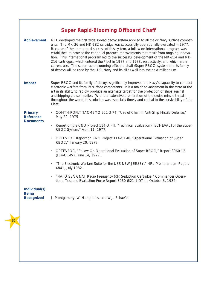# **Super Rapid-Blooming Offboard Chaff**

| <b>Achievement</b>                                        | NRL developed the first wide spread decoy system applied to all major Navy surface combat-<br>ants. The MK-36 and MK-182 cartridge was successfully operationally evaluated in 1977.<br>Because of the operational success of this system, a follow-on international program was<br>established to provide the continual product improvements that result from ongoing innova-<br>tion. This international program led to the successful development of the MK-214 and MK-<br>216 cartridges, which entered the Fleet in 1987 and 1988, respectively, and which are in<br>current use. The super rapid-blooming offboard chaff (Super RBOC) system and its family<br>of decoys will be used by the U.S. Navy and its allies well into the next millennium. |
|-----------------------------------------------------------|------------------------------------------------------------------------------------------------------------------------------------------------------------------------------------------------------------------------------------------------------------------------------------------------------------------------------------------------------------------------------------------------------------------------------------------------------------------------------------------------------------------------------------------------------------------------------------------------------------------------------------------------------------------------------------------------------------------------------------------------------------|
| <b>Impact</b>                                             | Super RBOC and its family of decoys significantly improved the Navy's capability to conduct<br>electronic warfare from its surface combatants. It is a major advancement in the state of the<br>art in its ability to rapidly produce an alternate target for the protection of ships against<br>antishipping cruise missiles. With the extensive proliferation of the cruise missile threat<br>throughout the world, this solution was especially timely and critical to the survivability of the<br>Fleet.                                                                                                                                                                                                                                               |
| <b>Primary</b><br><b>Reference</b><br><b>Documents</b>    | COMTHIRDFLT TACMEMO 221-3-74, "Use of Chaff in Anti-Ship Missile Defense,"<br>$\bullet$<br>May 29, 1975.<br>Report on the CNO Project 114-DT-III, "Technical Evaluation (TECHEVAL) of the Super<br>RBOC System," April 11, 1977.<br>OPTEVFOR Report on CNO Project 114-OT-III, "Operational Evaluation of Super<br>RBOC," January 20, 1977.<br>OPTEVFOR, "Follow-On Operational Evaluation of Super RBOC," Report 3960-12<br>$\bullet$<br>(114-OT-IV), June 14, 1977.<br>"The Electronic Warfare Suite for the USS NEW JERSEY," NRL Memorandum Report<br>$\bullet$<br>4841, July 1982.<br>"NATO SEA GNAT Radio Frequency (RF) Seduction Cartridge," Commander Opera-<br>٠<br>tional Test and Evaluation Force Report 3960 (621-1-OT-II), October 3, 1984.  |
| <b>Individual(s)</b><br><b>Being</b><br><b>Recognized</b> | J. Montgomery, W. Humphries, and W.J. Schaefer                                                                                                                                                                                                                                                                                                                                                                                                                                                                                                                                                                                                                                                                                                             |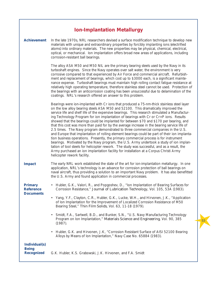| <b>Ion-Implantation Metallurgy</b> |
|------------------------------------|
|------------------------------------|

| <b>Achievement</b>                   | In the late 1970s, NRL researchers devised a surface modification technique to develop new<br>materials with unique and extraordinary properties by forcibly implanting ions (electrified<br>atoms) into ordinary materials. The new properties may be physical, chemical, electrical,<br>optical, or mechanical. Ion implantation offers broad new areas of applications, including<br>corrosion-resistant ball bearings.                                                                                                                                                                                                                                                                                                                                                                                                                                                                                                                                                                                                                                                                                                                                             |
|--------------------------------------|------------------------------------------------------------------------------------------------------------------------------------------------------------------------------------------------------------------------------------------------------------------------------------------------------------------------------------------------------------------------------------------------------------------------------------------------------------------------------------------------------------------------------------------------------------------------------------------------------------------------------------------------------------------------------------------------------------------------------------------------------------------------------------------------------------------------------------------------------------------------------------------------------------------------------------------------------------------------------------------------------------------------------------------------------------------------------------------------------------------------------------------------------------------------|
|                                      | The alloy ASA M50 and M50 NIL are the primary bearing steels used by the Navy in its<br>turboshaft engines. Since the Navy operates over salt water, the environment is very<br>corrosive compared to that experienced by Air Force and commercial aircraft. Refurbish-<br>ment and replacement of bearings, which cost up to \$3000 each, is a significant mainte-<br>nance expense. Turboshaft bearings must maintain high rolling contact fatigue resistance at<br>relatively high operating temperature, therefore stainless steel cannot be used. Protection of<br>the bearings with an anticorrosion coating has been unsuccessful due to delamination of the<br>coatings. NRL's research offered an answer to this problem.                                                                                                                                                                                                                                                                                                                                                                                                                                     |
|                                      | Bearings were ion-implanted with Cr ions that produced a 75-nm-thick stainless steel layer<br>on the low alloy bearing steels ASA M50 and 52100. This dramatically improved the<br>service life and shelf life of the expensive bearings. This research stimulated a Manufactur-<br>ing Technology Program for ion implantation of bearings with Cr or Cr+P ions. Results<br>showed that the bearings could be implanted for between \$70 and \$170 per bearing, and<br>that this cost was more than paid for by the average increase in the bearing service life of<br>2.5 times. The Navy program demonstrated to three commercial companies in the U.S.<br>and Europe that implantation of rolling element bearings could be part of their ion implanta-<br>tion business operations. Presently, the primary commercial process is for instrument<br>bearings. Motivated by the Navy program, the U.S. Army undertook a study of ion implan-<br>tation of tool steels for helicopter rework. The study was successful, and as a result, the<br>Army purchased an ion implantation facility for installation at a Corpus Christi Army<br>helicopter rework facility. |
| <b>Impact</b>                        | The early NRL work established the state of the art for ion-implantation metallurgy. In one<br>application, NRL's technology is an advance for corrosion protection of ball bearings on<br>naval aircraft, thus providing a solution to an important Navy problem. It has also benefitted<br>the U.S. Army and found application in commercial processes.                                                                                                                                                                                                                                                                                                                                                                                                                                                                                                                                                                                                                                                                                                                                                                                                              |
| <b>Primary</b><br><b>Reference</b>   | • Hubler, G.K., Valori, R., and Popgoshev, D., "Ion Implantation of Bearing Surfaces for<br>Corrosion Resistance," Journal of Lubrication Technology, Vol. 105, 53A (1983).                                                                                                                                                                                                                                                                                                                                                                                                                                                                                                                                                                                                                                                                                                                                                                                                                                                                                                                                                                                            |
| <b>Documents</b>                     | Yang, Y.F., Clayton, C.R., Hubler, G.K., Lucke, W.H., and Hirvonen, J.K., "Application<br>of Ion Implantation for the Improvement of Localized Corrosion Resistance of M50<br>Bearing Steel," Thin Film Solids, Vol. 63, 11-18 (1979).                                                                                                                                                                                                                                                                                                                                                                                                                                                                                                                                                                                                                                                                                                                                                                                                                                                                                                                                 |
|                                      | Smidt, F.A., Sartwell, B.D., and Bunker, S.N., "U.S. Navy Manufacturing Technology<br>Program on Ion Implantation," Materials Science and Engineering, Vol. 90, 385<br>(1987).                                                                                                                                                                                                                                                                                                                                                                                                                                                                                                                                                                                                                                                                                                                                                                                                                                                                                                                                                                                         |
|                                      | Hubler, G.K. and Hirvonen, J.K. "Corrosion Resistant Surface of AISI 52100 Bearing<br>Alloys by Means of Ion Implantation," Navy Case No. 65884 (1983).                                                                                                                                                                                                                                                                                                                                                                                                                                                                                                                                                                                                                                                                                                                                                                                                                                                                                                                                                                                                                |
| <b>Individual(s)</b><br><b>Being</b> |                                                                                                                                                                                                                                                                                                                                                                                                                                                                                                                                                                                                                                                                                                                                                                                                                                                                                                                                                                                                                                                                                                                                                                        |
| <b>Recognized</b>                    | G.K. Hubler, K.S. Grabowski, J.K. Hirvonen, and F.A. Smidt                                                                                                                                                                                                                                                                                                                                                                                                                                                                                                                                                                                                                                                                                                                                                                                                                                                                                                                                                                                                                                                                                                             |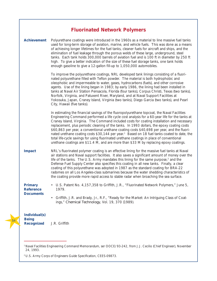## **Fluorinated Network Polymers**

| <b>Achievement</b>                                        | Polyurethane coatings were introduced in the 1960s as a material to line massive fuel tanks<br>used for long-term storage of aviation, marine, and vehicle fuels. This was done as a means<br>of achieving longer lifetimes for the fuel tanks, cleaner fuels for aircraft and ships, and the<br>elimination of fuel leakage through the porous welds of these large, underground, steel<br>tanks. Each tank holds 300,000 barrels of aviation fuel and is 100 ft in diameter by 250 ft<br>high. To give a better indication of the size of these fuel storage tanks, one tank holds<br>enough gasoline to give a 12-gallon fill-up to 1,050,000 automobiles.                                                                                                                           |
|-----------------------------------------------------------|-----------------------------------------------------------------------------------------------------------------------------------------------------------------------------------------------------------------------------------------------------------------------------------------------------------------------------------------------------------------------------------------------------------------------------------------------------------------------------------------------------------------------------------------------------------------------------------------------------------------------------------------------------------------------------------------------------------------------------------------------------------------------------------------|
|                                                           | To improve the polyurethane coatings, NRL developed tank linings consisting of a fluori-<br>nated polyurethane filled with Teflon powder. The material is both hydrophobic and<br>oleophobic and impermeable to water, gases, hydrocarbons (fuels), and other corrosive<br>agents. Use of the lining began in 1983; by early 1986, the lining had been installed in<br>tanks at Naval Air Station Pensacola, Florida (four tanks), Corpus Christi, Texas (two tanks),<br>Norfolk, Virginia, and Patuxent River, Maryland, and at Naval Support Facilities at<br>Yokosuka, Japan, Craney Island, Virginia (two tanks), Diego Garcia (two tanks), and Pearl<br>City, Hawaii (five tanks).                                                                                                 |
|                                                           | In estimating the financial savings of the fluoropolyurethane topcoat, the Naval Facilities<br>Engineering Command performed a life cycle cost analysis for a 60-year life for the tanks at<br>Craney Island, Virginia. The Command included costs for coating installation and necessary<br>replacement, plus periodic cleaning of the tanks. In 1993 dollars, the epoxy coating costs<br>\$60,863 per year, a conventional urethane coating costs \$40,698 per year, and the fluori-<br>nated urethane coating costs \$30,144 per year. <sup>1</sup> Based on 18 fuel tanks coated to date, the<br>total life-cycle savings for using fluorinated urethane coatings in place of conventional<br>urethane coatings are \$11.4 M, and are more than \$33 M by replacing epoxy coatings. |
| <b>Impact</b>                                             | NRL's fluorinated polymer coating is an effective lining for the massive fuel tanks at Naval<br>air stations and Naval support facilities. It also saves a significant amount of money over the<br>life of the tanks. The U.S. Army mandates this lining for the same purpose, $\epsilon$ and the<br>Defense Fuel Supply Center also specifies this coating in all new tanks. Finally, a clear<br>coating of this polyurethane was adopted in 1987 as the standard coating for BRA-22<br>radomes on all Los Angeles-class submarines because the water shedding characteristics of<br>the coating provide more rapid access to stable radar when broaching the sea surface.                                                                                                             |
| <b>Primary</b><br><b>Reference</b><br>Documents           | • U.S. Patent No. 4,157,358 to Griffith, J.R., "Fluorinated Network Polymers," June 5,<br>1979.                                                                                                                                                                                                                                                                                                                                                                                                                                                                                                                                                                                                                                                                                         |
|                                                           | Griffith, J.R. and Brady, Jr., R.F., "Ready for the Market: An Intriguing Class of Coat-<br>٠<br>ings," Chemical Technology, Vol. 19, 370 (1989).                                                                                                                                                                                                                                                                                                                                                                                                                                                                                                                                                                                                                                       |
| <b>Individual(s)</b><br><b>Being</b><br><b>Recognized</b> | J.R. Griffith                                                                                                                                                                                                                                                                                                                                                                                                                                                                                                                                                                                                                                                                                                                                                                           |

<sup>1</sup>Naval Facilities Engineering Command Memorandum, ser OOCE/93-242, from J.J. Cecilio (Chief Engineer), November 24, 1993.

<sup>2</sup>U.S. Army Corps of Engineers Guide Specification, CEES-09873.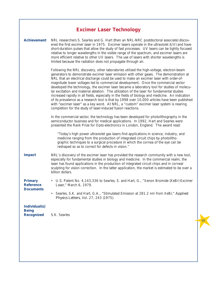# **Excimer Laser Technology**

| <b>Achievement</b>                                        | NRL researchers S. Searles and G. Hart (then an NRL-NRC postdoctoral associate) discov-<br>ered the first excimer laser in 1975. Excimer lasers operate in the ultraviolet (UV) and have<br>short-duration pulses that allow the study of fast processes. UV lasers can be tightly focused<br>relative to longer wavelengths in the visible range of the spectrum, and excimer lasers are<br>more efficient relative to other UV lasers. The use of lasers with shorter wavelengths is<br>limited because the radiation does not propagate through air.                                                                                                                                                                                                                                                                                                                                                                        |
|-----------------------------------------------------------|--------------------------------------------------------------------------------------------------------------------------------------------------------------------------------------------------------------------------------------------------------------------------------------------------------------------------------------------------------------------------------------------------------------------------------------------------------------------------------------------------------------------------------------------------------------------------------------------------------------------------------------------------------------------------------------------------------------------------------------------------------------------------------------------------------------------------------------------------------------------------------------------------------------------------------|
|                                                           | Following the NRL discovery, other laboratories utilized the high-voltage, electron-beam<br>generators to demonstrate excimer laser emission with other gases. The demonstration at<br>NRL that an electrical discharge could be used to make an excimer laser with order-of-<br>magnitude lower voltages led to commercial development. Once the commercial sector<br>developed the technology, the excimer laser became a laboratory tool for studies of molecu-<br>lar excitation and material ablation. The utilization of the laser for fundamental studies<br>increased rapidly in all fields, especially in the fields of biology and medicine. An indication<br>of its prevalence as a research tool is that by 1998 over 10,000 articles have been published<br>with "excimer laser" as a key word. At NRL, a "custom" excimer laser system is nearing<br>completion for the study of laser-induced fusion reactions. |
|                                                           | In the commercial sector, the technology has been developed for photolithography in the<br>semiconductor business and for medical applications. In 1992, Hart and Searles were<br>presented the Rank Prize for Opto-electronics in London, England. The award read:                                                                                                                                                                                                                                                                                                                                                                                                                                                                                                                                                                                                                                                            |
|                                                           | "Today's high power ultraviolet gas lasers find applications in science, industry, and<br>medicine ranging from the production of integrated circuit chips by photolitho-<br>graphic techniques to a surgical procedure in which the cornea of the eye can be<br>reshaped so as to correct for defects in vision."                                                                                                                                                                                                                                                                                                                                                                                                                                                                                                                                                                                                             |
| <b>Impact</b>                                             | NRL's discovery of the excimer laser has provided the research community with a new tool,<br>especially for fundamental studies in biology and medicine. In the commercial realm, the<br>laser has found applications in the production of integrated circuit chips and in corneal<br>sculpting for vision correction. In the latter application, the market is estimated to be over a<br>billion dollars.                                                                                                                                                                                                                                                                                                                                                                                                                                                                                                                     |
| <b>Primary</b><br><b>Reference</b><br><b>Documents</b>    | • U.S. Patent No. 4,143,336 to Searles, S. and Hart, G., "Xenon Bromide (XeBr) Excimer<br>Laser," March 6, 1979.                                                                                                                                                                                                                                                                                                                                                                                                                                                                                                                                                                                                                                                                                                                                                                                                               |
|                                                           | Searles, S.K. and Hart, G.A., "Stimulated Emission at 281.2 nm from XeBr," Applied<br>٠<br>Physics Letters, Vol. 27, 243 (1975).                                                                                                                                                                                                                                                                                                                                                                                                                                                                                                                                                                                                                                                                                                                                                                                               |
| <b>Individual(s)</b><br><b>Being</b><br><b>Recognized</b> | S.K. Searles                                                                                                                                                                                                                                                                                                                                                                                                                                                                                                                                                                                                                                                                                                                                                                                                                                                                                                                   |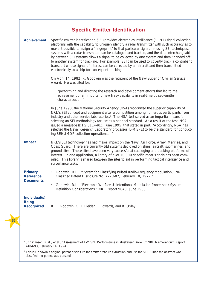## **Specific Emitter Identification**

| <b>Achievement</b>                                        | Specific emitter identification (SEI) provides electronics intelligence (ELINT) signal collection<br>platforms with the capability to uniquely identify a radar transmitter with such accuracy as to<br>make it possible to assign a "fingerprint" to that particular signal. In using SEI techniques,<br>systems with a radar transmitter can be cataloged and tracked, and the data interchangeabil-<br>ity between SEI systems allows a signal to be collected by one system and then "handed off"<br>to another system for tracking. For example, SEI can be used to covertly track a contraband<br>transport whose signal of interest can be collected by an aircraft and then transmitted<br>electronically to a ship for subsequent tracking. |
|-----------------------------------------------------------|------------------------------------------------------------------------------------------------------------------------------------------------------------------------------------------------------------------------------------------------------------------------------------------------------------------------------------------------------------------------------------------------------------------------------------------------------------------------------------------------------------------------------------------------------------------------------------------------------------------------------------------------------------------------------------------------------------------------------------------------------|
|                                                           | On April 14, 1982, R. Goodwin was the recipient of the Navy Superior Civilian Service<br>Award. He was cited for:                                                                                                                                                                                                                                                                                                                                                                                                                                                                                                                                                                                                                                    |
|                                                           | "performing and directing the research and development efforts that led to the<br>achievement of an important, new Navy capability in real-time pulsed-emitter<br>characterization."                                                                                                                                                                                                                                                                                                                                                                                                                                                                                                                                                                 |
|                                                           | In June 1993, the National Security Agency (NSA) recognized the superior capability of<br>NRL's SEI concept and equipment after a competition among numerous participants from<br>industry and other service laboratories. <sup>1</sup> The NSA test served as an impartial means for<br>selecting an SEI methodology for use as a national standard. As a result of the test, NSA<br>issued a message (DTG 011440Z, June 1995) that stated in part, "Accordingly, NSA has<br>selected the Naval Research Laboratory processor (L-MISPE) to be the standard for conduct-<br>ing SEI/UMOP collection operations"                                                                                                                                      |
| <b>Impact</b>                                             | NRL's SEI technology has had major impact on the Navy, Air Force, Army, Marines, and<br>Coast Guard. There are currently SEI systems deployed on ships, aircraft, submarines, and<br>ground sites. These sites have been very successful at cataloging and tracking platforms of<br>interest. In one application, a library of over 10,000 specific radar signals has been com-<br>piled. This library is shared between the sites to aid in performing tactical intelligence and<br>surveillance tasks.                                                                                                                                                                                                                                             |
| <b>Primary</b><br><b>Reference</b><br><b>Documents</b>    | • Goodwin, R.L., "System for Classifying Pulsed Radio-Frequency Modulation," NRL<br>Classified Patent Disclosure No. 772,602, February 10, 1977. <sup>2</sup>                                                                                                                                                                                                                                                                                                                                                                                                                                                                                                                                                                                        |
|                                                           | • Goodwin, R.L., "Electronic Warfare Unintentional-Modulation Processors: System<br>Definition Considerations," NRL Report 9040, June 1988.                                                                                                                                                                                                                                                                                                                                                                                                                                                                                                                                                                                                          |
| <b>Individual(s)</b><br><b>Being</b><br><b>Recognized</b> | R. L. Goodwin, C.H. Heider, J. Edwards, and R. Oxley                                                                                                                                                                                                                                                                                                                                                                                                                                                                                                                                                                                                                                                                                                 |

<sup>1</sup> Christiansen, R.M., et al., "Assessment of L-MISPE Performance in Musketeer Dixie II," NRL Memorandum Report 7404-93, February 14, 1994.

<sup>&</sup>lt;sup>2</sup>This is Goodwin's original patent disclosure for emitter feature extraction and use for SEI. Since the abstract was classified, no patent was pursued.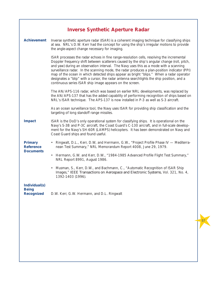|                                                           | <b>Inverse Synthetic Aperture Radar</b>                                                                                                                                                                                                                                                                                                                                                                                                                                                                                                                                                                                                  |
|-----------------------------------------------------------|------------------------------------------------------------------------------------------------------------------------------------------------------------------------------------------------------------------------------------------------------------------------------------------------------------------------------------------------------------------------------------------------------------------------------------------------------------------------------------------------------------------------------------------------------------------------------------------------------------------------------------------|
| <b>Achievement</b>                                        | Inverse synthetic aperture radar (ISAR) is a coherent imaging technique for classifying ships<br>at sea. NRL's D.W. Kerr had the concept for using the ship's irregular motions to provide<br>the angle-aspect change necessary for imaging.                                                                                                                                                                                                                                                                                                                                                                                             |
|                                                           | ISAR processes the radar echoes in fine range-resolution cells, resolving the incremental<br>Doppler frequency shift between scatterers caused by the ship's angular change (roll, pitch,<br>and yaw) during an observation interval. The Navy uses this as a mode with a scanning<br>surveillance radar. In the scanning mode, the radar produces a plan-position indicator (PPI)<br>map of the ocean in which detected ships appear as bright "blips." When a radar operator<br>designates a "blip" with a cursor, the radar antenna searchlights the ship position, and a<br>continuous series ISAR ship image appears on the screen. |
|                                                           | The AN/APS-116 radar, which was based on earlier NRL developments, was replaced by<br>the AN/APS-137 that has the added capability of performing recognition of ships based on<br>NRL's ISAR technique. The APS-137 is now installed in P-3 as well as S-3 aircraft.                                                                                                                                                                                                                                                                                                                                                                     |
|                                                           | As an ocean surveillance tool, the Navy uses ISAR for providing ship classification and the<br>targeting of long standoff range missiles.                                                                                                                                                                                                                                                                                                                                                                                                                                                                                                |
| <b>Impact</b>                                             | ISAR is the DoD's only operational system for classifying ships. It is operational on the<br>Navy's S-3B and P-3C aircraft, the Coast Guard's C-130 aircraft, and in full-scale develop-<br>ment for the Navy's SH-60R (LAMPS) helicopters. It has been demonstrated on Navy and<br>Coast Guard ships and found useful.                                                                                                                                                                                                                                                                                                                  |
| <b>Primary</b><br><b>Reference</b><br><b>Documents</b>    | • Ringwalt, D.L., Kerr, D.W, and Hermann, G.W., "Project Profile Phase IV — Mediterra-<br>nean Test Summary," NRL Memorandum Report 4008, June 29, 1979.                                                                                                                                                                                                                                                                                                                                                                                                                                                                                 |
|                                                           | • Hermann, G.W. and Kerr, D.W., "1984-1985 Advanced Profile Flight Test Summary,"<br>NRL Report 8991, August 1986.                                                                                                                                                                                                                                                                                                                                                                                                                                                                                                                       |
|                                                           | Musman, S., Kerr, D.W., and Bachmann, C., "Automatic Recognition of ISAR Ship<br>$\bullet$<br>Images," IEEE Transactions on Aerospace and Electronic Systems, Vol. 321, No. 4,<br>1392-1403 (1996).                                                                                                                                                                                                                                                                                                                                                                                                                                      |
| <b>Individual(s)</b><br><b>Being</b><br><b>Recognized</b> | D.W. Kerr, G.W. Hermann, and D.L. Ringwalt                                                                                                                                                                                                                                                                                                                                                                                                                                                                                                                                                                                               |
|                                                           |                                                                                                                                                                                                                                                                                                                                                                                                                                                                                                                                                                                                                                          |
|                                                           |                                                                                                                                                                                                                                                                                                                                                                                                                                                                                                                                                                                                                                          |
|                                                           |                                                                                                                                                                                                                                                                                                                                                                                                                                                                                                                                                                                                                                          |
|                                                           |                                                                                                                                                                                                                                                                                                                                                                                                                                                                                                                                                                                                                                          |
|                                                           |                                                                                                                                                                                                                                                                                                                                                                                                                                                                                                                                                                                                                                          |
|                                                           |                                                                                                                                                                                                                                                                                                                                                                                                                                                                                                                                                                                                                                          |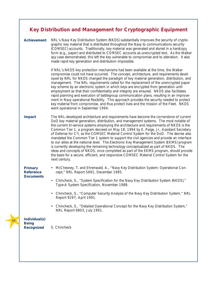### **Key Distribution and Management for Cryptographic Equipment**

**Achievement** NRL's Navy Key Distribution System (NKDS) substantially improves the security of cryptographic key material that is distributed throughout the Navy to communications security (COMSEC) accounts. Traditionally, key material was generated and stored in a hardcopy form (e.g., paper) and distributed to COMSEC accounts as unencrypted text. As the Walker spy case demonstrated, this left the key vulnerable to compromise and to alteration. It also made rapid key generation and distribution impossible.

> If NRL's NKDS key protection mechanisms had been available at the time, the Walker compromise could not have occurred. The concept, architecture, and requirements developed by NRL for NKDS changed the paradigm of key material generation, distribution, and management. The NRL requirements called for the replacement of the unencrypted paper key scheme by an electronic system in which keys are encrypted from generation until employment so that their confidentiality and integrity are ensured. NKDS also facilitates rapid planning and execution of battlegroup communication plans, resulting in an improvement in Navy operational flexibility. This approach provides the security needed to protect key material from compromise, and thus protect lives and the mission of the Fleet. NKDS went operational in September 1994.

**Impact** The NRL-developed architecture and requirements have become the cornerstone of current DoD key material generation, distribution, and management systems. The most notable of the current tri-service systems employing the architecture and requirements of NKDS is the Common Tier 1, a program decreed on May 18, 1994 by E. Paige, Jr., Assistant Secretary of Defense for C3I, as the COMSEC Material Control System for the DoD. The decree also mandated the Common Tier 1 system to support the civil agencies and provide an interface to our allies at the national level. The Electronic Key Management System (EKMS) program is currently developing the remaining technology conceptualized as part of NKDS. The ideas and concepts of NKDS, once completed as part of the EKMS program, should provide the basis for a secure, efficient, and responsive COMSEC Material Control System for the next century.

### **Primary Reference Documents**

- McChesney, T. and Ehrenwald, A., "Navy Key Distribution System: Operational Concept," NRL Report 5691, December 1985.
- Chincheck, S., "System Specification for the Navy Key Distribution System (NKDS)," Type-A System Specification, November 1988.
- Chincheck, S., "Computer Security Analysis of the Navy Key Distribution System," NRL Report 9297, April 1991.
- Chincheck, S., "Detailed Operational Concept for the Navy Key Distribution System," NRL Report 9803, July 1991.

### **Individual(s) Being**

**Recognized** S. Chincheck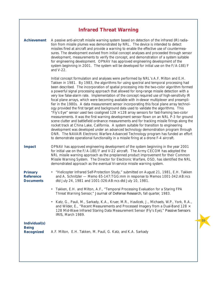### **Infrared Threat Warning**

#### **Achievement**

A passive anti-aircraft missile warning system based on detection of the infrared (IR) radiation from missile plumes was demonstrated by NRL. The device is intended to detect missiles fired at aircraft and provide a warning to enable the effective use of countermeasures. The development evolved from initial concept analyses and proceeded through sensor development, measurements to verify the concept, and demonstration of a system suitable for engineering development. OPNAV has approved engineering development of the system beginning in 2001. The system will be developed for initial use on the F/A-18E/F and V-22.

Initial concept formulation and analyses were performed by NRL's A.F. Milton and E.H. Takken in 1981. By 1983, the algorithms for using spectral and temporal processing had been described. The incorporation of spatial processing into the two-color algorithm formed a powerful signal processing approach that allowed for long-range missile detection with a very low false-alarm rate. Implementation of the concept required use of high-sensitivity IR focal plane arrays, which were becoming available with in-dewar multiplexer and preamplifier in the 1980s. A data measurement sensor incorporating this focal plane array technology provided the first target and background data used to validate the algorithms. This "Fly's Eye" sensor used two coaligned  $128 \times 128$  array sensors for fast-framing two-color measurements. It was the first warning development sensor flown on an NRL P-3 for ground scene clutter and battlefield ordnance measurements and for tracking missile firings along the rocket track at China Lake, California. A system suitable for transition to engineering development was developed under an advanced technology demonstration program through ONR. The NAVAIR Electronic Warfare Advanced Technology program has funded an effort to demonstrate operational functionality in a missile firing at a drone F-4 aircraft.

#### **Impact** OPNAV has approved engineering development of the system beginning in the year 2001 for initial use on the F/A-18E/F and V-22 aircraft. The Army CECOM has adopted the NRL missile warning approach as the preplanned product improvement for their Common Missile Warning System. The Director for Electronic Warfare, OSD, has identified the NRL demonstrated approach as the eventual tri-service missile warning system.

**Primary Reference Documents** • "Helicopter Infrared Self-Protection Study," submitted on August 21, 1981, E.H. Takken and A. Schnitzler — Memo 65-147:TGG:mm in response to Memos 1001-342:AB:ncs dtd July 24, 1981 and 1001-326:AB:ncs dtd July 10, 1981.

- Takken, E.H. and Milton, A.F., "Temporal Processing Evaluation for a Staring FPA Threat Warning Sensor," *Journal of Defense Research*, fall quarter, 1983.
- Katz, G., Pauli, M., Sarkady, K.A., Kruer, M.R., Havlicek, J., Michaels, W.P., York, R.A., and Wilder, E., "Recent Measurements and Processed Imagery from a Dual-Band 128  $\times$ 128 Mid-Wave Infrared Staring Data Measurement Sensor (Fly's Eye)," *Passive Sensors IRIS*, March 1989.

59

### **Individual(s) Being Recognized**

A.F. Milton, E.H. Takken, M. Pauli, G. Katz, and K.A. Sarkady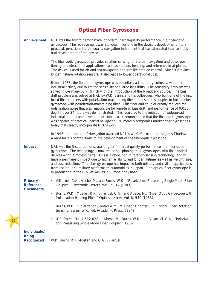|                                                           | <b>Optical Fiber Gyroscope</b>                                                                                                                                                                                                                                                                                                                                                                                                                                                                                                                                                                                                                                                                                                                                                                                                                                                                                                                                                                                                  |
|-----------------------------------------------------------|---------------------------------------------------------------------------------------------------------------------------------------------------------------------------------------------------------------------------------------------------------------------------------------------------------------------------------------------------------------------------------------------------------------------------------------------------------------------------------------------------------------------------------------------------------------------------------------------------------------------------------------------------------------------------------------------------------------------------------------------------------------------------------------------------------------------------------------------------------------------------------------------------------------------------------------------------------------------------------------------------------------------------------|
| <b>Achievement</b>                                        | NRL was the first to demonstrate long-term inertial-quality performance in a fiber-optic<br>gyroscope. This achievement was a pivotal milestone in the device's development into a<br>practical, precision, inertial-quality navigation instrument that has stimulated intense indus-<br>trial development of the device.                                                                                                                                                                                                                                                                                                                                                                                                                                                                                                                                                                                                                                                                                                       |
|                                                           | The fiber-optic gyroscope provides rotation sensing for inertial navigation and other posi-<br>tioning and directional applications, such as attitude, heading, and reference in airplanes.<br>The device is used for air and sea navigation and satellite attitude control. Since it provides<br>longer lifetime rotation sensors, it also leads to lower operational cost.                                                                                                                                                                                                                                                                                                                                                                                                                                                                                                                                                                                                                                                    |
|                                                           | Before 1983, the fiber-optic gyroscope was essentially a laboratory curiosity, with little<br>industrial activity due to limited sensitivity and large bias drifts. The sensitivity problem was<br>solved in Germany by R. Ulrich with the introduction of the broadband source. The bias<br>drift problem was solved at NRL by W.K. Burns and his colleagues, who built one of the first<br>fused-fiber couplers with polarization-maintaining fiber, and used this coupler to build a fiber<br>gyroscope with polarization-maintaining fiber. This fiber and coupler greatly reduced the<br>polarization noise that was responsible for long-term bias drift, and performance of 0.035<br>deg/hr over 24 hours was demonstrated. This result led to the initiation of widespread<br>industrial interest and development efforts, as it demonstrated that the fiber-optic gyroscope<br>was capable of practical inertial navigation. Numerous companies market fiber gyroscopes<br>today that directly incorporate NRL's work. |
|                                                           | In 1995, the Institute of Navigation awarded NRL's W. K. Burns the prestigious Thurlow<br>Award for his contributions to the development of the fiber-optic gyroscope.                                                                                                                                                                                                                                                                                                                                                                                                                                                                                                                                                                                                                                                                                                                                                                                                                                                          |
| <b>Impact</b>                                             | NRL was the first to demonstrate long-term inertial-quality performance in a fiber-optic<br>gyroscope. The technology is now replacing spinning mass gyroscopes with fiber optical<br>devices without moving parts. This is a revolution in rotation-sensing technology, and will<br>have a permanent impact due to higher reliability and longer lifetime, as well as weight, size,<br>and cost reduction. The fiber gyroscope has impacted both military and civilian applications<br>from use on U.S. military platforms to automobiles in Japan. The optical fiber gyroscope is<br>in production in the U.S. as well as in Europe and Japan.                                                                                                                                                                                                                                                                                                                                                                                |
| <b>Primary</b><br><b>Reference</b><br><b>Documents</b>    | Villarruel, C.A., Abebe, M., and Burns, W.K., "Polarization Preserving Single Mode Fiber<br>Coupler," Electronic Letters, Vol. 19, 17 (1983).                                                                                                                                                                                                                                                                                                                                                                                                                                                                                                                                                                                                                                                                                                                                                                                                                                                                                   |
|                                                           | Burns, W.K., Moeller, R.P., Villarruel, C.A., and Abebe, M., "Fiber Optic Gyroscope with<br>٠<br>Polarization Holding Fiber," Optics Letters, Vol. 8, 540 (1983).                                                                                                                                                                                                                                                                                                                                                                                                                                                                                                                                                                                                                                                                                                                                                                                                                                                               |
|                                                           | Burns, W.K., "Polarization Control with PM Fiber," Chapter 6 in Optical Fiber Rotation<br>$\bullet$<br>Sensing, Burns, W.K., ed. (Academic Press, 1994).                                                                                                                                                                                                                                                                                                                                                                                                                                                                                                                                                                                                                                                                                                                                                                                                                                                                        |
|                                                           | U.S. Patent No. 4,612,028 to Abebe, M., Burns, W.K., and Villarruel, C.A., "Polariza-<br>٠<br>tion Preserving Single Mode Fiber Coupler," 1986.                                                                                                                                                                                                                                                                                                                                                                                                                                                                                                                                                                                                                                                                                                                                                                                                                                                                                 |
| <b>Individual(s)</b><br><b>Being</b><br><b>Recognized</b> | W.K. Burns, R.P. Moeller, and C.A. Villarruel                                                                                                                                                                                                                                                                                                                                                                                                                                                                                                                                                                                                                                                                                                                                                                                                                                                                                                                                                                                   |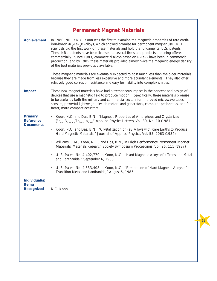# **Permanent Magnet Materials**

| <b>Achievement</b>                                        | In 1980, NRL's N.C. Koon was the first to examine the magnetic properties of rare earth-<br>iron-boron ( $R_2$ -Fe- <sub>14</sub> B) alloys, which showed promise for permanent magnet use. NRL<br>scientists did the first work on these materials and hold the fundamental U.S. patents.<br>These NRL patents have been licensed to several firms and products are being offered<br>commercially. Since 1983, commercial alloys based on R-Fe-B have been in commercial<br>production, and by 1985 these materials provided almost twice the magnetic energy density<br>of the best materials previously available. |
|-----------------------------------------------------------|-----------------------------------------------------------------------------------------------------------------------------------------------------------------------------------------------------------------------------------------------------------------------------------------------------------------------------------------------------------------------------------------------------------------------------------------------------------------------------------------------------------------------------------------------------------------------------------------------------------------------|
|                                                           | These magnetic materials are eventually expected to cost much less than the older materials<br>because they are made from less expensive and more abundant elements. They also offer<br>relatively good corrosion resistance and easy formability into complex shapes.                                                                                                                                                                                                                                                                                                                                                |
| <b>Impact</b>                                             | These new magnet materials have had a tremendous impact in the concept and design of<br>devices that use a magnetic field to produce motion. Specifically, these materials promise<br>to be useful by both the military and commercial sectors for improved microwave tubes,<br>sensors, powerful lightweight electric motors and generators, computer peripherals, and for<br>faster, more compact actuators.                                                                                                                                                                                                        |
| <b>Primary</b><br><b>Reference</b><br><b>Documents</b>    | • Koon, N.C. and Das, B.N., "Magnetic Properties of Amorphous and Crystallized<br>$(Fe_{0.82}B_{0.18})_{0.9}Tb_{0.05}La_{0.05}$ ," Applied Physics Letters, Vol. 39, No. 10 (1981).                                                                                                                                                                                                                                                                                                                                                                                                                                   |
|                                                           | • Koon, N.C. and Das, B.N., "Crystallization of FeB Alloys with Rare Earths to Produce<br>Hard Magnetic Materials," Journal of Applied Physics, Vol. 55, 2063 (1984).                                                                                                                                                                                                                                                                                                                                                                                                                                                 |
|                                                           | • Williams, C.M., Koon, N.C., and Das, B.N., in <i>High Performance Permanent Magnet</i><br>Materials, Materials Research Society Symposium Proceedings, Vol. 96, 111 (1987).                                                                                                                                                                                                                                                                                                                                                                                                                                         |
|                                                           | • U. S. Patent No. 4,402,770 to Koon, N.C., "Hard Magnetic Alloys of a Transition Metal<br>and Lanthanide," September 6, 1983.                                                                                                                                                                                                                                                                                                                                                                                                                                                                                        |
|                                                           | • U. S. Patent No. 4,533,408 to Koon, N.C., "Preparation of Hard Magnetic Alloys of a<br>Transition Metal and Lanthanide," August 6, 1985.                                                                                                                                                                                                                                                                                                                                                                                                                                                                            |
| <b>Individual(s)</b><br><b>Being</b><br><b>Recognized</b> | N.C. Koon                                                                                                                                                                                                                                                                                                                                                                                                                                                                                                                                                                                                             |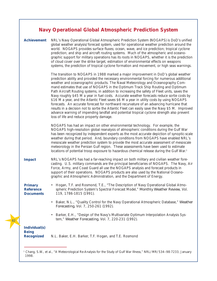## **Navy Operational Global Atmospheric Prediction System**

| <b>Achievement</b>                                        | NRL's Navy Operational Global Atmospheric Prediction System (NOGAPS) is DoD's unified<br>global weather analysis/forecast system, used for operational weather prediction around the<br>world. NOGAPS provides surface fluxes; ocean, wave, and ice prediction; tropical cyclone<br>prediction; and ship and aircraft routing systems. Much of the atmospheric and oceano-<br>graphic support for military operations has its roots in NOGAPS, whether it is the prediction<br>of cloud cover over the strike target, estimation of environmental effects on weapons<br>systems, the prediction of tropical cyclone formation and movement, or high seas warnings.                                                                                                                                                                                                                                                                                                                             |
|-----------------------------------------------------------|------------------------------------------------------------------------------------------------------------------------------------------------------------------------------------------------------------------------------------------------------------------------------------------------------------------------------------------------------------------------------------------------------------------------------------------------------------------------------------------------------------------------------------------------------------------------------------------------------------------------------------------------------------------------------------------------------------------------------------------------------------------------------------------------------------------------------------------------------------------------------------------------------------------------------------------------------------------------------------------------|
|                                                           | The transition to NOGAPS in 1988 marked a major improvement in DoD's global weather<br>prediction ability and provided the necessary environmental forcing for numerous additional<br>weather and oceanographic products. The Naval Meteorology and Oceanography Com-<br>mand estimates that use of NOGAPS in the Optimum Track Ship Routing and Optimum<br>Path Aircraft Routing systems, in addition to increasing the safety of Fleet units, saves the<br>Navy roughly \$45 M a year in fuel costs. Accurate weather forecasts reduce sortie costs by<br>\$16 M a year, and the Atlantic Fleet saves \$6 M a year in utility costs by using NOGAPS<br>forecasts. An accurate forecast for northward recurvature of an advancing hurricane that<br>results in a decision not to sortie the Atlantic Fleet can easily save the Navy \$5 M. Improved<br>advance warning of impending landfall and potential tropical cyclone strength also prevent<br>loss of life and reduce property damage. |
|                                                           | NOGAPS has had an impact on other environmental technology. For example, the<br>NOGAPS high-resolution global reanalysis of atmospheric conditions during the Gulf War<br>has been recognized by independent experts as the most accurate depiction of synoptic-scale<br>weather during that period. And, boundary conditions from NOGAPS have enabled NRL's<br>mesoscale weather prediction system to provide the most accurate assessment of mesoscale<br>meteorology in the Persian Gulf region. These assessments have been used to estimate<br>locations of potential troop exposure to hazardous chemical release during the Gulf War. <sup>1</sup>                                                                                                                                                                                                                                                                                                                                      |
| <b>Impact</b>                                             | NRL's NOGAPS has had a far-reaching impact on both military and civilian weather fore-<br>casting. U.S. military commands are the principal beneficiaries of NOGAPS. The Navy, Air<br>Force, Army, and Coast Guard all use the NOGAPS analysis and forecast products in<br>support of their operations. NOGAPS products are also used by the National Oceano-<br>graphic and Atmospheric Administration, and the Department of Energy.                                                                                                                                                                                                                                                                                                                                                                                                                                                                                                                                                         |
| <b>Primary</b><br><b>Reference</b><br><b>Documents</b>    | • Hogan, T.F. and Rosmond, T.E., "The Description of Navy Operational Global Atmo-<br>spheric Prediction System's Spectral Forecast Model," Monthly Weather Review, Vol.<br>119, 1786-1815 (1991).                                                                                                                                                                                                                                                                                                                                                                                                                                                                                                                                                                                                                                                                                                                                                                                             |
|                                                           | • Baker, N.L., "Quality Control for the Navy Operational Atmospheric Database," Weather<br>Forecasting, Vol. 7, 250-261 (1992).                                                                                                                                                                                                                                                                                                                                                                                                                                                                                                                                                                                                                                                                                                                                                                                                                                                                |
|                                                           | Barker, E.H., "Design of the Navy's Multivariate Optimum Interpolation Analysis Sys-<br>٠<br>tem," Weather Forecasting, Vol. 7, 220-231 (1992).                                                                                                                                                                                                                                                                                                                                                                                                                                                                                                                                                                                                                                                                                                                                                                                                                                                |
| <b>Individual(s)</b><br><b>Being</b><br><b>Recognized</b> | N.L. Baker, E.H. Barker, T.F. Hogan, and T.E. Rosmond                                                                                                                                                                                                                                                                                                                                                                                                                                                                                                                                                                                                                                                                                                                                                                                                                                                                                                                                          |
|                                                           |                                                                                                                                                                                                                                                                                                                                                                                                                                                                                                                                                                                                                                                                                                                                                                                                                                                                                                                                                                                                |

<sup>&</sup>lt;sup>1</sup> Chang, S.W., et al., "A Meteorological Re-Analysis for the Study of Gulf War Illness," NRL/MR/534--98-7233, January 1998.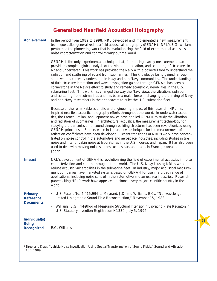## **Generalized Nearfield Acoustical Holography**

| <b>Achievement</b>                                        | In the period from 1982 to 1998, NRL developed and implemented a new measurement<br>technique called generalized nearfield acoustical holography (GENAH). NRL's E.G. Williams<br>performed the pioneering work that is revolutionizing the field of experimental acoustics in<br>noise characterization and control throughout the world.                                                                                                                                                                                                                                                                                                                                                                                                                                                                                                                                                                                                                                      |
|-----------------------------------------------------------|--------------------------------------------------------------------------------------------------------------------------------------------------------------------------------------------------------------------------------------------------------------------------------------------------------------------------------------------------------------------------------------------------------------------------------------------------------------------------------------------------------------------------------------------------------------------------------------------------------------------------------------------------------------------------------------------------------------------------------------------------------------------------------------------------------------------------------------------------------------------------------------------------------------------------------------------------------------------------------|
|                                                           | GENAH is the only experimental technique that, from a single array measurement, can<br>provide a complete global analysis of the vibration, radiation, and scattering of structures in<br>air and underwater. This work has provided the Navy with a powerful tool to understand the<br>radiation and scattering of sound from submarines. The knowledge being gained far out-<br>strips what is currently understood in Navy and non-Navy communities. The understanding<br>of fluid-structure interaction and wave propagation gained through GENAH has been a<br>cornerstone in the Navy's effort to study and remedy acoustic vulnerabilities in the U.S.<br>submarine fleet. This work has changed the way the Navy views the vibration, radiation,<br>and scattering from submarines and has been a major force in changing the thinking of Navy<br>and non-Navy researchers in their endeavors to quiet the U.S. submarine fleet.                                       |
|                                                           | Because of the remarkable scientific and engineering impact of this research, NRL has<br>inspired nearfield acoustic holography efforts throughout the world. In underwater acous-<br>tics, the French, Italian, and Japanese navies have applied GENAH to study the vibration<br>and radiation of submarines. In architectural acoustics, the measurement technology for<br>studying the transmission of sound through building structures has been revolutionized using<br>GENAH principles in France, while in Japan, new techniques for the measurement of<br>reflection coefficients have been developed. Recent transitions of NRL's work have concen-<br>trated on noise control in the automotive and aerospace industries, including studies in tire<br>noise and interior cabin noise at laboratories in the U.S., Korea, and Japan. It has also been<br>used to deal with moving noise sources such as cars and trains in France, Korea, and<br>Japan. <sup>1</sup> |
| <b>Impact</b>                                             | NRL's development of GENAH is revolutionizing the field of experimental acoustics in noise<br>characterization and control throughout the world. The U.S. Navy is using NRL's work to<br>reduce acoustic vulnerabilities in the submarine fleet. In industry, major acoustical measure-<br>ment companies have marketed systems based on GENAH for use in a broad range of<br>applications, including noise control in the automotive and aerospace industries. Research<br>papers citing NRL's work have appeared in almost every major scientific country in the<br>world.                                                                                                                                                                                                                                                                                                                                                                                                   |
| <b>Primary</b><br><b>Reference</b><br><b>Documents</b>    | • U.S. Patent No. 4,415,996 to Maynard, J.D. and Williams, E.G., "Nonwavelength-<br>limited Holographic Sound Field Reconstruction," November 15, 1983.                                                                                                                                                                                                                                                                                                                                                                                                                                                                                                                                                                                                                                                                                                                                                                                                                        |
|                                                           | Williams, E.G., "Method of Measuring Structural Intensity in Vibrating Plate Radiators,"<br>U.S. Statutory Invention Registration H1330, July 5, 1994.                                                                                                                                                                                                                                                                                                                                                                                                                                                                                                                                                                                                                                                                                                                                                                                                                         |
| <b>Individual(s)</b><br><b>Being</b><br><b>Recognized</b> | E.G. Williams                                                                                                                                                                                                                                                                                                                                                                                                                                                                                                                                                                                                                                                                                                                                                                                                                                                                                                                                                                  |

<sup>1</sup> Bruel and Kjaer, "Vehicle Noise Investigation Using Spatial Transformation of Sound Fields," *Sound and Vibration*, April 1989.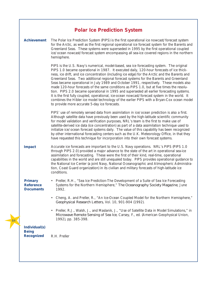### **Polar Ice Prediction System**

**Achievement** The Polar Ice Prediction System (PIPS) is the first operational ice nowcast/forecast system for the Arctic, as well as the first regional operational ice forecast system for the Barents and Greenland Seas. These systems were superseded in 1995 by the first operational coupled ice/ocean nowcast/forecast system encompassing all sea-ice covered regions in the northern hemisphere.

> PIPS is the U.S. Navy's numerical, model-based, sea ice forecasting system. The original PIPS 1.0 became operational in 1987. It executed daily, 120-hour forecasts of ice thickness, ice drift, and ice concentration (including ice edge) for the Arctic and the Barents and Greenland Seas. Two additional regional forecast systems for the Barents and Greenland Seas became operational in July 1989 and October 1991, respectively. These models also made 120-hour forecasts of the same conditions as PIPS 1.0, but at five times the resolution. PIPS 2.0 became operational in 1995 and superseded all earlier forecasting systems. It is the first fully coupled, operational, ice-ocean nowcast/forecast system in the world. It combines the Hibler ice model technology of the earlier PIPS with a Bryan-Cox ocean model to provide more accurate 5-day ice forecasts.

PIPS' use of remotely sensed data from assimilation in ice/ocean prediction is also a first. Although satellite data have previously been used by the high-latitude scientific community for model validation and verification purposes, NRL's team is the first to make use of satellite-derived ice data (ice concentration) as part of a data assimilation technique used to initialize ice/ocean forecast systems daily. The value of this capability has been recognized by other international forecasting centers such as the U.K. Meteorology Office, in that they have requested this technique for incorporation into their own forecast systems.

**Impact** Accurate ice forecasts are important to the U.S. Navy operations. NRL's PIPS (PIPS 1.0 through PIPS 2.0) provided a major advance to the state of the art in operational sea-ice assimilation and forecasting. These were the first of their kind, real-time, operational capabilities in the world and are still unequaled today. PIPS provides operational guidance to the National Ice Center (a joint Navy, National Oceanographic and Atmospheric Administration, Coast Guard organization) in its civilian and military forecasts of high-latitude ice conditions.

### **Primary Reference Documents**

- Preller, R.H., "Sea Ice Prediction-The Development of a Suite of Sea Ice Forecasting Systems for the Northern Hemisphere," *The Oceanography Society Magazine*, June 1992.
	- Cheng, A. and Preller, R., "An Ice-Ocean Coupled Model for the Northern Hemisphere," *Geophysical Research Letters*, Vol. 10, 901-904 (1992).
- Preller, R.J., Walsh, J., and Maslanik, J., "Use of Satellite Data in Model Simulations," in *Microwave Remote Sensing of Sea Ice*, Carsey, F., ed. (American Geophysical Union, 1992), pp. 385-398.

#### **Individual(s) Being Recognized** R.H. Preller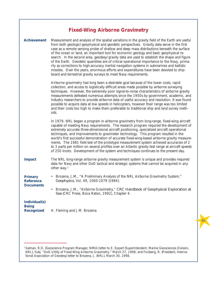| <b>Fixed-Wing Airborne Gravimetry</b> |  |  |
|---------------------------------------|--|--|
|---------------------------------------|--|--|

| <b>Achievement</b>                                     | Measurement and analysis of the spatial variations in the gravity field of the Earth are useful<br>from both geologic/geophysical and geodetic perspectives. Gravity data serve in the first<br>case as a remote sensing probe of shallow and deep mass distributions beneath the surface<br>of the ocean or land, an important tool for economic geology and basic geophysical re-<br>search. In the second area, geodesy/gravity data are used to establish the shape and figure<br>of the Earth. Geodetic quantities are of critical operational importance to the Navy, prima-<br>rily as corrections to high-accuracy inertial navigation systems in submarines and ballistic<br>missiles. Over the years, enormous efforts and expenditures have been devoted to ship-<br>board and terrestrial gravity surveys to meet Navy requirements. |
|--------------------------------------------------------|--------------------------------------------------------------------------------------------------------------------------------------------------------------------------------------------------------------------------------------------------------------------------------------------------------------------------------------------------------------------------------------------------------------------------------------------------------------------------------------------------------------------------------------------------------------------------------------------------------------------------------------------------------------------------------------------------------------------------------------------------------------------------------------------------------------------------------------------------|
|                                                        | Airborne gravimetry had long been a desirable goal because of the lower costs, rapid<br>collection, and access to logistically difficult areas made possible by airborne surveying<br>techniques. However, the extremely poor signal-to-noise characteristics of airborne gravity<br>measurements defeated numerous attempts since the 1950s by government, academic, and<br>industry researchers to provide airborne data of useful accuracy and resolution. It was found<br>possible to acquire data at low speeds in helicopters, however their range was too limited<br>and their costs too high to make them preferable to traditional ship and land survey meth-<br>ods.                                                                                                                                                                   |
|                                                        | In 1979, NRL began a program in airborne gravimetry from long-range, fixed-wing aircraft<br>capable of meeting Navy requirements. The research program required the development of<br>extremely accurate three-dimensional aircraft positioning, specialized aircraft operational<br>techniques, and improvements to gravimeter technology. This program resulted in the<br>world's first successful demonstration of accurate fixed-wing-based airborne gravity measure-<br>ments. The 1981 field test of the prototype measurement system achieved accuracies of 2<br>to 3 parts per million on several profiles over an Atlantic gravity test range at aircraft speeds<br>of 250 knots. Development of the system and techniques continues to the present day.                                                                                |
| <b>Impact</b>                                          | The NRL long-range airborne gravity measurement system is unique and provides required<br>data for Navy and other DoD tactical and strategic systems that cannot be acquired in any<br>other way. $1$                                                                                                                                                                                                                                                                                                                                                                                                                                                                                                                                                                                                                                            |
| <b>Primary</b><br><b>Reference</b><br><b>Documents</b> | Brozena, J.M., "A Preliminary Analysis of the NRL Airborne Gravimetry System,"<br>$\bullet$<br>Geophysics, Vol. 49, 1060-1079 (1984).<br>Brozena, J.M., "Airborne Gravimetry," CRC Handbook of Geophysical Exploration at                                                                                                                                                                                                                                                                                                                                                                                                                                                                                                                                                                                                                        |
| <b>Individual(s)</b>                                   | $\bullet$<br>Sea (CRC Press, Boca Raton, 1992), Chapter 4.                                                                                                                                                                                                                                                                                                                                                                                                                                                                                                                                                                                                                                                                                                                                                                                       |
| <b>Being</b><br><b>Recognized</b>                      | H. Fleming and J.M. Brozena                                                                                                                                                                                                                                                                                                                                                                                                                                                                                                                                                                                                                                                                                                                                                                                                                      |
|                                                        |                                                                                                                                                                                                                                                                                                                                                                                                                                                                                                                                                                                                                                                                                                                                                                                                                                                  |

<sup>1</sup> Salman, R.D. (Geoscience Program Manager, NIMA) letter to E. Eppert (Superintendent, Marine Geosciences Division, NRL), Subj. "DoD Utility of Fixed Wing Airborne Gravimetry," March 27, 1998; and Forsberg, R. (President, International Association of Geodesy) letter to Brozena, J. (NRL), March 30, 1998.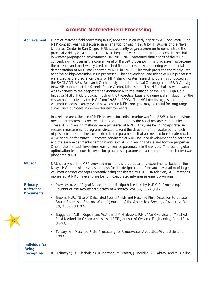### **Acoustic Matched-Field Processing**

**Achievement Impact Primary Reference Documents Individual(s) Being Recognized** Hints of matched-field processing (MFP) appeared in an early paper by A. Parvulescu. The MFP concept was first discussed in an analytic format in 1976 by H. Bucker of the Naval Undersea Center in San Diego. NRL subsequently began a program to demonstrate the practical viability of MFP. In 1981, NRL began research on the MFP concept in the shallow-water propagation environment. In 1983, NRL presented simulations of the MFP concept, now known as the conventional or Bartlett processor. This processor has become the baseline and most widely used matched-field processor. A pioneering experimental demonstration of MFP was reported by NRL in 1985. This work produced the widely used adaptive or high-resolution MFP processor. The conventional and adaptive MFP processors were used as the theoretical basis for MFP shallow-water research programs conducted at the SACLANT ASW Research Centre, Italy, and at the Naval Oceanographic R&D Activity (now NRL) located at the Stennis Space Center, Mississippi. The NRL shallow-water work was expanded to the deep-water environment with the initiation of the ONT High Gain Initiative (HGI). NRL provided much of the theoretical basis and numerical simulation for the research conducted by the HGI from 1988 to 1993. The HGI results suggest that large volumetric acoustic array systems, which use MFP concepts, may be useful for long-range surveillance purposes in deep-water environments. In a related area, the use of MFP to invert for antisubmarine warfare (ASW)-related environmental parameters has received significant attention by the naval research community. These MFP inversion methods were pioneered at NRL. They are being incorporated in research measurement programs directed toward the development or evaluation of techniques to be used for the rapid extraction of parameters that are needed to estimate naval ASW sonar performance. Research conducted at NRL included development of algorithms and the early experimental demonstrations of MFP inversions of ice and bottom properties. One of the first such inversions was for sea ice parameters in the Arctic. The use of global optimization techniques to invert for geoacoustic parameters (a common approach now) was pioneered at NRL. NRL's early work in MFP provided much of the theoretical and experimental basis for the Navy's HGI, and will serve as the basis for the design and performance evaluation of large volumetric arrays concepts presently being considered by ONR. In addition, MFP methods pioneered at NRL have and are being incorporated into measurement programs. • Parvulescu, A., "Signal Detection in a Multipath Medium by M.E.S.S. Processing," *Journal of the Acoustical Society of America*, Vol. 33, 1674 (1961). • Bucker, H.P., "Use of Calculated Sound Fields and Matched-Field Detection to Locate Sound Sources in Shallow Water," *Journal of the Acoustical Society of America,* Vol. 59, 368-373 (1976). • Baggeroer, A.B., Kuperman, W.A., and Mikhalevsky, P.N., "An Overview of Matched-Field Methods in Ocean Acoustics," *IEEE Journal of Oceanic Engineering*, Vol. 18, 4 (1993). • Tolstoy, A., *Matched Field Processing for Underwater Acoustics* (World Scientific, 1993). R. Heitmeyer, O. Diachok, W. Kuperman, M. Porter, J. Perkins, A. Tolstoy, and M. Collins.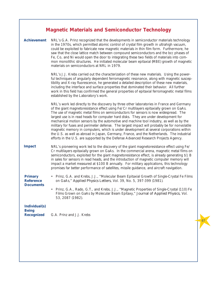# **Magnetic Materials and Semiconductor Technology**

| <b>Achievement</b>                                        | NRL's G.A. Prinz recognized that the developments in semiconductor materials technology<br>in the 1970s, which permitted atomic control of crystal film growth in ultrahigh vacuum,<br>could be exploited to fabricate new magnetic materials in thin film form. Furthermore, he<br>saw that the close lattice match between compound semiconductors and the bcc phases of<br>Fe, Co, and Ni would open the door to integrating these two fields of materials into com-<br>mon monolithic structures. He initiated molecular beam epitaxial (MBE) growth of magnetic<br>materials on semiconductors at NRL in 1979.                                                                                                                                                                                                                                |
|-----------------------------------------------------------|----------------------------------------------------------------------------------------------------------------------------------------------------------------------------------------------------------------------------------------------------------------------------------------------------------------------------------------------------------------------------------------------------------------------------------------------------------------------------------------------------------------------------------------------------------------------------------------------------------------------------------------------------------------------------------------------------------------------------------------------------------------------------------------------------------------------------------------------------|
|                                                           | NRL's J.J. Krebs carried out the characterization of these new materials. Using the power-<br>ful techniques of angularly dependent ferromagnetic resonance, along with magnetic suscep-<br>tibility and X-ray fluorescence, he generated a detailed description of these new materials,<br>including the interface and surface properties that dominated their behavior. All further<br>work in this field has confirmed the general properties of epitaxial ferromagnetic metal films<br>established by the Laboratory's work.                                                                                                                                                                                                                                                                                                                   |
|                                                           | NRL's work led directly to the discovery by three other laboratories in France and Germany<br>of the giant magnetoresistance effect using Fe/Cr multilayers epitaxially grown on GaAs.<br>The use of magnetic metal films on semiconductors for sensors is now widespread. The<br>largest use is in read heads for computer hard disks. They are under development for<br>mechanical motion sensors by the automotive and machine tool industry, as well as by the<br>military for fuses and perimeter defense. The largest impact will probably be for nonvolatile<br>magnetic memory in computers, which is under development at several corporations within<br>the U.S. as well as abroad in Japan, Germany, France, and the Netherlands. The industrial<br>efforts in the U.S. are supported by the Defense Advanced Research Projects Agency. |
| <b>Impact</b>                                             | NRL's pioneering work led to the discovery of the giant magnetoresistance effect using Fe/<br>Cr multilayers epitaxially grown on GaAs. In the commercial arena, magnetic metal films on<br>semiconductors, exploited for the giant magnetoresistance effect, is already generating \$1 B<br>in sales for sensors in read heads, and the introduction of magnetic computer memory will<br>impact a market measured at \$100 B annually. For military applications, this technology<br>promises far better performance of satellites, missile guidance, and aircraft navigation.                                                                                                                                                                                                                                                                    |
| <b>Primary</b><br><b>Reference</b><br><b>Documents</b>    | Prinz, G.A. and Krebs, J.J., "Molecular Beam Epitaxial Growth of Single-Crystal Fe Films<br>$\bullet$<br>on GaAs," Applied Physics Letters, Vol. 39, No. 5, 397-399 (1981).                                                                                                                                                                                                                                                                                                                                                                                                                                                                                                                                                                                                                                                                        |
|                                                           | Prinz, G.A., Rado, G.T., and Krebs, J.J., "Magnetic Properties of Single-Crystal (110) Fe<br>$\bullet$<br>Films Grown on GaAs by Molecular Beam Epitaxy," Journal of Applied Physics, Vol.<br>53, 2087 (1982).                                                                                                                                                                                                                                                                                                                                                                                                                                                                                                                                                                                                                                     |
| <b>Individual(s)</b><br><b>Being</b><br><b>Recognized</b> | G.A. Prinz and J.J. Krebs                                                                                                                                                                                                                                                                                                                                                                                                                                                                                                                                                                                                                                                                                                                                                                                                                          |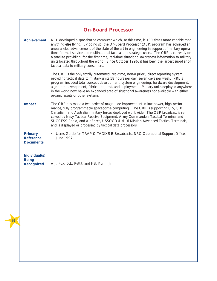|                                                           | <b>On-Board Processor</b>                                                                                                                                                                                                                                                                                                                                                                                                                                                                                                                                                                                                          |
|-----------------------------------------------------------|------------------------------------------------------------------------------------------------------------------------------------------------------------------------------------------------------------------------------------------------------------------------------------------------------------------------------------------------------------------------------------------------------------------------------------------------------------------------------------------------------------------------------------------------------------------------------------------------------------------------------------|
| <b>Achievement</b>                                        | NRL developed a spaceborne computer which, at this time, is 100 times more capable than<br>anything else flying. By doing so, the On-Board Processor (OBP) program has achieved an<br>unparalleled advancement of the state of the art in engineering in support of military opera-<br>tions for multiservice and multinational tactical and strategic users. The OBP is currently on<br>a satellite providing, for the first time, real-time situational awareness information to military<br>units located throughout the world. Since October 1996, it has been the largest supplier of<br>tactical data to military consumers. |
|                                                           | The OBP is the only totally automated, real-time, non-a priori, direct reporting system<br>providing tactical data to military units 18 hours per day, seven days per week. NRL's<br>program included total concept development, system engineering, hardware development,<br>algorithm development, fabrication, test, and deployment. Military units deployed anywhere<br>in the world now have an expanded area of situational awareness not available with either<br>organic assets or other systems.                                                                                                                          |
| <b>Impact</b>                                             | The OBP has made a two order-of-magnitude improvement in low-power, high-perfor-<br>mance, fully programmable spaceborne computing. The OBP is supporting U.S, U.K,<br>Canadian, and Australian military forces deployed worldwide. The OBP broadcast is re-<br>ceived by Navy Tactical Receive Equipment, Army Commanders Tactical Terminal and<br>SUCCESS Radio, and Air Force/USSOCOM Multi-Mission Advanced Tactical Terminals,<br>and is displayed or processed by tactical data processors.                                                                                                                                  |
| <b>Primary</b><br><b>Reference</b><br><b>Documents</b>    | • Users Guide for TRAP & TADIXS-B Broadcasts, NRO Operational Support Office,<br>June 1997.                                                                                                                                                                                                                                                                                                                                                                                                                                                                                                                                        |
| <b>Individual(s)</b><br><b>Being</b><br><b>Recognized</b> | A.J. Fox, D.L. Pettit, and F.B. Kuhn, Jr.                                                                                                                                                                                                                                                                                                                                                                                                                                                                                                                                                                                          |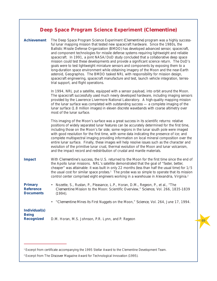### **Deep Space Program Science Experiment (***Clementine***)**

| Achievement | The Deep Space Program Science Experiment ( <i>Clementine</i> ) program was a highly success-<br>ful lunar mapping mission that tested new spacecraft hardware. Since the 1980s, the<br>Ballistic Missile Defense Organization (BMDO) has developed advanced sensor, spacecraft,<br>and component technologies for missile defense systems requiring lightweight and reliable<br>spacecraft. In 1991, a joint NASA/DoD study concluded that a collaborative deep space<br>mission could test these developments and provide a significant science return. The DoD's<br>goals were to test lightweight miniature sensors and components by exposing them to a<br>long-duration space environment while obtaining imagery of the Moon and the near-Earth<br>asteroid, Geographos. The BMDO tasked NRL with responsibility for mission design,<br>spacecraft engineering, spacecraft manufacture and test, launch vehicle integration, terres-<br>trial support, and flight operations. |
|-------------|--------------------------------------------------------------------------------------------------------------------------------------------------------------------------------------------------------------------------------------------------------------------------------------------------------------------------------------------------------------------------------------------------------------------------------------------------------------------------------------------------------------------------------------------------------------------------------------------------------------------------------------------------------------------------------------------------------------------------------------------------------------------------------------------------------------------------------------------------------------------------------------------------------------------------------------------------------------------------------------|
|             | In 1994, NRL put a satellite, equipped with a sensor payload, into orbit around the Moon.<br>The spacecraft successfully used much newly developed hardware, including imaging sensors<br>provided by the Lawrence Livermore National Laboratory. A high-quality mapping mission<br>of the lunar surface was completed with outstanding success $-$ a complete imaging of the<br>lunar surface (1.8 million images) in eleven discrete wavebands with coarse altimetry over<br>most of the lunar surface.                                                                                                                                                                                                                                                                                                                                                                                                                                                                            |

This imaging of the Moon's surface was a great success in its scientific returns: relative positions of widely separated lunar features can be accurately determined for the first time, including those on the Moon's far side; some regions in the lunar south pole were imaged with good resolution for the first time, with some data indicating the presence of ice; and complete multispectral imaging providing information on local mineral composition over the entire lunar surface. Finally, these images will help resolve issues such as the character and evolution of the primitive lunar crust, thermal evolution of the Moon and lunar volcanism, and the impact record and redistribution of crustal and mantle materials.

**Impact** With *Clementine*'s success, the U.S. returned to the Moon for the first time since the end of the Apollo lunar missions. NRL's satellite demonstrated that the goal of "faster, better, cheaper" was attainable: it was built in only 22 months (less than half the usual time) for 1/5 the usual cost for similar space probes.<sup>1</sup> The probe was so simple to operate that its mission control center comprised eight engineers working in a warehouse in Alexandria, Virginia.<sup>2</sup>

**Primary Reference Documents**

- Nozette, S., Rustan, P., Pleasance, L.P., Horan, D.M., Regeon, P., et al., "The *Clementine* Mission to the Moon: Scientific Overview," *Science*, Vol. 266, 1835-1839 (1994).
- "*Clementine* Mines Its First Nuggets on the Moon," *Science*, Vol. 264, June 17, 1994.

69

**Individual(s) Being Recognized**

D.M. Horan, M.S. Johnson, P.R. Lynn, and P. Regeon

<sup>1</sup> Excerpt from certificate accompanying the 1995 Stellar Award to the Clementine Development Team.

<sup>2</sup> Excerpt from The *Discover* Magazine Award for Technological Innovation (1995).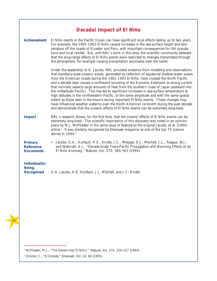### **Decadal Impact of El Niño**

**Achievement Impact Primary Reference Documents Individual(s) Being Recognized** El Niño events in the Pacific Ocean can have significant local effects lasting up to two years. For example, the 1982-1983 El Niño caused increases in the sea-surface height and temperature off the coasts of Ecuador and Peru, with important consequences for fish populations and local rainfall. But, until NRL's work in this area, the scientific community believed that the long-range effects of El Niño events were restricted to changes transmitted through the atmosphere, for example causing precipitation anomalies over the Sahel. Under the leadership of G. Jacobs, NRL provided evidence from modeling and observations that planetary-scale oceanic waves, generated by reflection of equatorial shallow-water waves from the American coasts during the 1982-1983 El Niño, have crossed the North Pacific and a decade later caused a northward rerouting of the Kuroshio Extension (a strong current that normally advects large amounts of heat from the southern coast of Japan eastward into the midlatitude Pacific). This has led to significant increases in sea-surface temperature at high latitudes in the northwestern Pacific, of the same amplitude and with the same spatial extent as those seen in the tropics during important El Niño events. These changes may have influenced weather patterns over the North American continent during the past decade and demonstrate that the oceanic effects of El Niño events can be extremely long-lived. NRL's research shows, for the first time, that the oceanic effects of El Niño events can be extremely long-lived. The scientific importance of this discovery was noted in an opinion piece by M.J. McPhaden in the same issue of *Nature* as the original Jacobs, et al. (1994) article.1 It was similarly recognized by *Discover* magazine as one of the top 75 science stories in 1994.<sup>2</sup> • Jacobs, G.A., Hurlburt, H.E., Kindle, J.C., Metzger, E.J., Mitchell, J.L., Teague, W.J., and Wallcraft, A.J., "Decade-Scale Trans-Pacific Propagation and Warming Effects of an El Niño Anomaly," *Nature*, Vol. 370, 360-363 (1994). G.A. Jacobs, H.E. Hurlburt, J.L. Mitchell, and J.C. Kindle

<sup>1</sup> McPhaden, M.J., "The Eleven-Year El Niño?," *Nature*, Vol. 370, 326-327 (1994).

<sup>2</sup> Zimmer, C., "El Grande," *Discover*, Vol. 16, 68 (1995).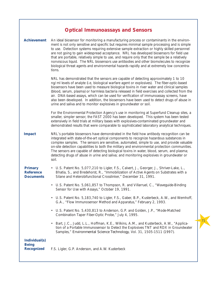# **Optical Immunoassays and Sensors**

| An ideal biosensor for monitoring a manufacturing process or contaminants in the environ-<br>ment is not only sensitive and specific but requires minimal sample processing and is simple<br>to use. Detection systems requiring extensive sample extraction or highly skilled personnel<br>are not going to gain widespread acceptance. NRL has developed biosensors for field use<br>that are portable, relatively simple to use, and require only that the sample be a relatively<br>nonviscous liquid. The NRL biosensors use antibodies and other biomolecules to recognize<br>biological threat agents and environmental hazards rapidly and at extremely low concentra-<br>tions. |
|------------------------------------------------------------------------------------------------------------------------------------------------------------------------------------------------------------------------------------------------------------------------------------------------------------------------------------------------------------------------------------------------------------------------------------------------------------------------------------------------------------------------------------------------------------------------------------------------------------------------------------------------------------------------------------------|
| NRL has demonstrated that the sensors are capable of detecting approximately 1 to 10<br>ng/ml levels of analyte (i.e, biological warfare agent or explosives). The fiber-optic-based<br>biosensors have been used to measure biological toxins in river water and clinical samples<br>(blood, serum, plasma) or harmless bacteria released in field exercises and collected from the<br>air. DNA-based assays, which can be used for verification of immunoassay screens, have<br>also been developed. In addition, the biosensors have been used to detect drugs of abuse in<br>urine and saliva and to monitor explosives in groundwater or soil.                                      |
| For the Environmental Protection Agency's use in monitoring at Superfund Cleanup sites, a<br>smaller, simpler sensor, the FAST 2000 has been developed. This system has been tested<br>extensively in field trials at military bases with explosives-contaminated groundwater and<br>demonstrated results that were comparable to sophisticated laboratory analytical techniques.                                                                                                                                                                                                                                                                                                        |
| NRL's portable biosensors have demonstrated in the field how antibody recognition can be<br>integrated with state-of-the-art optical components to recognize hazardous substances in<br>complex samples. The sensors are sensitive, automated, simple to use, and provide valuable<br>on-site detection capabilities to both the military and environmental protection communities.<br>The sensors are capable of detecting biological toxins in water, blood, serum, and plasma;<br>detecting drugs of abuse in urine and saliva; and monitoring explosives in groundwater or<br>soil.                                                                                                  |
| • U.S. Patent No. 5,077,210 to Ligler, F.S., Calvert, J., Georger, J., Shriver-Lake, L.,<br>Bhatia, S., and Bredehorst, R., "Immobilization of Active Agents on Substrates with a<br>Silane and Heterobifunctional Crosslinker," December 31, 1991.                                                                                                                                                                                                                                                                                                                                                                                                                                      |
| U.S. Patent No. 5,061,857 to Thompson, R. and Villarruel, C., "Waveguide-Binding<br>$\bullet$<br>Sensor for Use with Assays," October 19, 1991.                                                                                                                                                                                                                                                                                                                                                                                                                                                                                                                                          |
| U.S. Patent No. 5,183,740 to Ligler, F.S., Gaber, B.P., Kusterbeck, A.W., and Wemhoff,<br>G.A., "Flow Immunosensor Method and Apparatus," February 2, 1993.                                                                                                                                                                                                                                                                                                                                                                                                                                                                                                                              |
| • U.S. Patent No. 5,430,813 to Anderson, G.P. and Golden, J.P., "Mode-Matched<br>Combination Taper Fiber-Optic Probe," July 4, 1995.                                                                                                                                                                                                                                                                                                                                                                                                                                                                                                                                                     |
| Bart, J.C., Judd, L.L., Hoffman, K.E., Wilkins, A.M., and Kusterbeck, A.W., "Applica-<br>tion of a Portable Immunosensor to Detect the Explosives TNT and RDX in Groundwater<br>Samples," Environmental Science Technology, Vol. 31, 1505-1511 (1997).                                                                                                                                                                                                                                                                                                                                                                                                                                   |
| F.S. Ligler, G.P. Anderson, and A.W. Kusterbeck                                                                                                                                                                                                                                                                                                                                                                                                                                                                                                                                                                                                                                          |
|                                                                                                                                                                                                                                                                                                                                                                                                                                                                                                                                                                                                                                                                                          |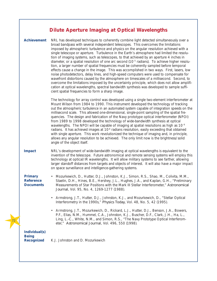### **Dilute Aperture Imaging at Optical Wavelengths**

#### **Achievement**

NRL has developed techniques to coherently combine light detected simultaneously over a broad bandpass with several independent telescopes. This overcomes the limitations imposed by atmospheric turbulence and physics on the angular resolution achieved with a single telescope or aperture. Turbulence in the Earth's atmosphere had limited the resolution of imaging systems, such as telescopes, to that achieved by an aperture 4 inches in diameter, or a spatial resolution of one arc second  $(10^{-5}$  radians). To achieve higher resolution, a larger number of spatial frequencies must be coherently sampled before temporal effects cause a change in the image. This was accomplished in two ways. First, lasers, low noise photodetectors, delay lines, and high-speed computers were used to compensate for wavefront distortions caused by the atmosphere on timescales of a millisecond. Second, to overcome the limitations imposed by the uncertainty principle, which does not allow amplification at optical wavelengths, spectral bandwidth synthesis was developed to sample sufficient spatial frequencies to form a sharp image.

The technology for array control was developed using a single two-element interferometer at Mount Wilson from 1984 to 1990. This instrument developed the technology of tracking out the atmospheric turbulence in an automated system capable of integration speeds on the millisecond scale. This allowed one-dimensional, single-point sampling of the spatial frequencies. The design and fabrication of the Navy prototype optical interferometer (NPOI) from 1989 to 1998 developed the technology of wide-bandwidth synthesis at optical wavelengths. The NPOI will be capable of imaging at spatial resolutions as high as  $10^{-9}$ radians. It has achieved images at  $10<sup>8</sup>$  radians resolution, easily exceeding that obtained with single aperture. This work revolutionized the technique of imaging and, in principle, allows any angular resolution to be achieved. The only limit now is the brightness/solid angle of the object itself.

**Impact** NRL's development of wide-bandwidth imaging at optical wavelengths is equivalent to the invention of the telescope. Future astronomical and remote sensing systems will employ this technology at optical/IR wavelengths. It will allow military systems to see farther, allowing larger standoff distances from targets and objects of interest. It will also have a major impact on space surveillance and intelligence-gathering systems.

**Primary Reference Documents**

- Mozurkewich, D., Hutter, D.J., Johnston, K.J., Simon, R.S., Shao, M., Colivita, M.M., Staelin, D.H., Hines, B.E., Hershey, J.L., Hughes, J.A., and Kaplan, G.H., "Preliminary Measurements of Star Positions with the Mark III Stellar Interferometer," *Astronomical Journal*, Vol. 95, No. 4, 1269-1277 (1988).
- Armstrong, J.T., Hutter, D.J., Johnston, K.J., and Mozurkewich, D., "Stellar Optical Interferometry in the 1990s," *Physics Today*, Vol. 48, No. 5, 42 (1995).
- Armstrong, J.T., Mozurkewich, D., Rickard, L.J., Hutter, D.J., Benson, J.A., Bowers, P.F., Elias, N.M., Hummel, C.A., Johnston, K.J., Buscher, D.F., Clark, J.H., Ha, L., Ling, L.-C., White, N.M., and Simon, R.S., "The Navy Prototype Optical Interferometer," *Astronomical Journal*, Vol. 496, 550 (1998).

#### **Individual(s) Being Recognized**

K.J. Johnston and D. Mozurkewich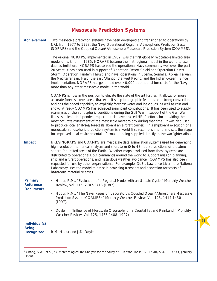## **Mesoscale Prediction Systems**

| <b>Achievement</b>                                        | Two mesoscale prediction systems have been developed and transitioned to operations by<br>NRL from 1977 to 1998: the Navy Operational Regional Atmospheric Prediction System<br>(NORAPS) and the Coupled Ocean/Atmosphere Mesoscale Prediction System (COAMPS).                                                                                                                                                                                                                                                                                                                                                                                                                                                                                                                                                                                                                                                                                                                       |
|-----------------------------------------------------------|---------------------------------------------------------------------------------------------------------------------------------------------------------------------------------------------------------------------------------------------------------------------------------------------------------------------------------------------------------------------------------------------------------------------------------------------------------------------------------------------------------------------------------------------------------------------------------------------------------------------------------------------------------------------------------------------------------------------------------------------------------------------------------------------------------------------------------------------------------------------------------------------------------------------------------------------------------------------------------------|
|                                                           | The original NORAPS, implemented in 1982, was the first globally relocatable limited-area<br>model of its kind. In 1985, NORAPS became the first regional model in the world to use<br>data assimilation. NORAPS has served the operational Navy community well over the past<br>20 years: it has been used in support of Operation Desert Shield and Operation Desert<br>Storm, Operation Tandem Thrust, and naval operations in Bosnia, Somalia, Korea, Taiwan,<br>the Mediterranean, Haiti, the east Atlantic, the west Pacific, and the Indian Ocean. Since<br>implementation, NORAPS has generated over 40,000 operational forecasts for the Navy,<br>more than any other mesoscale model in the world.                                                                                                                                                                                                                                                                          |
|                                                           | COAMPS is now in the position to elevate the state of the art further. It allows for more<br>accurate forecasts over areas that exhibit steep topographic features and strong convection<br>and has the added capability to explicitly forecast water and ice clouds, as well as rain and<br>snow. Already COAMPS has achieved significant contributions. It has been used to supply<br>reanalyses of the atmospheric conditions during the Gulf War in support of the Gulf War<br>Illness studies. <sup>1</sup> Independent expert panels have praised NRL's efforts for providing the<br>most accurate assessment of the mesoscale meteorology during that time. It was also used<br>to produce local analyses/forecasts aboard an aircraft carrier. This shipboard execution of a<br>mesoscale atmospheric prediction system is a world-first accomplishment, and sets the stage<br>for improved local environmental information being supplied directly to the warfighter afloat. |
| <b>Impact</b>                                             | NRL's NORAPS and COAMPS are mesoscale data assimilation systems used for generating<br>high-resolution numerical analyses and short-term (0 to 48 hour) predictions of the atmo-<br>sphere for limited areas of the Earth. Weather maps produced from these systems are<br>distributed to operational DoD commands around the world to support mission planning,<br>ship and aircraft operations, and hazardous weather avoidance. COAMPS has also been<br>requested for use by other organizations. For example, DoE's Lawrence Livermore National<br>Laboratory uses the model to assist in providing transport and dispersion forecasts of<br>hazardous material releases.                                                                                                                                                                                                                                                                                                         |
| <b>Primary</b><br><b>Reference</b><br><b>Documents</b>    | • Hodur, R.M., "Evaluation of a Regional Model with an Update Cycle," Monthly Weather<br>Review, Vol. 115, 2707-2718 (1987).                                                                                                                                                                                                                                                                                                                                                                                                                                                                                                                                                                                                                                                                                                                                                                                                                                                          |
|                                                           | • Hodur, R.M., "The Naval Research Laboratory's Coupled Ocean/Atmosphere Mesoscale<br>Prediction System (COAMPS)," Monthly Weather Review, Vol. 125, 1414-1430<br>(1997).                                                                                                                                                                                                                                                                                                                                                                                                                                                                                                                                                                                                                                                                                                                                                                                                             |
|                                                           | Doyle, J., "Influence of Mesoscale Orography on a Coastal Jet and Rainband," Monthly<br>Weather Review, Vol. 125, 1465-1488 (1997).                                                                                                                                                                                                                                                                                                                                                                                                                                                                                                                                                                                                                                                                                                                                                                                                                                                   |
| <b>Individual(s)</b><br><b>Being</b><br><b>Recognized</b> | R.M. Hodur and J.D. Doyle                                                                                                                                                                                                                                                                                                                                                                                                                                                                                                                                                                                                                                                                                                                                                                                                                                                                                                                                                             |

<sup>1</sup> Chang, S.W., et al., "A Meteorological Re-Analysis for the Study of Gulf War Illness," NRL/MR/534--98-7233, January 1998.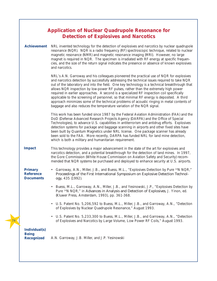| <b>Application of Nuclear Quadrupole Resonance for</b><br><b>Detection of Explosives and Narcotics</b> |                                                                                                                                                                                                                                                                                                                                                                                                                                                                                                                                                                                                                                                                                                                                                  |  |
|--------------------------------------------------------------------------------------------------------|--------------------------------------------------------------------------------------------------------------------------------------------------------------------------------------------------------------------------------------------------------------------------------------------------------------------------------------------------------------------------------------------------------------------------------------------------------------------------------------------------------------------------------------------------------------------------------------------------------------------------------------------------------------------------------------------------------------------------------------------------|--|
| <b>Achievement</b>                                                                                     | NRL invented technology for the detection of explosives and narcotics by nuclear quadrupole<br>resonance (NQR). NQR is a radio frequency (RF) spectroscopic technique, related to nuclear<br>magnetic resonance (NMR) and magnetic resonance imaging (MRI). However, no large<br>magnet is required in NQR. The specimen is irradiated with RF energy at specific frequen-<br>cies, and the size of the return signal indicates the presence or absence of known explosives<br>and narcotics.                                                                                                                                                                                                                                                    |  |
|                                                                                                        | NRL's A.N. Garroway and his colleagues pioneered the practical use of NQR for explosives<br>and narcotics detection by successfully addressing the technical issues required to take NQR<br>out of the laboratory and into the field. One key technology is a technical breakthrough that<br>allows NQR inspection by low-power RF pulses, rather than the extremely high power<br>required in earlier approaches. A second is a specialized RF inspection coil specifically<br>applicable to the screening of personnel, so that minimal RF energy is deposited. A third<br>approach minimizes some of the technical problems of acoustic ringing in metal contents of<br>baggage and also reduces the temperature variation of the NQR signal. |  |
|                                                                                                        | This work has been funded since 1987 by the Federal Aviation Administration (FAA) and the<br>DoD (Defense Advanced Research Projects Agency (DARPA) and the Office of Special<br>Technologies), to advance U.S. capabilities in antiterrorism and antidrug efforts. Explosives<br>detection systems for package and baggage scanning in airports and other fixed sites have<br>been built by Quantum Magnetics under NRL license. One package scanner has already<br>been sold to the FAA. More recently, DARPA has funded NRL for land mine detection,<br>which is both a military and humanitarian requirement.                                                                                                                                |  |
| <b>Impact</b>                                                                                          | This technology provides a major advancement in the state of the art for explosives and<br>narcotics detection, and a potential breakthrough for the detection of land mines. In 1997,<br>the Gore Commission (White House Commission on Aviation Safety and Security) recom-<br>mended that NQR systems be purchased and deployed to enhance security at U.S. airports.                                                                                                                                                                                                                                                                                                                                                                         |  |
| <b>Primary</b><br><b>Reference</b><br><b>Documents</b>                                                 | • Garroway, A.N., Miller, J.B., and Buess, M.L., "Explosives Detection by Pure <sup>14</sup> N NQR,"<br>Proceedings of the First International Symposium on Explosive Detection Technol-<br>ogy, 435 (1992).                                                                                                                                                                                                                                                                                                                                                                                                                                                                                                                                     |  |
|                                                                                                        | Buess, M.L., Garroway, A.N., Miller, J.B., and Yesinowski, J.P., "Explosives Detection by<br>Pure <sup>14</sup> N NQR," in Advances in Analysis and Detection of Explosives, J. Yinon, ed.<br>(Kluwer Press, Amsterdam, 1993), pp. 361-368.                                                                                                                                                                                                                                                                                                                                                                                                                                                                                                      |  |
|                                                                                                        | • U.S. Patent No. 5,206,592 to Buess, M.L., Miller, J.B., and Garroway, A.N., "Detection<br>of Explosives by Nuclear Quadrupole Resonance," August 1993.                                                                                                                                                                                                                                                                                                                                                                                                                                                                                                                                                                                         |  |
|                                                                                                        | • U.S. Patent No. 5,233,300 to Buess, M.L., Miller, J.B., and Garroway, A.N., "Detection<br>of Explosives and Narcotics by Large Volume, Low Power RF Coils," August 1993.                                                                                                                                                                                                                                                                                                                                                                                                                                                                                                                                                                       |  |
| <b>Individual(s)</b><br><b>Being</b><br><b>Recognized</b>                                              | A.N. Garroway, J.B. Miller, and J.P. Yesinowski                                                                                                                                                                                                                                                                                                                                                                                                                                                                                                                                                                                                                                                                                                  |  |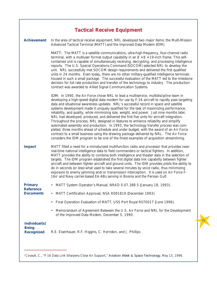## **Tactical Receive Equipment**

| <b>Achievement</b>                                        | In the area of tactical receive equipment, NRL developed two major items: the Multi-Mission<br>Advanced Tactical Terminal (MATT) and the Improved Data Modem (IDM).                                                                                                                                                                                                                                                                                                                                                                                                                                                                                                                                                                                                                                                                                                                                                                                                                                                                    |
|-----------------------------------------------------------|----------------------------------------------------------------------------------------------------------------------------------------------------------------------------------------------------------------------------------------------------------------------------------------------------------------------------------------------------------------------------------------------------------------------------------------------------------------------------------------------------------------------------------------------------------------------------------------------------------------------------------------------------------------------------------------------------------------------------------------------------------------------------------------------------------------------------------------------------------------------------------------------------------------------------------------------------------------------------------------------------------------------------------------|
|                                                           | MATT: The MATT is a satellite communications, ultra-high-frequency, four-channel radio<br>terminal, with a multiuser format output capability in an $8 \times 8 \times 19$ -inch frame. This self-<br>contained unit is capable of simultaneously receiving, decrypting, and processing intelligence<br>reports. The U.S. Special Operations Command (SOCOM) selected NRL to develop the<br>unit. NRL successfully met SOCOM design requirements and delivered the first qualified<br>units in 24 months. Even today, there are no other military-qualified intelligence terminals<br>housed in such a small package. The successful evaluation of the MATT led to the milestone<br>decision for full rate production and transfer of the technology to industry. The production<br>contract was awarded to Allied Signal Communication Systems.                                                                                                                                                                                       |
|                                                           | IDM: In 1990, the Air Force chose NRL to lead a multiservice, multidiscipline team in<br>developing a high-speed digital data modem for use by F-16 aircraft to rapidly pass targeting<br>data and situational awareness updates. NRL's successful record in space and satellite<br>systems development made it uniquely qualified for the task of maximizing performance,<br>reliability, and quality, while minimizing size, weight, and power. Just nine months later,<br>NRL had developed, produced, and delivered the first five units for aircraft integration.<br>Throughout the process, NRL designed in features to enhance reliability and simplify<br>automated assembly and production. In 1993, the technology transfer process was com-<br>pleted, three months ahead of schedule and under budget, with the award of an Air Force<br>contract to a small business using the drawing package delivered by NRL. The Air Force<br>considers the IDM program to be one of the finest examples of acquisition streamlining. |
| <b>Impact</b>                                             | MATT filled a need for a miniaturized multifunction radio and processor that provides near-<br>real-time national intelligence data to field commanders or tactical fighters. In addition,<br>MATT provides the ability to combine both intelligence and theater data in the selection of<br>targets. The IDM program established the first digital data link capability between fighter<br>aircraft and between fighter aircraft and ground units. The IDM provides pilots the ability to<br>do in seconds (or less) what used to take several minutes by voice radio, thus minimizing<br>exposure to enemy jamming and/or transmission interception. It is used on Air Force F-<br>16s <sup>1</sup> and Navy carrier-based EA-6Bs serving in Bosnia and the Persian Gulf.                                                                                                                                                                                                                                                            |
| <b>Primary</b><br><b>Reference</b>                        | • MATT System Operator's Manual, NRAD 0.07.388.5 (January 18, 1993).                                                                                                                                                                                                                                                                                                                                                                                                                                                                                                                                                                                                                                                                                                                                                                                                                                                                                                                                                                   |
| <b>Documents</b>                                          | • MATT Certification Approval, NSA R091819 (December 1993).                                                                                                                                                                                                                                                                                                                                                                                                                                                                                                                                                                                                                                                                                                                                                                                                                                                                                                                                                                            |
|                                                           | Final Operation Evaluation of MATT, USS Port Royal R070017 (June 1996).<br>٠                                                                                                                                                                                                                                                                                                                                                                                                                                                                                                                                                                                                                                                                                                                                                                                                                                                                                                                                                           |
|                                                           | Memorandum of Agreement Between the U.S. Air Force and NRL for the Development<br>$\bullet$<br>of the Improved Data Modem, December 5, 1990.                                                                                                                                                                                                                                                                                                                                                                                                                                                                                                                                                                                                                                                                                                                                                                                                                                                                                           |
| <b>Individual(s)</b><br><b>Being</b><br><b>Recognized</b> | R.E. Eisenhauer, R.F. Higgins, C. Herndon, and J. Phillips                                                                                                                                                                                                                                                                                                                                                                                                                                                                                                                                                                                                                                                                                                                                                                                                                                                                                                                                                                             |

<sup>1</sup> Covault, C., "F-16 Data Link Sharpens Close Air Support," *Aviation Week & Space Technology*, May 13, 1996.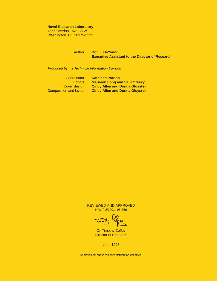#### **Naval Research Laboratory**

4555 Overlook Ave., S.W. Washington, DC 20375-5333

#### Author: **Don J. DeYoung Executive Assistant to the Director of Research**

Produced by the Technical Information Division

| Coordinator:            | <b>Kathleen Parrish</b>                |
|-------------------------|----------------------------------------|
| Editors:                | <b>Maureen Long and Saul Oresky</b>    |
| Cover design:           | <b>Cindy Allen and Donna Gloystein</b> |
| Composition and layout: | <b>Cindy Allen and Donna Gloystein</b> |

REVIEWED AND APPROVED NRL/PU/1001--98-359

Irmon

Dr. Timothy Coffey Director of Research

June 1998

Approved for public release; distribution unlimited.